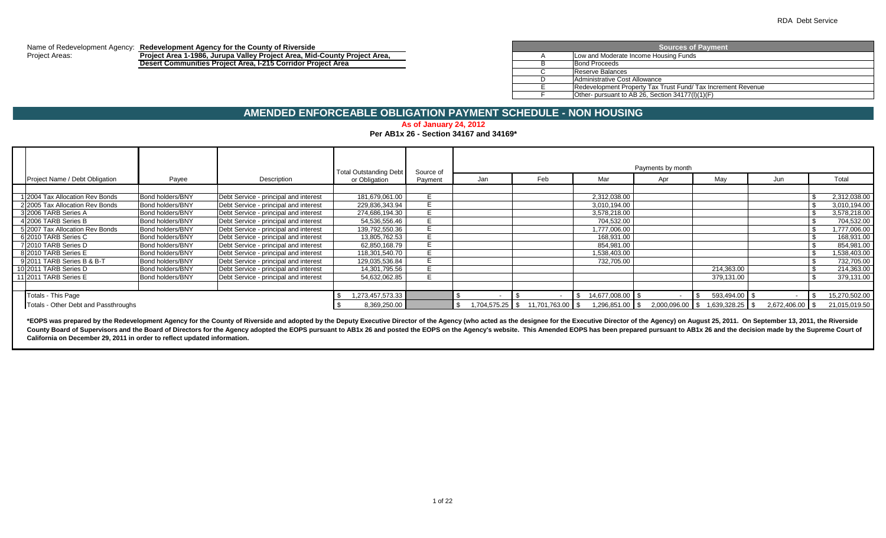#### Name of Redevelopment Agency: **Redevelopment Agency for the County of Riverside** Project Areas: **Project Area 1-1986, Jurupa Valley Project Area, Mid-County Project Area,** A

**Desert Communities Project Area, I-215 Corridor Project Area** B

| <b>Sources of Payment</b>                                    |  |  |  |  |  |  |  |  |
|--------------------------------------------------------------|--|--|--|--|--|--|--|--|
| Low and Moderate Income Housing Funds                        |  |  |  |  |  |  |  |  |
| <b>Bond Proceeds</b>                                         |  |  |  |  |  |  |  |  |
| Reserve Balances                                             |  |  |  |  |  |  |  |  |
| Administrative Cost Allowance                                |  |  |  |  |  |  |  |  |
| Redevelopment Property Tax Trust Fund/ Tax Increment Revenue |  |  |  |  |  |  |  |  |
| Other- pursuant to AB 26, Section 34177(I)(1)(F)             |  |  |  |  |  |  |  |  |

# **AMENDED ENFORCEABLE OBLIGATION PAYMENT SCHEDULE - NON HOUSING**

**As of January 24, 2012**

**Per AB1x 26 - Section 34167 and 34169\***

|                                      |                  |                                       |                                                |                      |                   |               |                    | Payments by month |                   |                 |               |
|--------------------------------------|------------------|---------------------------------------|------------------------------------------------|----------------------|-------------------|---------------|--------------------|-------------------|-------------------|-----------------|---------------|
| Project Name / Debt Obligation       | Payee            | Description                           | <b>Total Outstanding Debt</b><br>or Obligation | Source of<br>Pavment | Jan               | Feb           | Mar                | Apr               | May               | Jun             | Total         |
|                                      |                  |                                       |                                                |                      |                   |               |                    |                   |                   |                 |               |
| 1 2004 Tax Allocation Rev Bonds      | Bond holders/BNY | Debt Service - principal and interest | 181,679,061.00                                 |                      |                   |               | 2,312,038.00       |                   |                   |                 | 2,312,038.00  |
| 2 2005 Tax Allocation Rev Bonds      | Bond holders/BNY | Debt Service - principal and interest | 229,836,343.94                                 |                      |                   |               | 3,010,194.00       |                   |                   |                 | 3,010,194.00  |
| 3 2006 TARB Series A                 | Bond holders/BNY | Debt Service - principal and interest | 274,686,194.30                                 |                      |                   |               | 3.578.218.00       |                   |                   |                 | 3,578,218.00  |
| 4 2006 TARB Series B                 | Bond holders/BNY | Debt Service - principal and interest | 54,536,556.46                                  |                      |                   |               | 704,532.00         |                   |                   |                 | 704,532.00    |
| 5 2007 Tax Allocation Rev Bonds      | Bond holders/BNY | Debt Service - principal and interest | 139.792.550.36                                 | E.                   |                   |               | 1.777.006.00       |                   |                   |                 | 1,777,006.00  |
| 6 2010 TARB Series C                 | Bond holders/BNY | Debt Service - principal and interest | 13,805,762.53                                  |                      |                   |               | 168.931.00         |                   |                   |                 | 168,931.00    |
| 7 2010 TARB Series D                 | Bond holders/BNY | Debt Service - principal and interest | 62,850,168.79                                  |                      |                   |               | 854,981.00         |                   |                   |                 | 854.981.00    |
| 8 2010 TARB Series E                 | Bond holders/BNY | Debt Service - principal and interest | 118,301,540.70                                 |                      |                   |               | 1,538,403.00       |                   |                   |                 | 1,538,403.00  |
| 9 2011 TARB Series B & B-T           | Bond holders/BNY | Debt Service - principal and interest | 129,035,536.84                                 |                      |                   |               | 732,705.00         |                   |                   |                 | 732,705.00    |
| 10 2011 TARB Series D                | Bond holders/BNY | Debt Service - principal and interest | 14,301,795.56                                  |                      |                   |               |                    |                   | 214,363.00        |                 | 214,363.00    |
| 11 2011 TARB Series E                | Bond holders/BNY | Debt Service - principal and interest | 54,632,062.85                                  | E.                   |                   |               |                    |                   | 379,131.00        |                 | 379,131.00    |
|                                      |                  |                                       |                                                |                      |                   |               |                    |                   |                   |                 |               |
| Totals - This Page                   |                  |                                       | 1,273,457,573.33                               |                      |                   |               | 14,677,008.00   \$ |                   | 593,494.00 \$     |                 | 15,270,502.00 |
| Totals - Other Debt and Passthroughs |                  |                                       | 8,369,250.00                                   |                      | $1,704,575.25$ \$ | 11,701,763.00 | 1,296,851.00 \$    | 2,000,096.00 \$   | $1,639,328.25$ \$ | 2,672,406.00 \$ | 21,015,019.50 |

\*EOPS was prepared by the Redevelopment Agency for the County of Riverside and adopted by the Deputy Executive Director of the Agency (who acted as the designee for the Executive Director of the Agency) on August 25, 2011. County Board of Supervisors and the Board of Directors for the Agency adopted the EOPS pursuant to AB1x 26 and posted the EOPS on the Agency's website. This Amended EOPS has been prepared pursuant to AB1x 26 and the decisi **California on December 29, 2011 in order to reflect updated information.**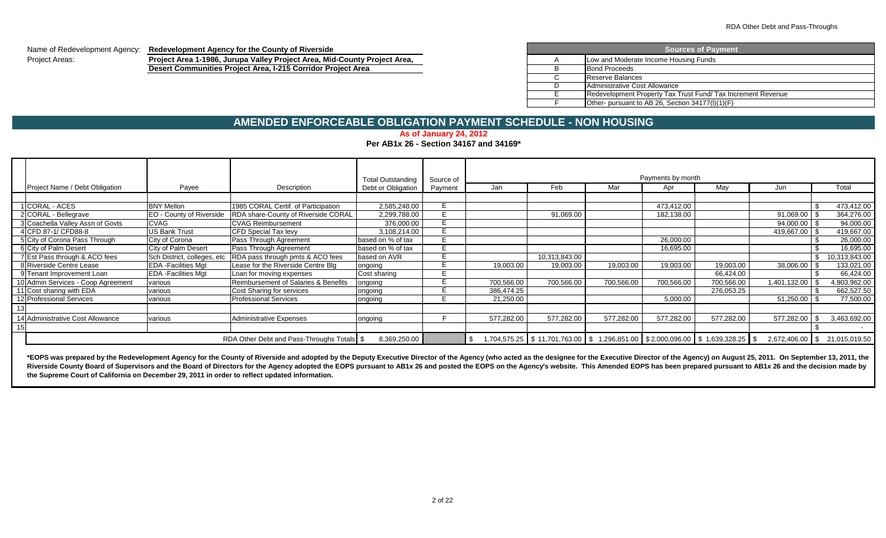Name of Redevelopment Agency: **Redevelopment Agency for the County of Riverside**

Project Areas: **Project Area 1-1986, Jurupa Valley Project Area, Mid-County Project Area, Desert Communities Project Area, I-215 Corridor Project Area** 

|   | <b>Sources of Payment</b>                                    |  |  |  |  |  |  |  |  |
|---|--------------------------------------------------------------|--|--|--|--|--|--|--|--|
| A | Low and Moderate Income Housing Funds                        |  |  |  |  |  |  |  |  |
| B | <b>Bond Proceeds</b>                                         |  |  |  |  |  |  |  |  |
|   | Reserve Balances                                             |  |  |  |  |  |  |  |  |
|   | Administrative Cost Allowance                                |  |  |  |  |  |  |  |  |
|   | Redevelopment Property Tax Trust Fund/ Tax Increment Revenue |  |  |  |  |  |  |  |  |
|   | Other- pursuant to AB 26, Section 34177(I)(1)(F)             |  |  |  |  |  |  |  |  |

# **AMENDED ENFORCEABLE OBLIGATION PAYMENT SCHEDULE - NON HOUSING**

# **As of January 24, 2012**

## **Per AB1x 26 - Section 34167 and 34169\***

|                                    |                             |                                            | <b>Total Outstanding</b> | Source of |            |               |            | Payments by month |                                                                                    |              |                               |
|------------------------------------|-----------------------------|--------------------------------------------|--------------------------|-----------|------------|---------------|------------|-------------------|------------------------------------------------------------------------------------|--------------|-------------------------------|
| Project Name / Debt Obligation     | Payee                       | Description                                | Debt or Obligation       | Payment   | Jan        | Feb           | Mar        | Apr               | May                                                                                | Jun          | Total                         |
|                                    |                             |                                            |                          |           |            |               |            |                   |                                                                                    |              |                               |
| 1 CORAL - ACES                     | <b>BNY Mellon</b>           | 1985 CORAL Certif. of Participation        | 2,585,248.00             |           |            |               |            | 473,412.00        |                                                                                    |              | 473,412.00                    |
| 2 CORAL - Bellegrave               | EO - County of Riverside    | RDA share-County of Riverside CORAL        | 2,299,788.00             |           |            | 91,069.00     |            | 182,138.00        |                                                                                    | 91,069.00    | 364,276.00                    |
| 3 Coachella Valley Assn of Govts   | <b>CVAG</b>                 | <b>CVAG Reimbursement</b>                  | 376,000.00               |           |            |               |            |                   |                                                                                    | 94,000.00    | 94,000.00                     |
| 4 CFD 87-1/ CFD88-8                | <b>US Bank Trust</b>        | <b>CFD Special Tax levy</b>                | 3,108,214.00             |           |            |               |            |                   |                                                                                    | 419,667.00   | 419,667.00                    |
| 5 City of Corona Pass Through      | City of Corona              | Pass Through Agreement                     | based on % of tax        |           |            |               |            | 26,000.00         |                                                                                    |              | 26,000.00                     |
| 6 City of Palm Desert              | City of Palm Desert         | Pass Through Agreement                     | based on % of tax        |           |            |               |            | 16,695.00         |                                                                                    |              | 16,695.00                     |
| 7 Est Pass through & ACO fees      | Sch District, colleges, etc | RDA pass through pmts & ACO fees           | based on AVR             |           |            | 10,313,843.00 |            |                   |                                                                                    |              | 10,313,843.00                 |
| 8 Riverside Centre Lease           | <b>EDA</b> - Facilities Mgt | Lease for the Riverside Centre Blg         | ongoing                  |           | 19,003.00  | 19,003.00     | 19,003.00  | 19,003.00         | 19,003.00                                                                          | 38,006.00    | 133,021.00                    |
| 9 Tenant Improvement Loan          | <b>EDA</b> - Facilities Mgt | Loan for moving expenses                   | Cost sharing             |           |            |               |            |                   | 66.424.00                                                                          |              | 66,424.00                     |
| 10 Admin Services - Coop Agreement | various                     | Reimbursement of Salaries & Benefits       | ongoing                  |           | 700,566.00 | 700,566.00    | 700,566.00 | 700,566.00        | 700,566.00                                                                         | 1,401,132.00 | 4,903,962.00                  |
| 11 Cost sharing with EDA           | various                     | Cost Sharing for services                  | ongoing                  |           | 386,474.25 |               |            |                   | 276,053.25                                                                         |              | 662,527.50                    |
| 12 Professional Services           | various                     | <b>Professional Services</b>               | ongoing                  |           | 21,250.00  |               |            | 5,000.00          |                                                                                    | 51,250.00    | 77,500.00                     |
|                                    |                             |                                            |                          |           |            |               |            |                   |                                                                                    |              |                               |
| 14 Administrative Cost Allowance   | various                     | <b>Administrative Expenses</b>             | ongoing                  |           | 577,282.00 | 577,282.00    | 577,282.00 | 577,282.00        | 577,282.00                                                                         | 577,282.00   | 3,463,692.00                  |
|                                    |                             |                                            |                          |           |            |               |            |                   |                                                                                    |              |                               |
|                                    |                             | RDA Other Debt and Pass-Throughs Totals \$ | 8,369,250.00             |           |            |               |            |                   | $1,704,575.25$ \$ 11,701,763.00 \$ 1,296,851.00 \$ 2,000,096.00 \$ 1,639,328.25 \$ |              | 2,672,406.00 \$ 21,015,019.50 |

\*EOPS was prepared by the Redevelopment Agency for the County of Riverside and adopted by the Deputy Executive Director of the Agency (who acted as the designee for the Executive Director of the Agency) on August 25, 2011. Riverside County Board of Supervisors and the Board of Directors for the Agency adopted the EOPS pursuant to AB1x 26 and posted the EOPS on the Agency's website. This Amended EOPS has been prepared pursuant to AB1x 26 and **the Supreme Court of California on December 29, 2011 in order to reflect updated information.**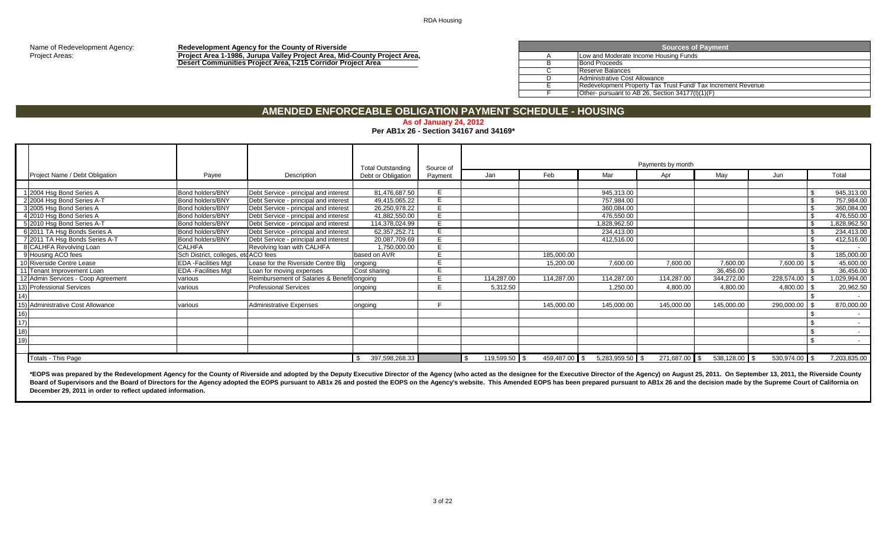Name of Redevelopment Agency: **Redevelopment Agency for the County of Riverside**<br>**Project Area Agency: Redevelopment Agency for the County of Riverside**<br>**Project Area Agency** Project Areas: **Project Area 1-1986, Jurupa Valley Project Area, Mid-County Project Area,** A **Desert Communities Project Area, I-215 Corridor Project Area** B

| <b>Sources of Payment</b> |                                                              |  |  |  |  |  |  |  |  |
|---------------------------|--------------------------------------------------------------|--|--|--|--|--|--|--|--|
| Α                         | Low and Moderate Income Housing Funds                        |  |  |  |  |  |  |  |  |
|                           | <b>Bond Proceeds</b>                                         |  |  |  |  |  |  |  |  |
|                           | Reserve Balances                                             |  |  |  |  |  |  |  |  |
|                           | Administrative Cost Allowance                                |  |  |  |  |  |  |  |  |
|                           | Redevelopment Property Tax Trust Fund/ Tax Increment Revenue |  |  |  |  |  |  |  |  |
|                           | Other- pursuant to AB 26, Section 34177(I)(1)(F)             |  |  |  |  |  |  |  |  |

# **AMENDED ENFORCEABLE OBLIGATION PAYMENT SCHEDULE - HOUSING**

#### **As of January 24, 2012**

#### **Per AB1x 26 - Section 34167 and 34169\***

|     |                                    |                                     |                                             | <b>Total Outstanding</b> | Source of |               |               |                 | Payments by month |                 |               |                          |
|-----|------------------------------------|-------------------------------------|---------------------------------------------|--------------------------|-----------|---------------|---------------|-----------------|-------------------|-----------------|---------------|--------------------------|
|     | Project Name / Debt Obligation     | Payee                               | Description                                 | Debt or Obligation       | Payment   | Jan           | Feb           | Mar             | Apr               | May             | Jun           | Total                    |
|     |                                    |                                     |                                             |                          |           |               |               |                 |                   |                 |               |                          |
|     | 1 2004 Hsg Bond Series A           | <b>Bond holders/BNY</b>             | Debt Service - principal and interest       | 81.476.687.50            |           |               |               | 945,313.00      |                   |                 |               | 945,313.00               |
|     | 2 2004 Hsg Bond Series A-T         | <b>Bond holders/BNY</b>             | Debt Service - principal and interest       | 49,415,065.22            |           |               |               | 757,984.00      |                   |                 |               | 757,984.00               |
|     | 3 2005 Hsg Bond Series A           | <b>Bond holders/BNY</b>             | Debt Service - principal and interest       | 26,250,978.22            |           |               |               | 360,084.00      |                   |                 |               | 360,084.00               |
|     | 4 2010 Hsq Bond Series A           | <b>Bond holders/BNY</b>             | Debt Service - principal and interest       | 41,882,550.00            |           |               |               | 476,550.00      |                   |                 |               | 476,550.00               |
|     | 5 2010 Hsg Bond Series A-T         | <b>Bond holders/BNY</b>             | Debt Service - principal and interest       | 114,378,024.99           |           |               |               | 1,828,962.50    |                   |                 |               | 828,962.50               |
|     | 6 2011 TA Hsg Bonds Series A       | <b>Bond holders/BNY</b>             | Debt Service - principal and interest       | 62, 357, 252. 71         |           |               |               | 234,413.00      |                   |                 |               | 234,413.00               |
|     | 7 2011 TA Hsg Bonds Series A-T     | <b>Bond holders/BNY</b>             | Debt Service - principal and interest       | 20,087,709.69            |           |               |               | 412,516.00      |                   |                 |               | 412,516.00               |
|     | 8 CALHFA Revolving Loan            | <b>CALHFA</b>                       | Revolving loan with CALHFA                  | 1,750,000.00             |           |               |               |                 |                   |                 |               |                          |
|     | 9 Housing ACO fees                 | Sch District, colleges, etcACO fees |                                             | based on AVR             |           |               | 185,000.00    |                 |                   |                 |               | 185,000.00               |
|     | 10 Riverside Centre Lease          | <b>EDA</b> - Facilities Mgt         | Lease for the Riverside Centre Blg          | ongoing                  |           |               | 15,200.00     | 7,600.00        | 7,600.00          | 7,600.00        | 7,600.00 \$   | 45,600.00                |
|     | 11 Tenant Improvement Loan         | <b>EDA</b> - Facilities Mgt         | Loan for moving expenses                    | Cost sharing             |           |               |               |                 |                   | 36,456.00       |               | 36,456.00                |
|     | 12 Admin Services - Coop Agreement | various                             | Reimbursement of Salaries & Benefit ongoing |                          |           | 114,287.00    | 114,287.00    | 114,287.00      | 114,287.00        | 344,272.00      | 228,574.00 \$ | ,029,994.00              |
|     | 13) Professional Services          | various                             | <b>Professional Services</b>                | ongoing                  |           | 5,312.50      |               | 1,250.00        | 4,800.00          | 4,800.00        | 4,800.00      | 20,962.50                |
|     |                                    |                                     |                                             |                          |           |               |               |                 |                   |                 |               | $\sim$                   |
|     | 15) Administrative Cost Allowance  | various                             | <b>Administrative Expenses</b>              | ongoing                  |           |               | 145,000.00    | 145,000.00      | 145,000.00        | 145,000.00      | 290,000.00    | 870,000.00               |
| 16) |                                    |                                     |                                             |                          |           |               |               |                 |                   |                 |               | $\overline{\phantom{a}}$ |
| 17) |                                    |                                     |                                             |                          |           |               |               |                 |                   |                 |               |                          |
| 18) |                                    |                                     |                                             |                          |           |               |               |                 |                   |                 |               | $\sim$                   |
| 19) |                                    |                                     |                                             |                          |           |               |               |                 |                   |                 |               | $\sim$                   |
|     |                                    |                                     |                                             |                          |           |               |               |                 |                   |                 |               |                          |
|     | Totals - This Page                 |                                     |                                             | 397,598,268.33           |           | 119,599.50 \$ | 459,487.00 \$ | 5,283,959.50 \$ | 271,687.00 \$     | $538,128.00$ \$ | 530,974.00 \$ | 7,203,835.00             |

\*EOPS was prepared by the Redevelopment Agency for the County of Riverside and adopted by the Deputy Executive Director of the Agency (who acted as the designee for the Executive Director of the Agency) on August 25, 2011. Board of Supervisors and the Board of Directors for the Agency adopted the EOPS pursuant to AB1x 26 and posted the EOPS on the Agency's website. This Amended EOPS has been prepared pursuant to AB1x 26 and the decision made **December 29, 2011 in order to reflect updated information.**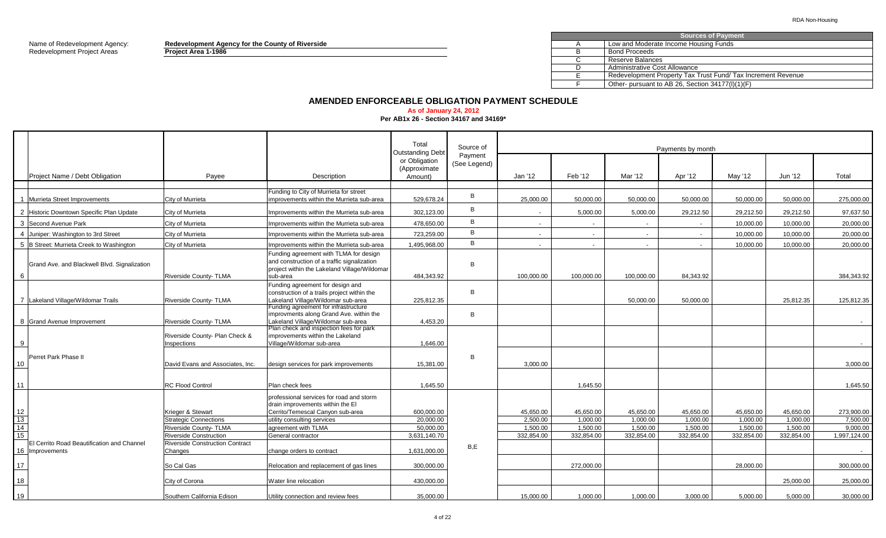Redevelopment Project Areas **Project Area 1-1986** B

Name of Redevelopment Agency: **Redevelopment Agency for the County of Riverside** A

|  | <b>Sources of Payment</b>                                   |
|--|-------------------------------------------------------------|
|  | Low and Moderate Income Housing Funds                       |
|  | <b>Bond Proceeds</b>                                        |
|  | Reserve Balances                                            |
|  | Administrative Cost Allowance                               |
|  | Redevelopment Property Tax Trust Fund/Tax Increment Revenue |
|  | Other- pursuant to AB 26, Section 34177(I)(1)(F)            |

### **AMENDED ENFORCEABLE OBLIGATION PAYMENT SCHEDULE**

## **As of January 24, 2012**

**Per AB1x 26 - Section 34167 and 34169\***

|                                                               |                                                                             |                                                                                                                                                                        | Total<br><b>Outstanding Debt</b>         | Source of               |                                   |                                   |                                   | Payments by month                 |                                   |                                   |                                    |
|---------------------------------------------------------------|-----------------------------------------------------------------------------|------------------------------------------------------------------------------------------------------------------------------------------------------------------------|------------------------------------------|-------------------------|-----------------------------------|-----------------------------------|-----------------------------------|-----------------------------------|-----------------------------------|-----------------------------------|------------------------------------|
| Project Name / Debt Obligation                                | Payee                                                                       | Description                                                                                                                                                            | or Obligation<br>(Approximate<br>Amount) | Payment<br>(See Legend) | Jan '12                           | Feb '12                           | Mar '12                           | Apr '12                           | Mav '12                           | Jun '12                           | Total                              |
|                                                               |                                                                             | Funding to City of Murrieta for street                                                                                                                                 |                                          |                         |                                   |                                   |                                   |                                   |                                   |                                   |                                    |
| 1 Murrieta Street Improvements                                | City of Murrieta                                                            | improvements within the Murrieta sub-area                                                                                                                              | 529,678.24                               | B                       | 25,000.00                         | 50,000.00                         | 50,000.00                         | 50,000.00                         | 50,000.00                         | 50,000.00                         | 275,000.00                         |
| 2 Historic Downtown Specific Plan Update                      | City of Murrieta                                                            | Improvements within the Murrieta sub-area                                                                                                                              | 302.123.00                               | B                       |                                   | 5,000.00                          | 5,000.00                          | 29,212.50                         | 29,212.50                         | 29,212.50                         | 97,637.50                          |
| 3 Second Avenue Park                                          | City of Murrieta                                                            | Improvements within the Murrieta sub-area                                                                                                                              | 478,650.00                               | B                       | $\sim$                            | $\sim$                            | $\sim$                            | $\sim$                            | 10,000.00                         | 10,000.00                         | 20,000.00                          |
| 4 Juniper: Washington to 3rd Street                           | City of Murrieta                                                            | Improvements within the Murrieta sub-area                                                                                                                              | 723.259.00                               | B                       | $\sim$                            | $\sim$                            | $\sim$                            | $\sim$                            | 10,000.00                         | 10,000.00                         | 20,000.00                          |
| 5 B Street: Murrieta Creek to Washington                      | City of Murrieta                                                            | Improvements within the Murrieta sub-area                                                                                                                              | 1,495,968.00                             | B                       |                                   | $\sim$                            |                                   | $\sim$                            | 10,000.00                         | 10,000.00                         | 20,000.00                          |
| Grand Ave. and Blackwell Blvd. Signalization<br>6             | Riverside County-TLMA                                                       | Funding agreement with TLMA for design<br>and construction of a traffic signalization<br>project within the Lakeland Village/Wildomar<br>sub-area                      | 484,343.92                               | <sub>B</sub>            | 100,000.00                        | 100.000.00                        | 100.000.00                        | 84,343.92                         |                                   |                                   | 384,343.92                         |
| 7 Lakeland Village/Wildomar Trails                            | <b>Riverside County-TLMA</b>                                                | Funding agreement for design and<br>construction of a trails project within the<br>Lakeland Village/Wildomar sub-area<br>Funding agreement for infrastructure          | 225.812.35                               | <sub>R</sub>            |                                   |                                   | 50.000.00                         | 50.000.00                         |                                   | 25.812.35                         | 125.812.35                         |
| 8 Grand Avenue Improvement                                    | Riverside County- TLMA                                                      | improvments along Grand Ave. within the<br>Lakeland Village/Wildomar sub-area<br>Plan check and inspection fees for park                                               | 4,453.20                                 | B                       |                                   |                                   |                                   |                                   |                                   |                                   |                                    |
|                                                               | Riverside County- Plan Check &<br>Inspections                               | improvements within the Lakeland<br>Village/Wildomar sub-area                                                                                                          | 1.646.00                                 |                         |                                   |                                   |                                   |                                   |                                   |                                   |                                    |
| Perret Park Phase II<br>10                                    | David Evans and Associates, Inc.                                            | design services for park improvements                                                                                                                                  | 15,381.00                                | <sub>B</sub>            | 3.000.00                          |                                   |                                   |                                   |                                   |                                   | 3.000.00                           |
| 11                                                            | <b>RC Flood Control</b>                                                     | Plan check fees                                                                                                                                                        | 1.645.50                                 |                         |                                   | 1,645.50                          |                                   |                                   |                                   |                                   | 1,645.50                           |
| 12<br>13<br>14                                                | Krieger & Stewart<br><b>Strategic Connections</b><br>Riverside County- TLMA | professional services for road and storm<br>drain improvements within the El<br>Cerrito/Temescal Canyon sub-area<br>utility consulting services<br>agreement with TLMA | 600.000.00<br>20.000.00<br>50,000.00     |                         | 45.650.00<br>2.500.00<br>1,500.00 | 45.650.00<br>1.000.00<br>1,500.00 | 45.650.00<br>1.000.00<br>1,500.00 | 45.650.00<br>1.000.00<br>1,500.00 | 45.650.00<br>1.000.00<br>1,500.00 | 45.650.00<br>1.000.00<br>1,500.00 | 273.900.00<br>7,500.00<br>9,000.00 |
| 15                                                            | <b>Riverside Construction</b>                                               | General contractor                                                                                                                                                     | 3.631.140.70                             |                         | 332.854.00                        | 332.854.00                        | 332.854.00                        | 332.854.00                        | 332.854.00                        | 332.854.00                        | 1.997.124.00                       |
| El Cerrito Road Beautification and Channel<br>16 Improvements | Riverside Construction Contract<br>Changes                                  | change orders to contract                                                                                                                                              | 1.631.000.00                             | B,E                     |                                   |                                   |                                   |                                   |                                   |                                   | $\sim 100$                         |
| 17                                                            | So Cal Gas                                                                  | Relocation and replacement of gas lines                                                                                                                                | 300.000.00                               |                         |                                   | 272.000.00                        |                                   |                                   | 28.000.00                         |                                   | 300.000.00                         |
| 18                                                            | City of Corona                                                              | Water line relocation                                                                                                                                                  | 430,000.00                               |                         |                                   |                                   |                                   |                                   |                                   | 25,000.00                         | 25,000.00                          |
| 19                                                            | Southern California Edison                                                  | Utility connection and review fees                                                                                                                                     | 35.000.00                                |                         | 15.000.00                         | 1.000.00                          | 1.000.00                          | 3.000.00                          | 5.000.00                          | 5.000.00                          | 30,000.00                          |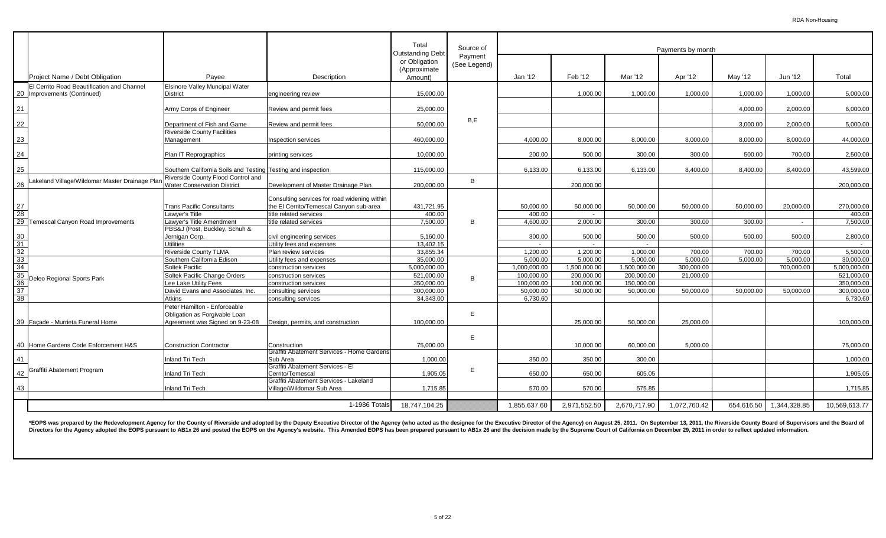|                 |                                                                           |                                                               |                                                                                         | Total<br><b>Outstanding Debt</b>         | Source of               |              |                |              | Payments by month |            |              |               |
|-----------------|---------------------------------------------------------------------------|---------------------------------------------------------------|-----------------------------------------------------------------------------------------|------------------------------------------|-------------------------|--------------|----------------|--------------|-------------------|------------|--------------|---------------|
|                 | Project Name / Debt Obligation                                            | Payee                                                         | Description                                                                             | or Obligation<br>(Approximate<br>Amount) | Payment<br>(See Legend) | Jan '12      | Feb '12        | Mar '12      | Apr '12           | May '12    | Jun '12      | Total         |
|                 |                                                                           |                                                               |                                                                                         |                                          |                         |              |                |              |                   |            |              |               |
|                 | El Cerrito Road Beautification and Channel<br>20 Improvements (Continued) | Elsinore Valley Muncipal Water<br><b>District</b>             | engineering review                                                                      | 15,000.00                                |                         |              | 1,000.00       | 1,000.00     | 1,000.00          | 1,000.00   | 1,000.00     | 5,000.00      |
| 21              |                                                                           | Army Corps of Engineer                                        | Review and permit fees                                                                  | 25,000.00                                |                         |              |                |              |                   | 4,000.00   | 2,000.00     | 6,000.00      |
| 22              |                                                                           | Department of Fish and Game                                   | Review and permit fees                                                                  | 50,000.00                                | B,E                     |              |                |              |                   | 3,000.00   | 2,000.00     | 5,000.00      |
| 23              |                                                                           | <b>Riverside County Facilities</b><br>Management              | <b>Inspection services</b>                                                              | 460.000.00                               |                         | 4.000.00     | 8,000.00       | 8,000.00     | 8.000.00          | 8,000.00   | 8,000.00     | 44,000.00     |
| 24              |                                                                           | Plan IT Reprographics                                         | printing services                                                                       | 10,000.00                                |                         | 200.00       | 500.00         | 300.00       | 300.00            | 500.00     | 700.00       | 2,500.00      |
| 25              |                                                                           | Southern California Soils and Testing Testing and inspection  |                                                                                         | 115,000.00                               |                         | 6,133.00     | 6,133.00       | 6,133.00     | 8.400.00          | 8,400.00   | 8,400.00     | 43,599.00     |
|                 |                                                                           | Riverside County Flood Control and                            |                                                                                         |                                          |                         |              |                |              |                   |            |              |               |
| 26              | Lakeland Village/Wildomar Master Drainage Plar                            | <b>Water Conservation District</b>                            | Development of Master Drainage Plan                                                     | 200.000.00                               | В                       |              | 200,000.00     |              |                   |            |              | 200,000.00    |
| 27              |                                                                           | <b>Trans Pacific Consultants</b>                              | Consulting services for road widening within<br>the El Cerrito/Temescal Canyon sub-area | 431,721.95                               |                         | 50,000.00    | 50,000.00      | 50,000.00    | 50,000.00         | 50,000.00  | 20,000.00    | 270,000.00    |
| 28              | 29 Temescal Canyon Road Improvements                                      | Lawyer's Title                                                | title related services                                                                  | 400.00                                   |                         | 400.00       | $\blacksquare$ |              |                   |            |              | 400.00        |
|                 |                                                                           | Lawyer's Title Amendment                                      | title related services                                                                  | 7,500.00                                 | B                       | 4,600.00     | 2,000.00       | 300.00       | 300.00            | 300.00     | $\sim$       | 7,500.00      |
|                 |                                                                           | PBS&J (Post, Buckley, Schuh &                                 |                                                                                         |                                          |                         |              |                |              |                   |            |              |               |
| 30              |                                                                           | Jernigan Corp.                                                | civil engineering services                                                              | 5,160.00                                 |                         | 300.00       | 500.00         | 500.00       | 500.00            | 500.00     | 500.00       | 2,800.00      |
| 31              |                                                                           | <b>Utilities</b>                                              | Utility fees and expenses                                                               | 13,402.15                                |                         | $\sim$       | $\sim$         | $\sim$       |                   |            |              |               |
| 32              |                                                                           | Riverside County TLMA                                         | Plan review services                                                                    | 33,855.34                                |                         | 1,200.00     | 1,200.00       | 1,000.00     | 700.00            | 700.00     | 700.00       | 5,500.00      |
| $\frac{33}{34}$ |                                                                           | Southern California Edison                                    | Utility fees and expenses                                                               | 35.000.00                                |                         | 5.000.00     | 5.000.00       | 5,000.00     | 5.000.00          | 5,000.00   | 5,000.00     | 30.000.00     |
|                 |                                                                           | Soltek Pacific                                                | construction services                                                                   | 5.000.000.00                             |                         | 1.000.000.00 | 1.500.000.00   | 1.500.000.00 | 300.000.00        |            | 700,000.00   | 5.000.000.00  |
| 35              | Deleo Regional Sports Park                                                | Soltek Pacific Change Orders                                  | construction services                                                                   | 521,000.00                               | B                       | 100,000.00   | 200,000.00     | 200,000.00   | 21.000.00         |            |              | 521,000.00    |
| 36              |                                                                           | Lee Lake Utility Fees                                         | construction services                                                                   | 350,000.00                               |                         | 100,000.00   | 100,000.00     | 150,000.00   |                   |            |              | 350,000.00    |
| 37              |                                                                           | David Evans and Associates, Inc.                              | consulting services                                                                     | 300,000.00                               |                         | 50.000.00    | 50.000.00      | 50,000.00    | 50.000.00         | 50.000.00  | 50.000.00    | 300,000.00    |
| $\overline{38}$ |                                                                           | <b>Atkins</b>                                                 | consulting services                                                                     | 34,343.00                                |                         | 6,730.60     |                |              |                   |            |              | 6,730.60      |
|                 |                                                                           | Peter Hamilton - Enforceable<br>Obligation as Forgivable Loan |                                                                                         |                                          | E.                      |              |                |              |                   |            |              |               |
|                 | 39 Facade - Murrieta Funeral Home                                         | Agreement was Signed on 9-23-08                               | Design, permits, and construction                                                       | 100.000.00                               |                         |              | 25.000.00      | 50.000.00    | 25.000.00         |            |              | 100,000.00    |
|                 | 40 Home Gardens Code Enforcement H&S                                      | <b>Construction Contractor</b>                                | Construction                                                                            | 75,000.00                                | E                       |              | 10,000.00      | 60,000.00    | 5.000.00          |            |              | 75,000.00     |
| 41              |                                                                           | <b>Inland Tri Tech</b>                                        | Graffiti Abatement Services - Home Gardens<br>Sub Area                                  |                                          |                         | 350.00       | 350.00         | 300.00       |                   |            |              | 1,000.00      |
|                 |                                                                           |                                                               | Graffiti Abatement Services - El                                                        | 1,000.00                                 |                         |              |                |              |                   |            |              |               |
| 42              | Graffiti Abatement Program                                                | <b>Inland Tri Tech</b>                                        | Cerrito/Temescal<br>Graffiti Abatement Services - Lakeland                              | 1,905.05                                 | E                       | 650.00       | 650.00         | 605.05       |                   |            |              | 1,905.05      |
| 43              |                                                                           | <b>Inland Tri Tech</b>                                        | Village/Wildomar Sub Area                                                               | 1,715.85                                 |                         | 570.00       | 570.00         | 575.85       |                   |            |              | 1,715.85      |
|                 |                                                                           |                                                               |                                                                                         |                                          |                         |              |                |              |                   |            |              |               |
|                 |                                                                           |                                                               | 1-1986 Totals                                                                           | 18,747,104.25                            |                         | 1,855,637.60 | 2,971,552.50   | 2,670,717.90 | 1,072,760.42      | 654,616.50 | 1,344,328.85 | 10,569,613.77 |

\*EOPS was prepared by the Redevelopment Agency for the County of Riverside and adopted by the Deputy Executive Director of the Agency (who acted as the designee for the Executive Director of the Agency) on August 25, 2011. Directors for the Agency adopted the EOPS pursuant to AB1x 26 and posted the EOPS on the Agency's website. This Amended EOPS has been prepared pursuant to AB1x 26 and the decision made by the Supreme Court of California on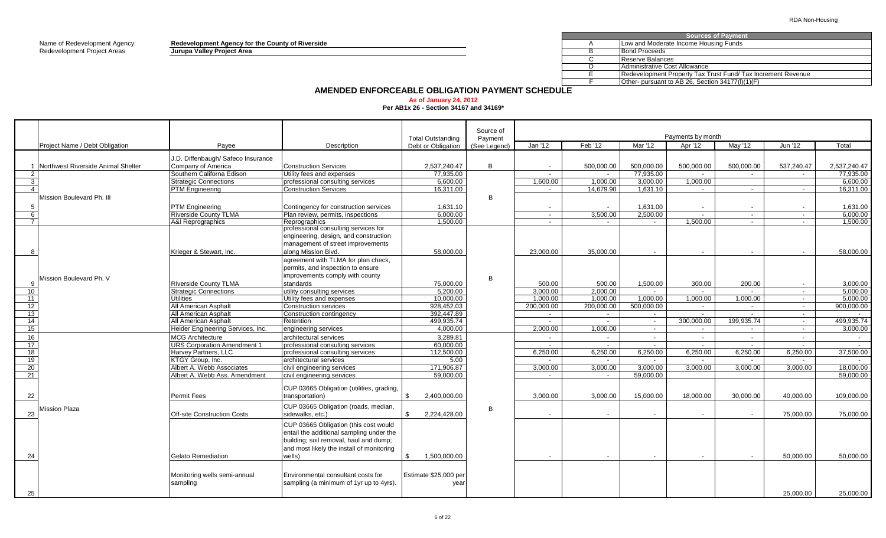Name of Redevelopment Agency: **Redevelopment Agency for the County of Riverside** A Redevelopment Project Areas **Jurupa Valley Project Area** B

|    | <b>Sources of Payment</b>                                    |
|----|--------------------------------------------------------------|
|    | Low and Moderate Income Housing Funds                        |
|    | <b>Bond Proceeds</b>                                         |
|    | Reserve Balances                                             |
|    | Administrative Cost Allowance                                |
|    | Redevelopment Property Tax Trust Fund/ Tax Increment Revenue |
|    | Other- pursuant to AB 26, Section 34177(I)(1)(F)             |
| -… |                                                              |

## **AMENDED ENFORCEABLE OBLIGATION PAYMENT SCHEDULE**

**As of January 24, 2012 Per AB1x 26 - Section 34167 and 34169\***

|    |                                                                                   |                                    |                                           |                          | Source of    |                          |                |                          |                              |                          |            |               |
|----|-----------------------------------------------------------------------------------|------------------------------------|-------------------------------------------|--------------------------|--------------|--------------------------|----------------|--------------------------|------------------------------|--------------------------|------------|---------------|
|    |                                                                                   |                                    | Description                               | <b>Total Outstanding</b> | Payment      | Jan '12                  | Feb '12        | Mar '12                  | Payments by month<br>Apr '12 | May '12                  | Jun '12    | Total         |
|    |                                                                                   | Payee                              |                                           | Debt or Obligation       | (See Legend) |                          |                |                          |                              |                          |            |               |
|    |                                                                                   | J.D. Diffenbaugh/ Safeco Insurance |                                           |                          |              |                          |                |                          |                              |                          |            |               |
|    | 1 Northwest Riverside Animal Shelter                                              | Company of America                 | <b>Construction Services</b>              | 2,537,240.47             | B            | $\sim$                   | 500,000.00     | 500,000.00               | 500,000.00                   | 500,000.00               | 537,240.47 | 2,537,240.47  |
|    |                                                                                   | Southern Californa Edison          | Utility fees and expenses                 | 77,935.00                |              | $\sim$                   | $\sim$         | 77,935.00                | $\sim$                       | $\overline{\phantom{a}}$ | $\sim$     | 77,935.00     |
|    |                                                                                   | <b>Strategic Connections</b>       | professional consulting services          | 6,600.00                 |              | 1,600.00                 | 1,000.00       | 3,000.00                 | 1,000.00                     |                          |            | 6,600.00      |
|    |                                                                                   | <b>PTM Engineering</b>             | <b>Construction Services</b>              | 16,311.00                |              | $\overline{a}$           | 14.679.90      | 1.631.10                 | $\sim$ $-$                   | $\overline{a}$           | $\sim$     | 16.311.00     |
|    | Mission Boulevard Ph. III                                                         |                                    |                                           |                          | B            |                          |                |                          |                              |                          |            |               |
|    |                                                                                   | <b>PTM</b> Engineering             | Contingency for construction services     | 1,631.10                 |              | $\overline{\phantom{a}}$ |                | 1,631.00                 | $\sim$                       | $\overline{\phantom{a}}$ |            | 1,631.00      |
|    |                                                                                   | <b>Riverside County TLMA</b>       | Plan review, permits, inspections         | 6,000.00                 |              | $\sim$                   | 3.500.00       | 2,500.00                 | $\sim$                       | $\sim$                   | $\sim$     | 6,000.00      |
|    |                                                                                   | <b>A&amp;I</b> Reprographics       | Reprographics                             | 1,500.00                 |              | $\sim$                   | $\overline{a}$ | $\sim$                   | 1.500.00                     | $\sim$                   | $\sim$     | 1,500.00      |
|    |                                                                                   |                                    | professional consulting services for      |                          |              |                          |                |                          |                              |                          |            |               |
|    |                                                                                   |                                    | engineering, design, and construction     |                          |              |                          |                |                          |                              |                          |            |               |
|    |                                                                                   |                                    | management of street improvements         |                          |              |                          |                |                          |                              |                          |            |               |
|    |                                                                                   | Krieger & Stewart, Inc.            | along Mission Blvd.                       | 58,000.00                |              | 23,000.00                | 35,000.00      |                          | $\overline{\phantom{a}}$     |                          |            | 58,000.00     |
|    |                                                                                   |                                    | agreement with TLMA for plan check,       |                          |              |                          |                |                          |                              |                          |            |               |
|    |                                                                                   |                                    | permits, and inspection to ensure         |                          |              |                          |                |                          |                              |                          |            |               |
|    |                                                                                   |                                    | improvements comply with county           |                          |              |                          |                |                          |                              |                          |            |               |
|    |                                                                                   | <b>Riverside County TLMA</b>       | standards                                 | 75,000.00                | B            | 500.00                   | 500.00         | 1.500.00                 | 300.00                       | 200.00                   | $\sim$     | 3.000.00      |
| 10 | Project Name / Debt Obligation<br>Mission Boulevard Ph. V<br><b>Mission Plaza</b> | <b>Strategic Connections</b>       | utility consulting services               | 5,200.00                 |              | 3.000.00                 | 2.000.00       | $\sim$                   | $\sim$                       | $\sim$                   | $\sim$     | 5,000.00      |
| 11 |                                                                                   | Jtilities                          | Utility fees and expenses                 | 10,000.00                |              | 1,000.00                 | 1,000.00       | 1,000.00                 | 1,000.00                     | 1,000.00                 | $\sim$     | 5,000.00      |
| 12 |                                                                                   | All American Asphalt               | Construction services                     | 928,452.03               |              | 200,000.00               | 200,000.00     | 500,000.00               | $\sim$                       | $\sim$                   | $\sim$     | 900,000.00    |
| 13 |                                                                                   | All American Asphalt               | Construction contingency                  | 392,447.89               |              | $\sim$                   | $\sim$         | $\sim$                   | $\sim$                       | $\sim$                   | $\sim$     | $\sim$        |
| 14 |                                                                                   | All American Asphalt               | Retention                                 | 499,935.74               |              | $\overline{a}$           | $\sim$         | $\sim$                   | 300.000.00                   | 199.935.74               | $\sim$     | 499,935.74    |
| 15 |                                                                                   | Heider Engineering Services, Inc.  | engineering services                      | 4.000.00                 |              | 2.000.00                 | 1.000.00       | $\sim$                   | $\sim$ $-$                   | $\sim$                   | $\sim$     | 3.000.00      |
| 16 |                                                                                   | <b>MCG Architecture</b>            | architectural services                    | 3,289.81                 |              |                          |                | $\overline{\phantom{a}}$ | $\sim$                       | $\overline{\phantom{a}}$ | $\sim$     | $\sim$        |
| 17 |                                                                                   | <b>URS Corporation Amendment 1</b> | professional consulting services          | 60.000.00                |              | $\overline{\phantom{a}}$ | $\sim$         | $\sim$                   | $\sim$                       | $\sim$                   | $\sim$     | $\sim$        |
| 18 |                                                                                   | Harvey Partners, LLC               | professional consulting services          | 112,500.00               |              | 6.250.00                 | 6.250.00       | 6.250.00                 | 6,250.00                     | 6,250.00                 | 6,250.00   | 37,500.00     |
| 19 |                                                                                   | KTGY Group, Inc.                   | architectural services                    | 5.00                     |              | $\overline{\phantom{a}}$ | $\sim$         | $\sim$                   | $\sim$                       | $\sim$                   | $\sim$     | $\sim$ $\sim$ |
| 20 |                                                                                   | Albert A. Webb Associates          | civil engineering services                | 171,906.87               |              | 3.000.00                 | 3,000.00       | 3,000.00                 | 3,000.00                     | 3,000.00                 | 3,000.00   | 18,000.00     |
| 21 |                                                                                   | Albert A. Webb Ass. Amendment      | civil engineering services                | 59.000.00                |              | $\sim$                   | $\sim$         | 59.000.00                |                              |                          |            | 59,000.00     |
|    |                                                                                   |                                    |                                           |                          |              |                          |                |                          |                              |                          |            |               |
|    |                                                                                   |                                    | CUP 03665 Obligation (utilities, grading, |                          |              |                          |                |                          |                              |                          |            |               |
| 22 |                                                                                   | <b>Permit Fees</b>                 | transportation)                           | 2,400,000.00<br>\$       |              | 3,000.00                 | 3,000.00       | 15,000.00                | 18,000.00                    | 30,000.00                | 40,000.00  | 109,000.00    |
|    |                                                                                   |                                    | CUP 03665 Obligation (roads, median,      |                          |              |                          |                |                          |                              |                          |            |               |
| 23 |                                                                                   | <b>Off-site Construction Costs</b> | sidewalks, etc.)                          | 2,224,428.00             | B            |                          |                |                          |                              |                          | 75,000.00  | 75,000.00     |
|    |                                                                                   |                                    |                                           |                          |              |                          |                |                          |                              |                          |            |               |
|    |                                                                                   |                                    | CUP 03665 Obligation (this cost would     |                          |              |                          |                |                          |                              |                          |            |               |
|    |                                                                                   |                                    | entail the additional sampling under the  |                          |              |                          |                |                          |                              |                          |            |               |
|    |                                                                                   |                                    | building; soil removal, haul and dump;    |                          |              |                          |                |                          |                              |                          |            |               |
|    |                                                                                   |                                    | and most likely the install of monitoring |                          |              |                          |                |                          |                              |                          |            |               |
| 24 |                                                                                   | Gelato Remediation                 | wells)                                    | 1,500,000.00             |              |                          |                |                          | $\overline{\phantom{a}}$     |                          | 50.000.00  | 50,000.00     |
|    |                                                                                   |                                    |                                           |                          |              |                          |                |                          |                              |                          |            |               |
|    |                                                                                   | Monitoring wells semi-annual       | Environmental consultant costs for        | Estimate \$25,000 per    |              |                          |                |                          |                              |                          |            |               |
|    |                                                                                   | sampling                           | sampling (a minimum of 1yr up to 4yrs).   | year                     |              |                          |                |                          |                              |                          |            |               |
|    |                                                                                   |                                    |                                           |                          |              |                          |                |                          |                              |                          |            |               |
| 25 |                                                                                   |                                    |                                           |                          |              |                          |                |                          |                              |                          | 25,000.00  | 25,000.00     |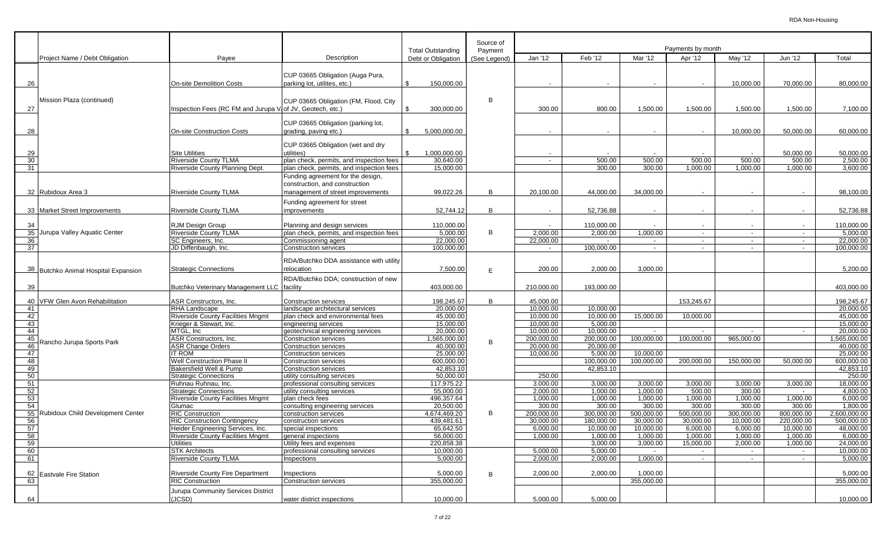|          |                                      |                                                                  |                                                                                                          |                                 | Source of    | Payments by month                   |                        |                          |                    |                    |                     |                        |
|----------|--------------------------------------|------------------------------------------------------------------|----------------------------------------------------------------------------------------------------------|---------------------------------|--------------|-------------------------------------|------------------------|--------------------------|--------------------|--------------------|---------------------|------------------------|
|          | Project Name / Debt Obligation       | Payee                                                            | Description                                                                                              | <b>Total Outstanding</b>        | Payment      | Jan '12                             | Feb '12                | Mar '12                  | Apr '12            | May '12            | Jun '12             | Total                  |
|          |                                      |                                                                  |                                                                                                          | Debt or Obligation              | (See Legend) |                                     |                        |                          |                    |                    |                     |                        |
| 26       |                                      | <b>On-site Demolition Costs</b>                                  | CUP 03665 Obligation (Auga Pura,<br>parking lot, utilites, etc.)                                         | \$<br>150,000.00                |              |                                     |                        |                          | $\sim$             | 10,000.00          | 70,000.00           | 80,000.00              |
| 27       | Mission Plaza (continued)            | Inspection Fees (RC FM and Jurupa V of JV, Geotech, etc.)        | CUP 03665 Obligation (FM, Flood, City                                                                    | 300,000.00                      | B            | 300.00                              | 800.00                 | 1,500.00                 | 1,500.00           | 1,500.00           | 1,500.00            | 7,100.00               |
| 28       |                                      | On-site Construction Costs                                       | CUP 03665 Obligation (parking lot,<br>grading, paving etc.)                                              | \$<br>5,000,000.00              |              |                                     |                        |                          |                    | 10,000.00          | 50,000.00           | 60,000.00              |
| 29<br>30 |                                      | <b>Site Utilities</b><br><b>Riverside County TLMA</b>            | CUP 03665 Obligation (wet and dry<br>utilities)                                                          | \$<br>1,000,000.00<br>30,640.00 |              | $\overline{a}$                      | 500.00                 | 500.00                   | 500.00             | 500.00             | 50,000.00<br>500.00 | 50,000.00<br>2,500.00  |
| 31       |                                      | Riverside County Planning Dept.                                  | plan check, permits, and inspection fees<br>plan check, permits, and inspection fees                     | 15,000.00                       |              |                                     | 300.00                 | 300.00                   | 1,000.00           | 1.000.00           | 1,000.00            | 3.600.00               |
|          | 32 Rubidoux Area 3                   | <b>Riverside County TLMA</b>                                     | Funding agreement for the design,<br>construction, and construction<br>management of street improvements | 99,022.26                       | B            | 20,100.00                           | 44,000.00              | 34,000.00                |                    |                    |                     | 98,100.00              |
|          | 33 Market Street Improvements        | <b>Riverside County TLMA</b>                                     | Funding agreement for street<br>mprovements                                                              | 52.744.12                       | B            | $\overline{a}$                      | 52,736.88              |                          | $\sim$             | $\sim$             | $\overline{a}$      | 52,736.88              |
| 34       | 35 Jurupa Valley Aquatic Center      | <b>RJM Design Group</b><br>Riverside County TLMA                 | Planning and design services<br>plan check, permits, and inspection fees                                 | 110,000.00<br>5,000.00          | B            | 2,000.00                            | 110,000.00<br>2,000.00 | 1,000.00                 | $\sim$<br>$\sim$   | $\sim$<br>$\sim$   | $\sim$<br>$\sim$    | 110,000.00<br>5,000.00 |
| 36       |                                      | SC Engineers, Inc.                                               | Commissioning agent                                                                                      | 22,000.00                       |              | 22,000.00                           |                        | $\sim$                   | $\sim$             | $\sim$             | $\sim$              | 22,000.00              |
| 37       |                                      | JD Diffenbaugh, Inc.                                             | <b>Construction services</b>                                                                             | 100,000.00                      |              |                                     | 100,000.00             | $\overline{\phantom{a}}$ | $\sim$             | $\sim$             | $\sim$              | 100,000.00             |
|          | 38 Butchko Animal Hospital Expansion | <b>Strategic Connections</b>                                     | RDA/Butchko DDA assistance with utility<br>relocation<br>RDA/Butchko DDA: construction of new            | 7,500.00                        | E            | 200.00                              | 2,000.00               | 3,000.00                 |                    |                    |                     | 5,200.00               |
| 39       |                                      | Butchko Veterinary Management LLC                                | facility                                                                                                 | 403,000.00                      |              | 210,000.00                          | 193,000.00             |                          |                    |                    |                     | 403,000.00             |
|          | 40 VFW Glen Avon Rehabilitation      | ASR Constructors, Inc.                                           | Construction services                                                                                    | 198,245.67                      | B            | 45,000.00                           |                        |                          | 153.245.67         |                    |                     | 198,245.67             |
| 41<br>42 |                                      | <b>RHA Landscape</b><br><b>Riverside County Facilities Mngmt</b> | landscape architectural services<br>plan check and environmental fees                                    | 20,000.00<br>45,000.00          |              | $\overline{10,000.00}$<br>10,000.00 | 10,000.00<br>10,000.00 | 15,000.00                | 10,000.00          |                    |                     | 20,000.00<br>45,000.00 |
| 43       |                                      | Krieger & Stewart, Inc.                                          | engineering services                                                                                     | 15,000.00                       |              | 10,000.00                           | 5,000.00               |                          |                    |                    |                     | 15,000.00              |
| 44       |                                      | MTGL. Inc                                                        | geotechnical engineering services                                                                        | 20,000.00                       |              | 10,000.00                           | 10.000.00              | $\sim$                   | $\sim$             | $\sim$             | $\sim$              | 20,000.00              |
| 45       |                                      | <b>ASR Constructors, Inc.</b>                                    | <b>Construction services</b>                                                                             | ,565,000.00                     | B            | 200,000.00                          | 200,000.00             | 100,000.00               | 100,000.00         | 965,000.00         |                     | ,565,000.00            |
| 46       | Rancho Jurupa Sports Park            | <b>ASR Change Orders</b>                                         | <b>Construction services</b>                                                                             | 40,000.00                       |              | 20,000.00                           | 20,000.00              |                          |                    |                    |                     | 40,000.00              |
| 47       |                                      | t Rom                                                            | <b>Construction services</b>                                                                             | 25,000.00                       |              | 10,000.00                           | 5,000.00               | 10,000.00                |                    |                    |                     | 25,000.00              |
| 48       |                                      | <b>Well Construction Phase II</b>                                | <b>Construction services</b>                                                                             | 600,000.00                      |              |                                     | 100,000.00             | 100,000.00               | 200,000.00         | 150,000.00         | 50,000.00           | 600,000.00             |
| 49       |                                      | Bakersfield Well & Pump                                          | Construction services                                                                                    | 42,853.10                       |              |                                     | 42,853.10              |                          |                    |                    |                     | 42,853.10              |
| 50       |                                      | <b>Strategic Connections</b>                                     | utility consulting services                                                                              | 50,000.00                       |              | 250.00                              | 3,000.00               |                          |                    |                    |                     | 250.00<br>18,000.00    |
| 51<br>52 |                                      | Ruhnau Ruhnau, Inc.<br><b>Strategic Connections</b>              | professional consulting services<br>utility consulting services                                          | 117,975.22<br>55,000.00         |              | 3,000.00<br>2,000.00                | 1,000.00               | 3,000.00<br>1,000.00     | 3,000.00<br>500.00 | 3,000.00<br>300.00 | 3,000.00<br>$\sim$  | 4,800.00               |
| 53       |                                      | <b>Riverside County Facilities Mngmt</b>                         | plan check fees                                                                                          | 496,357.64                      |              | 1,000.00                            | 1,000.00               | 1,000.00                 | 1,000.00           | 1,000.00           | 1,000.00            | 6,000.00               |
| 54       |                                      | Glumac                                                           | consulting engineering services                                                                          | 20,500.00                       |              | 300.00                              | 300.00                 | 300.00                   | 300.00             | 300.00             | 300.00              | 1.800.00               |
|          | 55 Rubidoux Child Development Center | <b>RIC Construction</b>                                          | construction services                                                                                    | 4,674,469.20                    | B            | 200,000.00                          | 300,000.00             | 500,000.00               | 500,000.00         | 300,000.00         | 800,000.00          | 2,600,000.00           |
| 56       |                                      | <b>RIC Construction Contingency</b>                              | construction services                                                                                    | 439,481.61                      |              | 30,000.00                           | 180,000.00             | 30,000.00                | 30,000.00          | 10,000.00          | 220,000.00          | 500,000.00             |
| 57       |                                      | Heider Engineering Services, Inc.                                | special inspections                                                                                      | 65,642.50                       |              | 6,000.00                            | 10,000.00              | 10,000.00                | 6,000.00           | 6,000.00           | 10,000.00           | 48,000.00              |
| 58       |                                      | Riverside County Facilities Mngmt                                | general inspections                                                                                      | 56,000.00                       |              | 1,000.00                            | 1,000.00               | 1,000.00                 | 1,000.00           | 1,000.00           | 1,000.00            | 6,000.00               |
| 59       |                                      | <b>Jtilities</b>                                                 | Utility fees and expenses                                                                                | 220,858.38                      |              |                                     | 3,000.00               | 3,000.00                 | 15,000.00          | 2,000.00           | 1,000.00            | 24,000.00              |
| 60       |                                      | <b>STK Architects</b><br><b>Riverside County TLMA</b>            | professional consulting services                                                                         | 10.000.00                       |              | 5,000.00                            | 5,000.00               | 1,000.00                 |                    |                    |                     | 10,000.00              |
| 61       |                                      |                                                                  | Inspections                                                                                              | 5,000.00                        |              | 2,000.00                            | 2,000.00               |                          | $\sim$             | $\sim$             | $\sim$              | 5,000.00               |
|          | 62 Eastvale Fire Station             | <b>Riverside County Fire Department</b>                          | Inspections                                                                                              | 5,000.00                        | $\mathsf{B}$ | 2,000.00                            | 2,000.00               | 1,000.00                 |                    |                    |                     | 5,000.00               |
| 63       |                                      | <b>RIC Construction</b>                                          | <b>Construction services</b>                                                                             | 355,000.00                      |              |                                     |                        | 355,000.00               |                    |                    |                     | 355,000.00             |
|          |                                      | Jurupa Community Services District                               |                                                                                                          |                                 |              |                                     |                        |                          |                    |                    |                     |                        |
| 64       |                                      | (JCSD)                                                           | water district inspections                                                                               | 10,000.00                       |              | 5,000.00                            | 5,000.00               |                          |                    |                    |                     | 10,000.00              |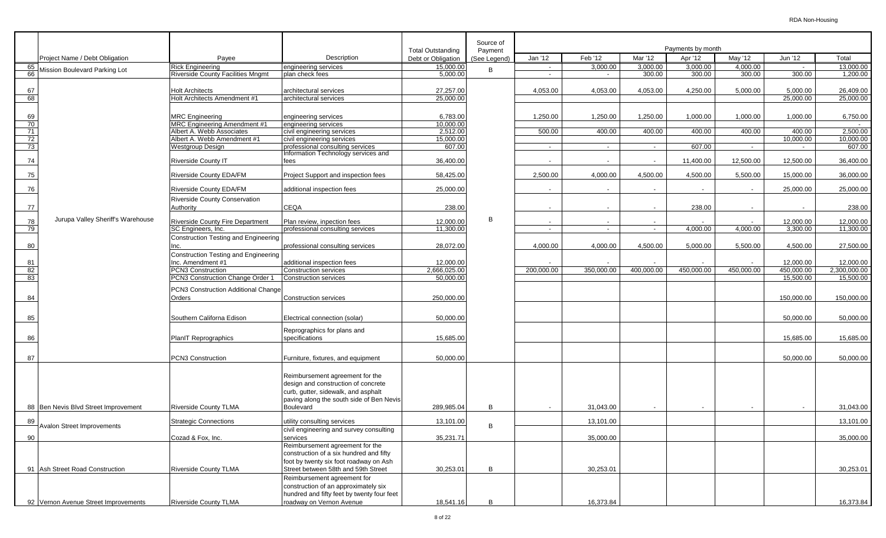|            |                                      |                                                              |                                                                         |                                                | Source of    |                          |                          |                          |                              |                    |                       |                        |
|------------|--------------------------------------|--------------------------------------------------------------|-------------------------------------------------------------------------|------------------------------------------------|--------------|--------------------------|--------------------------|--------------------------|------------------------------|--------------------|-----------------------|------------------------|
|            | Project Name / Debt Obligation       | Payee                                                        | Description                                                             | <b>Total Outstanding</b><br>Debt or Obligation | Payment      | Jan '12                  | Feb '12                  | Mar '12                  | Payments by month<br>Apr '12 | May '12            | Jun '12               | Total                  |
|            |                                      |                                                              |                                                                         |                                                | (See Legend) |                          |                          |                          |                              |                    |                       |                        |
| 65 I<br>66 | Mission Boulevard Parking Lot        | Rick Engineering<br><b>Riverside County Facilities Mngmt</b> | engineering services<br>plan check fees                                 | 15,000.00<br>5,000.00                          | B            | $\sim$                   | 3,000.00                 | 3,000.00<br>300.00       | 3,000.00<br>300.00           | 4,000.00<br>300.00 | 300.00                | 13,000.00<br>1,200.00  |
|            |                                      |                                                              |                                                                         |                                                |              |                          |                          |                          |                              |                    |                       |                        |
|            |                                      |                                                              |                                                                         |                                                |              |                          |                          |                          |                              |                    |                       |                        |
| 67         |                                      | <b>Holt Architects</b><br>Holt Architects Amendment #1       | architectural services                                                  | 27,257.00<br>25,000.00                         |              | 4,053.00                 | 4,053.00                 | 4,053.00                 | 4,250.00                     | 5,000.00           | 5,000.00<br>25,000.00 | 26,409.00<br>25,000.00 |
| 68         |                                      |                                                              | architectural services                                                  |                                                |              |                          |                          |                          |                              |                    |                       |                        |
|            |                                      |                                                              |                                                                         |                                                |              |                          |                          |                          |                              |                    |                       |                        |
| 69         |                                      | <b>MRC</b> Engineering                                       | engineering services                                                    | 6,783.00                                       |              | 1,250.00                 | 1,250.00                 | 1,250.00                 | 1,000.00                     | 1,000.00           | 1,000.00              | 6,750.00               |
| 70         |                                      | <b>MRC Engineering Amendment #1</b>                          | engineering services                                                    | 10,000.00                                      |              |                          |                          |                          |                              |                    |                       |                        |
| 71         |                                      | Albert A. Webb Associates                                    | civil engineering services                                              | 2,512.00                                       |              | 500.00                   | 400.00                   | 400.00                   | 400.00                       | 400.00             | 400.00                | 2,500.00               |
| 72         |                                      | Albert A. Webb Amendment #1                                  | civil engineering services                                              | 15,000.00                                      |              |                          |                          |                          |                              |                    | 10,000.00             | 10,000.00              |
| 73         |                                      | <b>Westgroup Design</b>                                      | professional consulting services<br>Information Technology services and | 607.00                                         |              | $\sim$                   | $\sim$                   | $\sim$                   | 607.00                       | $\sim$             | $\sim$                | 607.00                 |
| 74         |                                      | <b>Riverside County IT</b>                                   | fees                                                                    | 36,400.00                                      |              |                          |                          |                          | 11,400.00                    | 12,500.00          | 12,500.00             | 36,400.00              |
|            |                                      |                                                              |                                                                         |                                                |              |                          |                          |                          |                              |                    |                       |                        |
| 75         |                                      | Riverside County EDA/FM                                      | Project Support and inspection fees                                     | 58,425.00                                      |              | 2,500.00                 | 4,000.00                 | 4,500.00                 | 4,500.00                     | 5,500.00           | 15,000.00             | 36,000.00              |
|            |                                      |                                                              |                                                                         |                                                |              |                          |                          |                          |                              |                    |                       |                        |
| 76         |                                      | Riverside County EDA/FM                                      | additional inspection fees                                              | 25,000.00                                      |              |                          | $\overline{a}$           |                          | $\sim$                       | $\sim$             | 25,000.00             | 25,000.00              |
|            |                                      | <b>Riverside County Conservation</b>                         |                                                                         |                                                |              |                          |                          |                          |                              |                    |                       |                        |
| 77         |                                      | Authority                                                    | <b>CEQA</b>                                                             | 238.00                                         |              |                          | $\overline{\phantom{a}}$ | $\overline{\phantom{a}}$ | 238.00                       | $\sim$             |                       | 238.00                 |
|            |                                      |                                                              |                                                                         |                                                |              |                          |                          |                          |                              |                    |                       |                        |
| 78         | Jurupa Valley Sheriff's Warehouse    | <b>Riverside County Fire Department</b>                      | Plan review, inpection fees                                             | 12,000.00                                      | B            | $\overline{\phantom{a}}$ | $\overline{\phantom{a}}$ | $\overline{\phantom{a}}$ |                              | $\sim$             | 12,000.00             | 12,000.00              |
| 79         |                                      | SC Engineers, Inc.                                           | professional consulting services                                        | 11,300.00                                      |              |                          | $\overline{\phantom{a}}$ | $\overline{\phantom{a}}$ | 4,000.00                     | 4,000.00           | 3,300.00              | 11,300.00              |
|            |                                      | Construction Testing and Engineering                         |                                                                         |                                                |              |                          |                          |                          |                              |                    |                       |                        |
| 80         |                                      | Inc.                                                         | professional consulting services                                        | 28,072.00                                      |              | 4,000.00                 | 4,000.00                 | 4,500.00                 | 5,000.00                     | 5,500.00           | 4,500.00              | 27,500.00              |
|            |                                      | Construction Testing and Engineering                         |                                                                         |                                                |              |                          |                          |                          |                              |                    |                       |                        |
| 81         |                                      | Inc. Amendment #1                                            | additional inspection fees                                              | 12,000.00                                      |              |                          |                          |                          |                              | $\sim$             | 12,000.00             | 12,000.00              |
| 82         |                                      | PCN3 Construction                                            | <b>Construction services</b>                                            | 2,666,025.00                                   |              | 200,000.00               | 350,000.00               | 400,000.00               | 450,000.00                   | 450,000.00         | 450,000.00            | 2,300,000.00           |
| 83         |                                      | PCN3 Construction Change Order 1                             | <b>Construction services</b>                                            | 50,000.00                                      |              |                          |                          |                          |                              |                    | 15,500.00             | 15,500.00              |
|            |                                      |                                                              |                                                                         |                                                |              |                          |                          |                          |                              |                    |                       |                        |
|            |                                      | PCN3 Construction Additional Change                          |                                                                         |                                                |              |                          |                          |                          |                              |                    |                       |                        |
| 84         |                                      | Orders                                                       | <b>Construction services</b>                                            | 250,000.00                                     |              |                          |                          |                          |                              |                    | 150,000.00            | 150,000.00             |
|            |                                      |                                                              |                                                                         |                                                |              |                          |                          |                          |                              |                    |                       |                        |
| 85         |                                      | Southern Californa Edison                                    | Electrical connection (solar)                                           | 50,000.00                                      |              |                          |                          |                          |                              |                    | 50,000.00             | 50,000.00              |
|            |                                      |                                                              |                                                                         |                                                |              |                          |                          |                          |                              |                    |                       |                        |
|            |                                      |                                                              | Reprographics for plans and                                             |                                                |              |                          |                          |                          |                              |                    |                       |                        |
| 86         |                                      | PlanIT Reprographics                                         | specifications                                                          | 15,685.00                                      |              |                          |                          |                          |                              |                    | 15,685.00             | 15,685.00              |
|            |                                      |                                                              |                                                                         |                                                |              |                          |                          |                          |                              |                    |                       |                        |
| 87         |                                      | PCN3 Construction                                            | Furniture, fixtures, and equipment                                      | 50,000.00                                      |              |                          |                          |                          |                              |                    | 50,000.00             | 50,000.00              |
|            |                                      |                                                              |                                                                         |                                                |              |                          |                          |                          |                              |                    |                       |                        |
|            |                                      |                                                              |                                                                         |                                                |              |                          |                          |                          |                              |                    |                       |                        |
|            |                                      |                                                              | Reimbursement agreement for the                                         |                                                |              |                          |                          |                          |                              |                    |                       |                        |
|            |                                      |                                                              | design and construction of concrete                                     |                                                |              |                          |                          |                          |                              |                    |                       |                        |
|            |                                      |                                                              | curb, gutter, sidewalk, and asphalt                                     |                                                |              |                          |                          |                          |                              |                    |                       |                        |
|            |                                      |                                                              | paving along the south side of Ben Nevis                                |                                                |              |                          |                          |                          |                              |                    |                       |                        |
|            | 88 Ben Nevis Blvd Street Improvement | <b>Riverside County TLMA</b>                                 | Boulevard                                                               | 289,985.04                                     | B            |                          | 31,043.00                |                          |                              |                    |                       | 31,043.00              |
| 89         |                                      | <b>Strategic Connections</b>                                 | utility consulting services                                             | 13,101.00                                      |              |                          | 13,101.00                |                          |                              |                    |                       | 13,101.00              |
|            | Avalon Street Improvements           |                                                              |                                                                         |                                                | B            |                          |                          |                          |                              |                    |                       |                        |
| 90         |                                      | Cozad & Fox, Inc.                                            | civil engineering and survey consulting<br>services                     | 35,231.71                                      |              |                          | 35,000.00                |                          |                              |                    |                       | 35,000.00              |
|            |                                      |                                                              | Reimbursement agreement for the                                         |                                                |              |                          |                          |                          |                              |                    |                       |                        |
|            |                                      |                                                              | construction of a six hundred and fifty                                 |                                                |              |                          |                          |                          |                              |                    |                       |                        |
|            |                                      |                                                              | foot by twenty six foot roadway on Ash                                  |                                                |              |                          |                          |                          |                              |                    |                       |                        |
|            |                                      |                                                              |                                                                         |                                                | B            |                          |                          |                          |                              |                    |                       |                        |
|            | 91 Ash Street Road Construction      | <b>Riverside County TLMA</b>                                 | Street between 58th and 59th Street                                     | 30,253.01                                      |              |                          | 30,253.01                |                          |                              |                    |                       | 30,253.01              |
|            |                                      |                                                              | Reimbursement agreement for                                             |                                                |              |                          |                          |                          |                              |                    |                       |                        |
|            |                                      |                                                              | construction of an approximately six                                    |                                                |              |                          |                          |                          |                              |                    |                       |                        |
|            |                                      |                                                              | hundred and fifty feet by twenty four feet                              |                                                |              |                          |                          |                          |                              |                    |                       |                        |
|            | 92 Vernon Avenue Street Improvements | <b>Riverside County TLMA</b>                                 | roadway on Vernon Avenue                                                | 18,541.16                                      | B            |                          | 16,373.84                |                          |                              |                    |                       | 16,373.84              |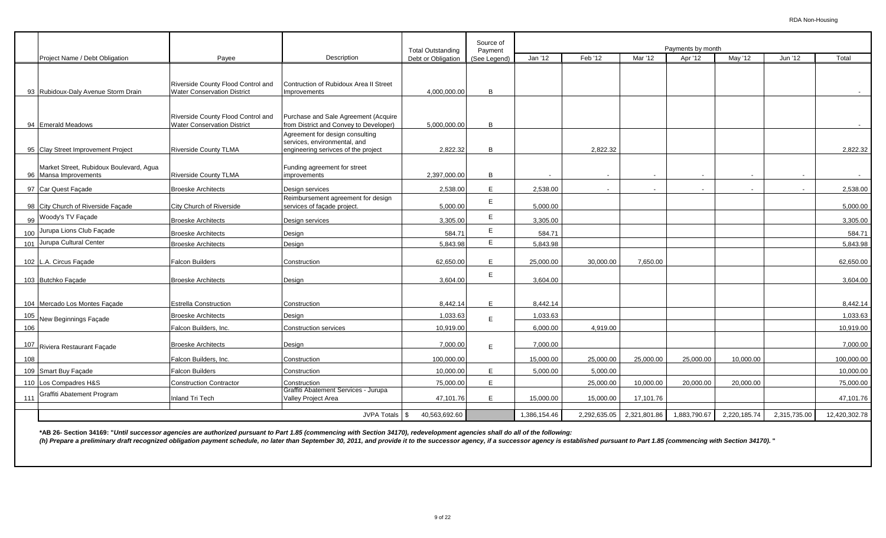|     |                                                                  |                                    |                                                                 |                                                | Source of               |              |                          |                          |                              |                |                          |               |
|-----|------------------------------------------------------------------|------------------------------------|-----------------------------------------------------------------|------------------------------------------------|-------------------------|--------------|--------------------------|--------------------------|------------------------------|----------------|--------------------------|---------------|
|     | Project Name / Debt Obligation                                   | Payee                              | Description                                                     | <b>Total Outstanding</b><br>Debt or Obligation | Payment<br>(See Legend) | Jan '12      | Feb '12                  | Mar '12                  | Payments by month<br>Apr '12 | May '12        | Jun '12                  | Total         |
|     |                                                                  |                                    |                                                                 |                                                |                         |              |                          |                          |                              |                |                          |               |
|     |                                                                  | Riverside County Flood Control and | Contruction of Rubidoux Area II Street                          |                                                |                         |              |                          |                          |                              |                |                          |               |
|     | 93 Rubidoux-Daly Avenue Storm Drain                              | <b>Water Conservation District</b> | Improvements                                                    | 4,000,000.00                                   | B                       |              |                          |                          |                              |                |                          |               |
|     |                                                                  |                                    |                                                                 |                                                |                         |              |                          |                          |                              |                |                          |               |
|     |                                                                  | Riverside County Flood Control and | Purchase and Sale Agreement (Acquire                            |                                                |                         |              |                          |                          |                              |                |                          |               |
|     | 94 Emerald Meadows                                               | <b>Water Conservation District</b> | from District and Convey to Developer)                          | 5,000,000.00                                   | B                       |              |                          |                          |                              |                |                          |               |
|     |                                                                  |                                    | Agreement for design consulting<br>services, environmental, and |                                                |                         |              |                          |                          |                              |                |                          |               |
|     | 95 Clay Street Improvement Project                               | <b>Riverside County TLMA</b>       | engineering serivces of the project                             | 2,822.32                                       | B                       |              | 2,822.32                 |                          |                              |                |                          | 2,822.32      |
|     |                                                                  |                                    |                                                                 |                                                |                         |              |                          |                          |                              |                |                          |               |
|     | Market Street, Rubidoux Boulevard, Agua<br>96 Mansa Improvements | Riverside County TLMA              | Funding agreement for street<br>improvements                    | 2.397.000.00                                   | B                       |              | $\overline{\phantom{a}}$ | $\overline{\phantom{a}}$ | $\sim$                       | $\sim$         | $\overline{\phantom{a}}$ | $\sim$        |
|     | 97 Car Quest Façade                                              | <b>Broeske Architects</b>          |                                                                 | 2,538.00                                       | E.                      | 2,538.00     |                          |                          |                              | $\overline{a}$ |                          | 2,538.00      |
|     |                                                                  |                                    | Design services<br>Reimbursement agreement for design           |                                                |                         |              |                          |                          |                              |                |                          |               |
|     | 98 City Church of Riverside Facade                               | City Church of Riverside           | services of façade project.                                     | 5,000.00                                       | E                       | 5.000.00     |                          |                          |                              |                |                          | 5,000.00      |
|     | 99 Woody's TV Façade                                             | <b>Broeske Architects</b>          | Design services                                                 | 3,305.00                                       | E.                      | 3,305.00     |                          |                          |                              |                |                          | 3,305.00      |
|     | 100 Jurupa Lions Club Façade                                     | <b>Broeske Architects</b>          | Design                                                          | 584.71                                         | E.                      | 584.71       |                          |                          |                              |                |                          | 584.71        |
|     | 101 Jurupa Cultural Center                                       | <b>Broeske Architects</b>          | Design                                                          | 5,843.98                                       | E.                      | 5,843.98     |                          |                          |                              |                |                          | 5,843.98      |
|     |                                                                  |                                    |                                                                 |                                                |                         |              |                          |                          |                              |                |                          |               |
|     | 102 L.A. Circus Façade                                           | <b>Falcon Builders</b>             | Construction                                                    | 62,650.00                                      | E.                      | 25,000.00    | 30,000.00                | 7,650.00                 |                              |                |                          | 62,650.00     |
|     | 103 Butchko Façade                                               | <b>Broeske Architects</b>          | Design                                                          | 3,604.00                                       | E.                      | 3,604.00     |                          |                          |                              |                |                          | 3,604.00      |
|     |                                                                  |                                    |                                                                 |                                                |                         |              |                          |                          |                              |                |                          |               |
|     | 104 Mercado Los Montes Facade                                    | <b>Estrella Construction</b>       | Construction                                                    | 8,442.14                                       | E.                      | 8,442.14     |                          |                          |                              |                |                          | 8,442.14      |
| 105 | New Beginnings Façade                                            | <b>Broeske Architects</b>          | Design                                                          | 1,033.63                                       | E.                      | 1,033.63     |                          |                          |                              |                |                          | 1,033.63      |
| 106 |                                                                  | Falcon Builders, Inc.              | <b>Construction services</b>                                    | 10,919.00                                      |                         | 6,000.00     | 4,919.00                 |                          |                              |                |                          | 10,919.00     |
|     |                                                                  |                                    |                                                                 |                                                |                         |              |                          |                          |                              |                |                          |               |
| 107 | Riviera Restaurant Facade                                        | <b>Broeske Architects</b>          | Design                                                          | 7,000.00                                       | F                       | 7,000.00     |                          |                          |                              |                |                          | 7,000.00      |
| 108 |                                                                  | Falcon Builders, Inc.              | Construction                                                    | 100,000.00                                     |                         | 15,000.00    | 25,000.00                | 25,000.00                | 25,000.00                    | 10,000.00      |                          | 100,000.00    |
|     | 109 Smart Buy Facade                                             | <b>Falcon Builders</b>             | Construction                                                    | 10,000.00                                      | E.                      | 5,000.00     | 5,000.00                 |                          |                              |                |                          | 10,000.00     |
|     | 110 Los Compadres H&S                                            | <b>Construction Contractor</b>     | Construction                                                    | 75,000.00                                      | E.                      |              | 25,000.00                | 10,000.00                | 20,000.00                    | 20.000.00      |                          | 75,000.00     |
|     | 111 Graffiti Abatement Program                                   | Inland Tri Tech                    | Graffiti Abatement Services - Jurupa<br>Valley Project Area     | 47,101.76                                      | F.                      | 15,000.00    | 15,000.00                | 17,101.76                |                              |                |                          | 47,101.76     |
|     |                                                                  |                                    |                                                                 |                                                |                         |              |                          |                          |                              |                |                          |               |
|     |                                                                  |                                    | <b>JVPA Totals</b>                                              | 40,563,692.60<br>\$                            |                         | 1,386,154.46 | 2,292,635.05             | 2,321,801.86             | 1,883,790.67                 | 2,220,185.74   | 2,315,735.00             | 12,420,302.78 |

**\*AB 26- Section 34169: "***Until successor agencies are authorized pursuant to Part 1.85 (commencing with Section 34170), redevelopment agencies shall do all of the following:*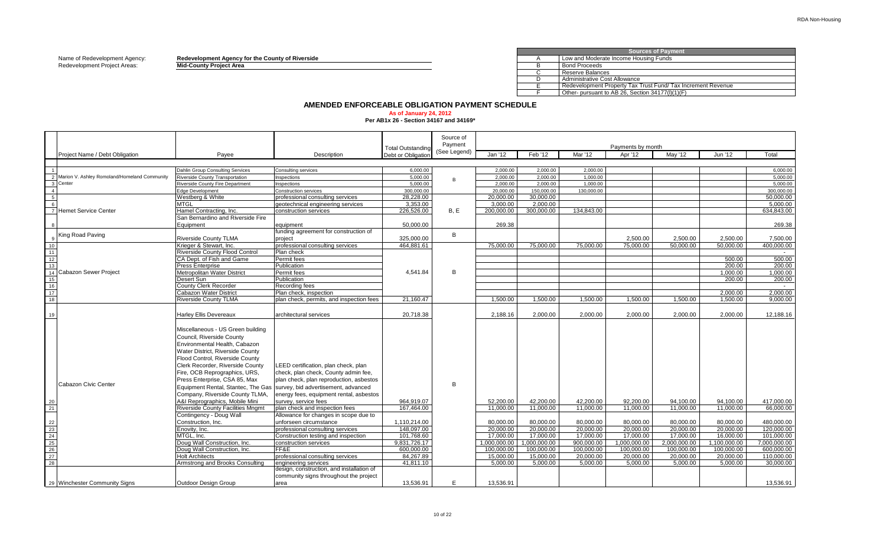Name of Redevelopment Agency: **Redevelopment Agency for the County of Riverside** A

Redevelopment Project Areas: **Mid-County Project Area** B

|      |  |  |  | evelopment Agency for the County of Riverside |  |  |  |
|------|--|--|--|-----------------------------------------------|--|--|--|
| ____ |  |  |  |                                               |  |  |  |

 $\overline{c}$  $\overline{D}$ E F Other- pursuant to AB 26, Section  $34177(1)(1)(F)$ **Sources of Payment** Low and Moderate Income Housing Funds Bond Proceeds Reserve Balances Administrative Cost Allowance Redevelopment Property Tax Trust Fund/ Tax Increment Revenue

# **AMENDED ENFORCEABLE OBLIGATION PAYMENT SCHEDULE**

#### **As of January 24, 2012**

**Per AB1x 26 - Section 34167 and 34169\***

|                                                                                                                        |                                                |                                                                                                                                                                                                                                                                                                                                                                                                                                                                                                                                                                                                                                                                                      |                                                                                                                                                                                                                                                                                                                                                                                                                                                                         | <b>Total Outstanding</b>                                                                                                     | Source of<br>Payment |                                                                                                                      |                                                                                                                      |                                                                                                                    | Payments by month                                                                                                    |                                                                                                                      |                                                                                                                      |                                                                                                                            |
|------------------------------------------------------------------------------------------------------------------------|------------------------------------------------|--------------------------------------------------------------------------------------------------------------------------------------------------------------------------------------------------------------------------------------------------------------------------------------------------------------------------------------------------------------------------------------------------------------------------------------------------------------------------------------------------------------------------------------------------------------------------------------------------------------------------------------------------------------------------------------|-------------------------------------------------------------------------------------------------------------------------------------------------------------------------------------------------------------------------------------------------------------------------------------------------------------------------------------------------------------------------------------------------------------------------------------------------------------------------|------------------------------------------------------------------------------------------------------------------------------|----------------------|----------------------------------------------------------------------------------------------------------------------|----------------------------------------------------------------------------------------------------------------------|--------------------------------------------------------------------------------------------------------------------|----------------------------------------------------------------------------------------------------------------------|----------------------------------------------------------------------------------------------------------------------|----------------------------------------------------------------------------------------------------------------------|----------------------------------------------------------------------------------------------------------------------------|
|                                                                                                                        | Project Name / Debt Obligation                 | Payee                                                                                                                                                                                                                                                                                                                                                                                                                                                                                                                                                                                                                                                                                | Description                                                                                                                                                                                                                                                                                                                                                                                                                                                             | Debt or Obligation                                                                                                           | (See Legend)         | Jan '12                                                                                                              | Feb '12                                                                                                              | Mar '12                                                                                                            | Apr '12                                                                                                              | May '12                                                                                                              | Jun '12                                                                                                              | Total                                                                                                                      |
|                                                                                                                        |                                                |                                                                                                                                                                                                                                                                                                                                                                                                                                                                                                                                                                                                                                                                                      |                                                                                                                                                                                                                                                                                                                                                                                                                                                                         |                                                                                                                              |                      |                                                                                                                      |                                                                                                                      |                                                                                                                    |                                                                                                                      |                                                                                                                      |                                                                                                                      |                                                                                                                            |
|                                                                                                                        |                                                | Dahlin Group Consulting Services                                                                                                                                                                                                                                                                                                                                                                                                                                                                                                                                                                                                                                                     | Consulting services                                                                                                                                                                                                                                                                                                                                                                                                                                                     | 6.000.00                                                                                                                     |                      | 2.000.00                                                                                                             | 2.000.00                                                                                                             | 2.000.00                                                                                                           |                                                                                                                      |                                                                                                                      |                                                                                                                      | 6.000.00                                                                                                                   |
|                                                                                                                        | 2 Marion V. Ashley Romoland/Homeland Community | Riverside County Transportation                                                                                                                                                                                                                                                                                                                                                                                                                                                                                                                                                                                                                                                      | nspections                                                                                                                                                                                                                                                                                                                                                                                                                                                              | 5.000.00                                                                                                                     | $\mathbf{B}$         | 2.000.00                                                                                                             | 2.000.00                                                                                                             | 1.000.00                                                                                                           |                                                                                                                      |                                                                                                                      |                                                                                                                      | 5.000.00                                                                                                                   |
|                                                                                                                        | 3 Center                                       | Riverside County Fire Department                                                                                                                                                                                                                                                                                                                                                                                                                                                                                                                                                                                                                                                     | nspections                                                                                                                                                                                                                                                                                                                                                                                                                                                              | 5.000.00                                                                                                                     |                      | 2.000.00                                                                                                             | 2.000.00                                                                                                             | 1.000.00                                                                                                           |                                                                                                                      |                                                                                                                      |                                                                                                                      | 5,000.00                                                                                                                   |
| $\overline{4}$                                                                                                         |                                                | <b>Edge Development</b>                                                                                                                                                                                                                                                                                                                                                                                                                                                                                                                                                                                                                                                              | Construction services                                                                                                                                                                                                                                                                                                                                                                                                                                                   | 300.000.00                                                                                                                   |                      | 20,000,00                                                                                                            | 150,000,00                                                                                                           | 130.000.00                                                                                                         |                                                                                                                      |                                                                                                                      |                                                                                                                      | 300,000,00                                                                                                                 |
| 5                                                                                                                      |                                                | Westberg & White                                                                                                                                                                                                                                                                                                                                                                                                                                                                                                                                                                                                                                                                     | professional consulting services                                                                                                                                                                                                                                                                                                                                                                                                                                        | 28.228.00                                                                                                                    |                      | 20.000.00                                                                                                            | 30.000.00                                                                                                            |                                                                                                                    |                                                                                                                      |                                                                                                                      |                                                                                                                      | 50.000.00                                                                                                                  |
| 6                                                                                                                      |                                                | <b>MTGL</b>                                                                                                                                                                                                                                                                                                                                                                                                                                                                                                                                                                                                                                                                          | geotechnical engineering services                                                                                                                                                                                                                                                                                                                                                                                                                                       | 3,353.00                                                                                                                     |                      | 3,000.00                                                                                                             | 2,000.00                                                                                                             |                                                                                                                    |                                                                                                                      |                                                                                                                      |                                                                                                                      | 5,000.00                                                                                                                   |
|                                                                                                                        | 7 Hemet Service Center                         | Hamel Contracting, Inc.                                                                                                                                                                                                                                                                                                                                                                                                                                                                                                                                                                                                                                                              | construction services                                                                                                                                                                                                                                                                                                                                                                                                                                                   | 226.526.00                                                                                                                   | B.E                  | 200.000.00                                                                                                           | 300.000.00                                                                                                           | 134.843.00                                                                                                         |                                                                                                                      |                                                                                                                      |                                                                                                                      | 634.843.00                                                                                                                 |
|                                                                                                                        |                                                | San Bernardino and Riverside Fire                                                                                                                                                                                                                                                                                                                                                                                                                                                                                                                                                                                                                                                    |                                                                                                                                                                                                                                                                                                                                                                                                                                                                         |                                                                                                                              |                      |                                                                                                                      |                                                                                                                      |                                                                                                                    |                                                                                                                      |                                                                                                                      |                                                                                                                      |                                                                                                                            |
|                                                                                                                        |                                                | Equipment                                                                                                                                                                                                                                                                                                                                                                                                                                                                                                                                                                                                                                                                            | equipment                                                                                                                                                                                                                                                                                                                                                                                                                                                               | 50.000.00                                                                                                                    |                      | 269.38                                                                                                               |                                                                                                                      |                                                                                                                    |                                                                                                                      |                                                                                                                      |                                                                                                                      | 269.38                                                                                                                     |
|                                                                                                                        | King Road Paving                               |                                                                                                                                                                                                                                                                                                                                                                                                                                                                                                                                                                                                                                                                                      | funding agreement for construction of                                                                                                                                                                                                                                                                                                                                                                                                                                   |                                                                                                                              | B                    |                                                                                                                      |                                                                                                                      |                                                                                                                    |                                                                                                                      |                                                                                                                      |                                                                                                                      |                                                                                                                            |
|                                                                                                                        |                                                | <b>Riverside County TLMA</b>                                                                                                                                                                                                                                                                                                                                                                                                                                                                                                                                                                                                                                                         | project                                                                                                                                                                                                                                                                                                                                                                                                                                                                 | 325,000.00                                                                                                                   |                      | 75.000.00                                                                                                            | 75,000.00                                                                                                            |                                                                                                                    | 2,500.00                                                                                                             | 2,500.00<br>50.000.00                                                                                                | 2,500.00<br>50.000.00                                                                                                | 7,500.00<br>400.000.00                                                                                                     |
| 10 <sup>°</sup><br>11                                                                                                  |                                                | Krieger & Stewart, Inc.                                                                                                                                                                                                                                                                                                                                                                                                                                                                                                                                                                                                                                                              | professional consulting services                                                                                                                                                                                                                                                                                                                                                                                                                                        | 464,881.61                                                                                                                   |                      |                                                                                                                      |                                                                                                                      | 75,000.00                                                                                                          | 75,000.00                                                                                                            |                                                                                                                      |                                                                                                                      |                                                                                                                            |
| 12                                                                                                                     |                                                | <b>Riverside County Flood Control</b><br>CA Dept. of Fish and Game                                                                                                                                                                                                                                                                                                                                                                                                                                                                                                                                                                                                                   | Plan check<br>Permit fees                                                                                                                                                                                                                                                                                                                                                                                                                                               |                                                                                                                              |                      |                                                                                                                      |                                                                                                                      |                                                                                                                    |                                                                                                                      |                                                                                                                      | 500.00                                                                                                               | 500.00                                                                                                                     |
| 13                                                                                                                     |                                                | <b>Press Enterprise</b>                                                                                                                                                                                                                                                                                                                                                                                                                                                                                                                                                                                                                                                              | Publication                                                                                                                                                                                                                                                                                                                                                                                                                                                             |                                                                                                                              |                      |                                                                                                                      |                                                                                                                      |                                                                                                                    |                                                                                                                      |                                                                                                                      | 200.00                                                                                                               | 200.00                                                                                                                     |
| 14                                                                                                                     | Cabazon Sewer Project                          | Metropolitan Water District                                                                                                                                                                                                                                                                                                                                                                                                                                                                                                                                                                                                                                                          | Permit fees                                                                                                                                                                                                                                                                                                                                                                                                                                                             | 4,541.84                                                                                                                     | B                    |                                                                                                                      |                                                                                                                      |                                                                                                                    |                                                                                                                      |                                                                                                                      | 1,000.00                                                                                                             | 1,000.00                                                                                                                   |
| 15                                                                                                                     |                                                | Desert Sun                                                                                                                                                                                                                                                                                                                                                                                                                                                                                                                                                                                                                                                                           | Publication                                                                                                                                                                                                                                                                                                                                                                                                                                                             |                                                                                                                              |                      |                                                                                                                      |                                                                                                                      |                                                                                                                    |                                                                                                                      |                                                                                                                      | 200.00                                                                                                               | 200.00                                                                                                                     |
|                                                                                                                        |                                                | County Clerk Recorder                                                                                                                                                                                                                                                                                                                                                                                                                                                                                                                                                                                                                                                                | Recording fees                                                                                                                                                                                                                                                                                                                                                                                                                                                          |                                                                                                                              |                      |                                                                                                                      |                                                                                                                      |                                                                                                                    |                                                                                                                      |                                                                                                                      |                                                                                                                      | $\sim$ $-$                                                                                                                 |
| $\frac{16}{17}$                                                                                                        |                                                | <b>Cabazon Water District</b>                                                                                                                                                                                                                                                                                                                                                                                                                                                                                                                                                                                                                                                        | Plan check, inspection                                                                                                                                                                                                                                                                                                                                                                                                                                                  |                                                                                                                              |                      |                                                                                                                      |                                                                                                                      |                                                                                                                    |                                                                                                                      |                                                                                                                      | 2,000.00                                                                                                             | 2,000.00                                                                                                                   |
| 18                                                                                                                     |                                                | <b>Riverside County TLMA</b>                                                                                                                                                                                                                                                                                                                                                                                                                                                                                                                                                                                                                                                         | plan check, permits, and inspection fees                                                                                                                                                                                                                                                                                                                                                                                                                                | 21,160.47                                                                                                                    |                      | 1,500.00                                                                                                             | 1,500.00                                                                                                             | 1,500.00                                                                                                           | 1,500.00                                                                                                             | 1,500.00                                                                                                             | 1,500.00                                                                                                             | 9.000.00                                                                                                                   |
|                                                                                                                        |                                                |                                                                                                                                                                                                                                                                                                                                                                                                                                                                                                                                                                                                                                                                                      |                                                                                                                                                                                                                                                                                                                                                                                                                                                                         |                                                                                                                              |                      |                                                                                                                      |                                                                                                                      |                                                                                                                    |                                                                                                                      |                                                                                                                      |                                                                                                                      |                                                                                                                            |
| 19                                                                                                                     |                                                | <b>Harley Ellis Devereaux</b>                                                                                                                                                                                                                                                                                                                                                                                                                                                                                                                                                                                                                                                        | architectural services                                                                                                                                                                                                                                                                                                                                                                                                                                                  | 20.718.38                                                                                                                    |                      | 2.188.16                                                                                                             | 2.000.00                                                                                                             | 2.000.00                                                                                                           | 2.000.00                                                                                                             | 2.000.00                                                                                                             | 2.000.00                                                                                                             | 12.188.16                                                                                                                  |
| 20<br>21<br>$\begin{array}{r} 22 \\ 23 \\ 24 \end{array}$<br>$\begin{array}{r} 25 \\ 26 \\ 26 \\ 27 \end{array}$<br>28 | Cabazon Civic Center                           | Miscellaneous - US Green building<br>Council, Riverside County<br>Environmental Health, Cabazon<br>Water District, Riverside County<br>Flood Control. Riverside County<br>Clerk Recorder, Riverside County<br>Fire, OCB Reprographics, URS,<br>Press Enterprise, CSA 85, Max<br>Equipment Rental, Stantec, The Gas Survey, bid advertisement, advanced<br>Company, Riverside County TLMA,<br>A&I Reprographics, Mobile Mini<br><b>Riverside County Facilities Mngmt</b><br>Contingency - Doug Wall<br>Construction, Inc.<br>Enovity, Inc.<br>MTGL. Inc.<br>Doug Wall Construction, Inc.<br>Doug Wall Construction, Inc.<br><b>Holt Architects</b><br>Armstrong and Brooks Consulting | LEED certification, plan check, plan<br>check, plan check, County admin fee,<br>plan check, plan reproduction, asbestos<br>energy fees, equipment rental, asbestos<br>survey, service fees<br>plan check and inspection fees<br>Allowance for changes in scope due to<br>unforseen circumstance<br>professional consulting services<br>Construction testing and inspection<br>construction services<br>FF&E<br>professional consulting services<br>engineering services | 964,919.07<br>167,464.00<br>1,110,214.00<br>148,097.00<br>101,768.60<br>9.831.726.17<br>600,000.00<br>84,267.89<br>41,811.10 | B                    | 52,200.00<br>11.000.00<br>80,000.00<br>20,000.00<br>17.000.00<br>1.000.000.00<br>100,000.00<br>15.000.00<br>5,000.00 | 42,200.00<br>11,000.00<br>80,000.00<br>20,000.00<br>17.000.00<br>1.000.000.00<br>100,000.00<br>15.000.00<br>5,000.00 | 42,200.00<br>11.000.00<br>80,000.00<br>20,000.00<br>17.000.00<br>900.000.00<br>100,000.00<br>20.000.00<br>5,000.00 | 92,200.00<br>11,000.00<br>80,000.00<br>20,000.00<br>17.000.00<br>1.000.000.00<br>100,000.00<br>20.000.00<br>5,000.00 | 94.100.00<br>11.000.00<br>80,000.00<br>20.000.00<br>17,000.00<br>2.000.000.00<br>100,000.00<br>20.000.00<br>5,000.00 | 94,100.00<br>11.000.00<br>80.000.00<br>20,000.00<br>16.000.00<br>1.100.000.00<br>100,000.00<br>20.000.00<br>5,000.00 | 417,000.00<br>66,000.00<br>480.000.00<br>120.000.00<br>101,000.00<br>7.000.000.00<br>600,000.00<br>110.000.00<br>30,000.00 |
|                                                                                                                        |                                                |                                                                                                                                                                                                                                                                                                                                                                                                                                                                                                                                                                                                                                                                                      | design, construction, and installation of                                                                                                                                                                                                                                                                                                                                                                                                                               |                                                                                                                              |                      |                                                                                                                      |                                                                                                                      |                                                                                                                    |                                                                                                                      |                                                                                                                      |                                                                                                                      |                                                                                                                            |
|                                                                                                                        |                                                |                                                                                                                                                                                                                                                                                                                                                                                                                                                                                                                                                                                                                                                                                      | community signs throughout the project                                                                                                                                                                                                                                                                                                                                                                                                                                  |                                                                                                                              |                      |                                                                                                                      |                                                                                                                      |                                                                                                                    |                                                                                                                      |                                                                                                                      |                                                                                                                      |                                                                                                                            |
|                                                                                                                        | 29 Winchester Community Signs                  | Outdoor Design Group                                                                                                                                                                                                                                                                                                                                                                                                                                                                                                                                                                                                                                                                 | area                                                                                                                                                                                                                                                                                                                                                                                                                                                                    | 13,536.91                                                                                                                    | E                    | 13.536.91                                                                                                            |                                                                                                                      |                                                                                                                    |                                                                                                                      |                                                                                                                      |                                                                                                                      | 13,536.91                                                                                                                  |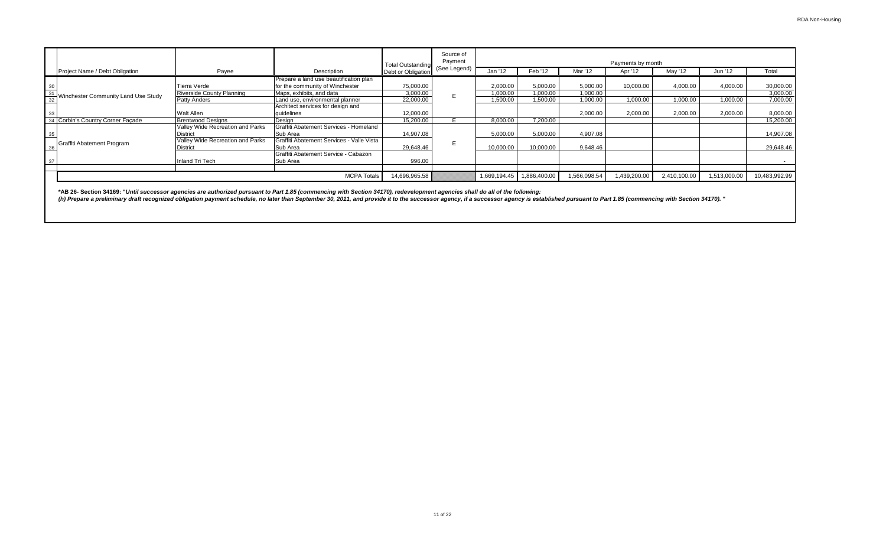|                                     |                                  |                                           | <b>Total Outstanding</b> | Source of<br>Payment |              |              |              | Payments by month |              |              |               |
|-------------------------------------|----------------------------------|-------------------------------------------|--------------------------|----------------------|--------------|--------------|--------------|-------------------|--------------|--------------|---------------|
| Project Name / Debt Obligation      | Payee                            | Description                               | Debt or Obligation       | (See Legend)         | Jan '12      | Feb '12      | Mar '12      | Apr '12           | May '12      | Jun '12      | Total         |
|                                     |                                  | Prepare a land use beautification plan    |                          |                      |              |              |              |                   |              |              |               |
|                                     | <b>Tierra Verde</b>              | for the community of Winchester           | 75,000.00                |                      | 2,000.00     | 5,000.00     | 5,000.00     | 10,000.00         | 4,000.00     | 4,000.00     | 30,000.00     |
| Winchester Community Land Use Study | <b>Riverside County Planning</b> | Maps, exhibits, and data                  | 3,000.00                 |                      | 1,000.00     | 1,000.00     | 1,000.00     |                   |              |              | 3,000.00      |
| $\frac{31}{32}$                     | <b>Patty Anders</b>              | Land use, environmental planner           | 22,000.00                |                      | 1,500.00     | 1,500.00     | 1,000.00     | 1,000.00          | 00.000,1     | 1,000.00     | 7,000.00      |
|                                     |                                  | Architect services for design and         |                          |                      |              |              |              |                   |              |              |               |
| 33                                  | <b>Walt Allen</b>                | quidelines                                | 12.000.00                |                      |              |              | 2,000.00     | 2,000.00          | 2.000.00     | 2,000.00     | 8,000.00      |
| 34 Corbin's Country Corner Facade   | <b>Brentwood Designs</b>         | Desian                                    | 15,200.00                |                      | 8,000.00     | 7,200.00     |              |                   |              |              | 15,200.00     |
|                                     | Valley Wide Recreation and Parks | Graffiti Abatement Services - Homeland    |                          |                      |              |              |              |                   |              |              |               |
| 35                                  | <b>District</b>                  | Sub Area                                  | 14.907.08                |                      | 5,000.00     | 5,000.00     | 4,907.08     |                   |              |              | 14,907.08     |
| Graffiti Abatement Program          | Valley Wide Recreation and Parks | Graffiti Abatement Services - Valle Vista |                          |                      |              |              |              |                   |              |              |               |
| 36                                  | <b>District</b>                  | Sub Area                                  | 29,648.46                |                      | 10.000.00    | 10,000.00    | 9,648.46     |                   |              |              | 29,648.46     |
|                                     |                                  | Graffiti Abatement Service - Cabazon      |                          |                      |              |              |              |                   |              |              |               |
| 37                                  | Inland Tri Tech                  | Sub Area                                  | 996.00                   |                      |              |              |              |                   |              |              |               |
|                                     |                                  |                                           |                          |                      |              |              |              |                   |              |              |               |
|                                     |                                  | <b>MCPA Totals</b>                        | 14,696,965.58            |                      | 1,669,194.45 | 1,886,400.00 | 1,566,098.54 | 1,439,200.00      | 2,410,100.00 | 1,513,000.00 | 10,483,992.99 |

**\*AB 26- Section 34169: "***Until successor agencies are authorized pursuant to Part 1.85 (commencing with Section 34170), redevelopment agencies shall do all of the following:*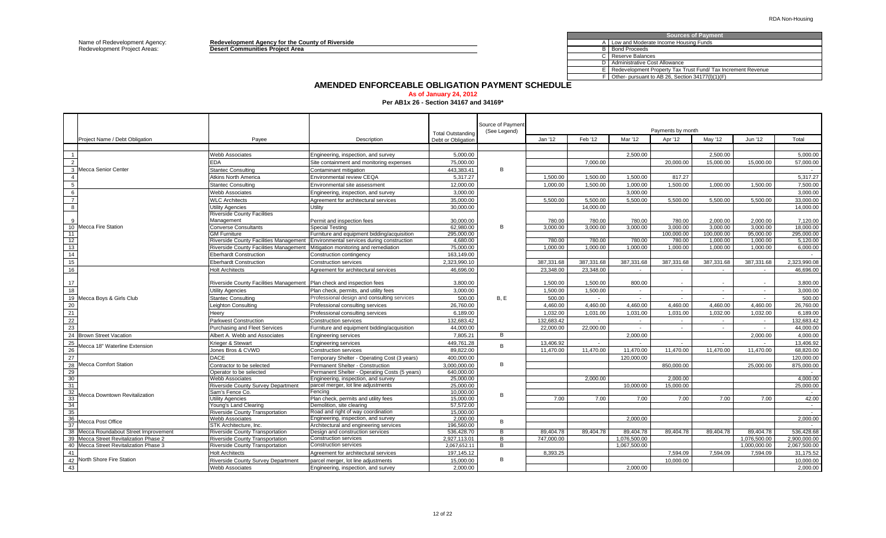Name of Redevelopment Agency: **Redevelopment Agency for the County of Riverside** A Redevelopment Project Areas: **Desert Communities Project Area** B

| <b>Sources of Payment</b>                                    |
|--------------------------------------------------------------|
| A   Low and Moderate Income Housing Funds                    |
| <b>Bond Proceeds</b>                                         |
| Reserve Balances                                             |
| Administrative Cost Allowance                                |
| Redevelopment Property Tax Trust Fund/ Tax Increment Revenue |
| Other- pursuant to AB 26, Section 34177(I)(1)(F)             |
|                                                              |

### **AMENDED ENFORCEABLE OBLIGATION PAYMENT SCHEDULE**

**As of January 24, 2012**

**Per AB1x 26 - Section 34167 and 34169\***

|                |                                        |                                                                       |                                               | <b>Total Outstanding</b> | Source of Payment<br>(See Legend) |            |            |                          | Payments by month |                          |              |                          |
|----------------|----------------------------------------|-----------------------------------------------------------------------|-----------------------------------------------|--------------------------|-----------------------------------|------------|------------|--------------------------|-------------------|--------------------------|--------------|--------------------------|
|                | Project Name / Debt Obligation         | Payee                                                                 | Description                                   | Debt or Obligation       |                                   | Jan '12    | Feb '12    | Mar '12                  | Apr '12           | May '12                  | Jun '12      | Total                    |
|                |                                        |                                                                       |                                               |                          |                                   |            |            |                          |                   |                          |              |                          |
| $\overline{1}$ |                                        | <b>Webb Associates</b>                                                | Engineering, inspection, and survey           | 5,000.00                 |                                   |            |            | 2,500.00                 |                   | 2,500.00                 |              | 5,000.00                 |
| $\overline{2}$ |                                        | EDA                                                                   | Site containment and monitoring expenses      | 75.000.00                |                                   |            | 7.000.00   |                          | 20,000,00         | 15.000.00                | 15,000.00    | 57,000.00                |
|                | 3 Mecca Senior Center                  | <b>Stantec Consulting</b>                                             | Contaminant mitigation                        | 443,383.41               | R.                                |            |            |                          |                   |                          |              |                          |
| $\overline{4}$ |                                        | Atkins North America                                                  | <b>Environmental review CEQA</b>              | 5.317.27                 |                                   | 1.500.00   | 1.500.00   | 1.500.00                 | 817.27            |                          |              | 5.317.27                 |
| 5              |                                        | <b>Stantec Consulting</b>                                             | Environmental site assessment                 | 12,000.00                |                                   | 1,000.00   | 1,500.00   | 1,000.00                 | 1,500.00          | 1,000.00                 | 1.500.00     | 7,500.00                 |
| 6              |                                        | <b>Webb Associates</b>                                                | Engineering, inspection, and survey           | 3,000.00                 |                                   |            |            | 3,000.00                 |                   |                          |              | 3,000.00                 |
| $\overline{7}$ |                                        | <b>WLC Architects</b>                                                 | Agreement for architectural services          | 35.000.00                |                                   | 5.500.00   | 5.500.00   | 5.500.00                 | 5.500.00          | 5.500.00                 | 5.500.00     | 33,000.00                |
| $\overline{8}$ |                                        | <b>Jtility Agencies</b>                                               | Utility                                       | 30,000.00                |                                   |            | 14.000.00  |                          |                   |                          |              | 14,000.00                |
|                |                                        | <b>Riverside County Facilities</b>                                    |                                               |                          |                                   |            |            |                          |                   |                          |              |                          |
|                |                                        | Management                                                            | Permit and inspection fees                    | 30.000.00                |                                   | 780.00     | 780.00     | 780.00                   | 780.00            | 2.000.00                 | 2.000.00     | 7.120.00                 |
|                | 10 Mecca Fire Station                  | Converse Consultants                                                  | Special Testing                               | 62.980.00                | B                                 | 3.000.00   | 3.000.00   | 3.000.00                 | 3.000.00          | 3.000.00                 | 3.000.00     | 18,000.00                |
| 11             |                                        | <b>GM Furniture</b>                                                   | Furniture and equipment bidding/acquisition   | 295,000.00               |                                   |            |            |                          | 100,000.00        | 100,000.00               | 95,000.00    | 295,000.00               |
| 12             |                                        | Riverside County Facilities Management                                | Environmental services during construction    | 4,680.00                 |                                   | 780.00     | 780.00     | 780.00                   | 780.00            | 1,000.00                 | 1,000.00     | 5,120.00                 |
| 13             |                                        | Riverside County Facilities Management                                | Mitigation monitoring and remediation         | 75,000.00                |                                   | 1,000.00   | 1,000.00   | 1,000.00                 | 1,000.00          | 1,000.00                 | 1,000.00     | 6,000.00                 |
| 14             |                                        | <b>Eberhardt Construction</b>                                         | Construction contingency                      | 163,149.00               |                                   |            |            |                          |                   |                          |              | $\sim$                   |
| 15             |                                        | <b>Eberhardt Construction</b>                                         | <b>Construction services</b>                  | 2,323,990.10             |                                   | 387,331.68 | 387,331.68 | 387,331.68               | 387,331.68        | 387,331.68               | 387,331.68   | 2,323,990.08             |
| 16             |                                        | <b>Holt Architects</b>                                                | Agreement for architectural services          | 46,696.00                |                                   | 23,348.00  | 23.348.00  |                          |                   |                          |              | 46.696.00                |
|                |                                        |                                                                       |                                               |                          |                                   |            |            |                          |                   |                          |              |                          |
| 17             |                                        | Riverside County Facilities Management Plan check and inspection fees |                                               | 3,800.00                 |                                   | 1,500.00   | 1,500.00   | 800.00                   |                   |                          |              | 3,800.00                 |
| 18             |                                        | <b>Jtility Agencies</b>                                               | Plan check, permits, and utility fees         | 3.000.00                 |                                   | 1,500.00   | 1.500.00   | $\sim$                   | $\sim$            | $\sim$                   | $\sim$       | 3.000.00                 |
|                | 19 Mecca Boys & Girls Club             | <b>Stantec Consulting</b>                                             | Professional design and consulting services   | 500.00                   | <b>B.E</b>                        | 500.00     |            |                          |                   |                          |              | 500.00                   |
| 20             |                                        | eighton Consulting                                                    | Professional consulting services              | 26,760.00                |                                   | 4,460.00   | 4,460.00   | 4,460.00                 | 4,460.00          | 4,460.00                 | 4,460.00     | 26,760.00                |
| 21             |                                        | Heery                                                                 | Professional consulting services              | 6,189.00                 |                                   | 1,032.00   | 1,031.00   | 1.031.00                 | 1.031.00          | 1,032.00                 | 1,032.00     | 6,189.00                 |
| 22             |                                        | Parkwest Construction                                                 | Construction services                         | 132,683.42               |                                   | 132,683.42 |            | $\overline{\phantom{a}}$ | $\sim$            | $\overline{\phantom{a}}$ | $\sim$       | 132,683.42               |
| 23             |                                        | Purchasing and Fleet Services                                         | Furniture and equipment bidding/acquisition   | 44,000.00                |                                   | 22,000.00  | 22,000.00  | $\sim$                   | $\sim$            | $\sim$                   | $\sim$       | 44.000.00                |
| 24             | Brown Street Vacation                  | Albert A. Webb and Associates                                         | <b>Engineering services</b>                   | 7,805.21                 | B                                 |            |            | 2,000.00                 |                   |                          | 2,000.00     | 4,000.00                 |
| 25             |                                        | Krieger & Stewart                                                     | <b>Engineering services</b>                   | 449,761.28               | B                                 | 13,406.92  |            |                          |                   |                          | $\sim$       | 13,406.92                |
| 26             | Mecca 18" Waterline Extension          | Jones Bros & CVWD                                                     | <b>Construction services</b>                  | 89,822.00                |                                   | 11,470.00  | 11,470.00  | 11,470.00                | 11,470.00         | 11,470.00                | 11,470.00    | 68,820.00                |
| 27             |                                        | DACE                                                                  | Temporary Shelter - Operating Cost (3 years)  | 400.000.00               |                                   |            |            | 120.000.00               |                   |                          |              | 120.000.00               |
| 28             | <b>Mecca Comfort Station</b>           | Contractor to be selected                                             | Permanent Shelter - Construction              | 3,000,000.00             | B                                 |            |            |                          | 850,000.00        |                          | 25,000.00    | 875,000.00               |
| 29             |                                        | Operator to be selected                                               | Permanent Shelter - Operating Costs (5 years) | 640,000.00               |                                   |            |            |                          |                   |                          |              |                          |
| 30             |                                        | Webb Associates                                                       | Engineering, inspection, and survey           | 25,000.00                |                                   |            | 2,000.00   |                          | 2,000.00          |                          |              | 4,000.00                 |
| 31             |                                        | Riverside County Survey Department                                    | parcel merger, lot line adjustments           | 25.000.00                |                                   |            |            | 10.000.00                | 15.000.00         |                          |              | 25.000.00                |
| 32             |                                        | Sam's Fence Co.                                                       | Fencing                                       | 10.000.00                | B                                 |            |            |                          |                   |                          |              | $\sim$                   |
| 33             | Aecca Downtown Revitalization          | <b>Itility Agencies</b>                                               | Plan check, permits and utility fees          | 15,000.00                |                                   | 7.00       | 7.00       | 7.00                     | 7.00              | 7.00                     | 7.00         | 42.00                    |
| 34             |                                        | Young's Land Clearing                                                 | Demolition, site clearing                     | 57,572.00                |                                   |            |            |                          |                   |                          |              |                          |
| 35             |                                        | <b>Riverside County Transportation</b>                                | Road and right of way coordination            | 15,000.00                |                                   |            |            |                          |                   |                          |              | $\sim$                   |
| 36             | Aecca Post Office                      | Webb Associates                                                       | Engineering, inspection, and survey           | 2,000.00                 | B                                 |            |            | 2.000.00                 |                   |                          |              | 2.000.00                 |
| 37             |                                        | <b>STK Architecture, Inc.</b>                                         | Architectural and engineering services        | 196,560.00               |                                   |            |            |                          |                   |                          |              | $\overline{\phantom{a}}$ |
|                | 38 Mecca Roundabout Street Improvement | Riverside County Transportation                                       | Design and construction services              | 536,428.70               | B                                 | 89,404.78  | 89,404.78  | 89,404.78                | 89,404.78         | 89,404.78                | 89,404.78    | 536,428.68               |
| 39             | Mecca Street Revitalization Phase 2    | Riverside County Transportation                                       | <b>Construction services</b>                  | 2,927,113.01             | B                                 | 747,000.00 |            | 1,076,500.00             |                   |                          | 1,076,500.00 | 2.900.000.00             |
|                | 40 Mecca Street Revitalization Phase 3 | Riverside County Transportation                                       | <b>Construction services</b>                  | 2,067,652.11             | B                                 |            |            | 1,067,500.00             |                   |                          | 1,000,000.00 | 2,067,500.00             |
| 41             |                                        | <b>Holt Architects</b>                                                | Agreement for architectural services          | 197,145.12               |                                   | 8,393.25   |            |                          | 7,594.09          | 7,594.09                 | 7,594.09     | 31,175.52                |
| 42             | North Shore Fire Station               | Riverside County Survey Department                                    | parcel merger, lot line adjustments           | 15,000.00                | B                                 |            |            |                          | 10,000.00         |                          |              | 10,000.00                |
| 43             |                                        | Webb Associates                                                       | Engineering, inspection, and survey           | 2.000.00                 |                                   |            |            | 2.000.00                 |                   |                          |              | 2,000.00                 |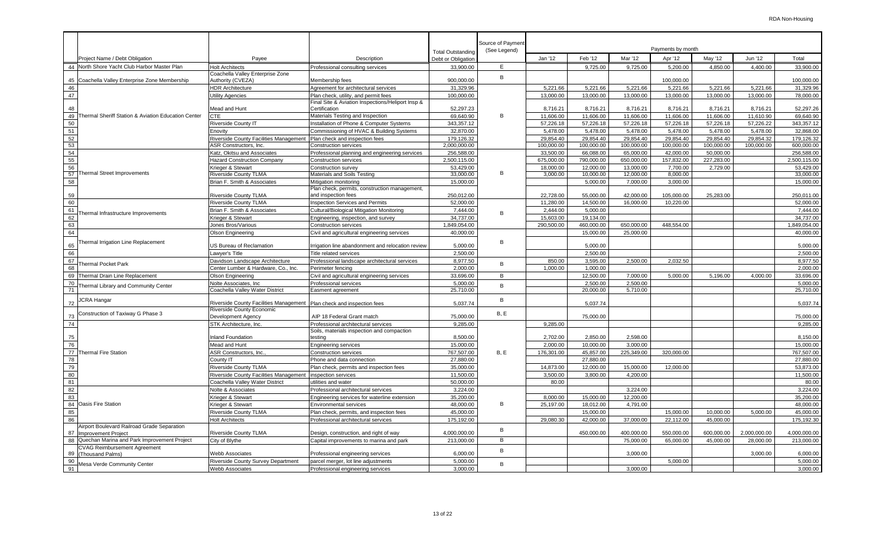|          |                                                                           |                                                                       |                                                                                          | <b>Total Outstanding</b> | Source of Payment<br>(See Legend) |            |            |            | Payments by month |            |              |              |
|----------|---------------------------------------------------------------------------|-----------------------------------------------------------------------|------------------------------------------------------------------------------------------|--------------------------|-----------------------------------|------------|------------|------------|-------------------|------------|--------------|--------------|
|          | Project Name / Debt Obligation                                            | Payee                                                                 | Description                                                                              | Debt or Obligation       |                                   | Jan '12    | Feb '12    | Mar '12    | Apr '12           | May '12    | Jun '12      | Total        |
| 44       | North Shore Yacht Club Harbor Master Plan                                 | <b>Holt Architects</b>                                                | Professional consulting services                                                         | 33.900.00                | E                                 |            | 9,725.00   | 9,725.00   | 5,200.00          | 4.850.00   | 4.400.00     | 33,900.00    |
|          |                                                                           | Coachella Valley Enterprise Zone                                      |                                                                                          |                          | B                                 |            |            |            |                   |            |              |              |
| 45       | Coachella Valley Enterprise Zone Membership                               | Authority (CVEZA)                                                     | Membership fees                                                                          | 900.000.00               |                                   |            |            |            | 100.000.00        |            |              | 100.000.00   |
| 46       |                                                                           | <b>HDR Architecture</b>                                               | Agreement for architectural services                                                     | 31,329.96                |                                   | 5,221.66   | 5,221.66   | 5,221.66   | 5,221.66          | 5,221.66   | 5,221.66     | 31,329.96    |
| 47       |                                                                           | <b>Utility Agencies</b>                                               | Plan check, utility, and permit fees<br>inal Site & Aviation Inspections/Heliport Insp & | 100.000.00               |                                   | 13.000.00  | 13,000.00  | 13.000.00  | 13.000.00         | 13.000.00  | 13.000.00    | 78,000.00    |
| 48       |                                                                           | Mead and Hunt                                                         | Certification                                                                            | 52,297.23                |                                   | 8,716.21   | 8,716.21   | 8,716.21   | 8,716.21          | 8,716.21   | 8,716.21     | 52,297.26    |
| 49       | Thermal Sheriff Station & Aviation Education Center                       | <b>CTE</b>                                                            | Materials Testing and Inspection                                                         | 69,640.90                | B                                 | 11,606.00  | 11,606.00  | 11,606.00  | 11,606.00         | 11,606.00  | 11.610.90    | 69.640.90    |
| 50       |                                                                           | Riverside County IT                                                   | Installation of Phone & Computer Systems                                                 | 343,357.12               |                                   | 57,226.18  | 57,226.18  | 57,226.18  | 57,226.18         | 57,226.18  | 57,226.22    | 343,357.12   |
| 51       |                                                                           | Enovity                                                               | Commissioning of HVAC & Building Systems                                                 | 32,870.00                |                                   | 5,478.00   | 5,478.00   | 5,478.00   | 5,478.00          | 5,478.00   | 5,478.00     | 32,868.00    |
| 52       |                                                                           | Riverside County Facilities Management                                | Plan check and inspection fees                                                           | 179,126.32               |                                   | 29,854.40  | 29,854.40  | 29,854.40  | 29,854.40         | 29,854.40  | 29,854.32    | 179,126.32   |
| 53       |                                                                           | ASR Constructors, Inc.                                                | <b>Construction services</b>                                                             | 2,000,000.00             |                                   | 100,000.00 | 100,000.00 | 100,000.00 | 100,000.00        | 100,000.00 | 100,000.00   | 600,000.00   |
| 54       |                                                                           | Katz, Okitsu and Associates                                           | Professional planning and engineering services                                           | 256.588.00               |                                   | 33.500.00  | 66.088.00  | 65.000.00  | 42.000.00         | 50.000.00  |              | 256.588.00   |
| 55       |                                                                           | <b>Hazard Construction Company</b>                                    | <b>Construction services</b>                                                             | 2,500,115.00             |                                   | 675,000.00 | 790.000.00 | 650,000.00 | 157.832.00        | 227,283.00 |              | 2,500,115.00 |
| 56       |                                                                           | Krieger & Stewart                                                     | Construction survey                                                                      | 53.429.00                |                                   | 18.000.00  | 12.000.00  | 13.000.00  | 7.700.00          | 2,729.00   |              | 53,429.00    |
| 57       | Thermal Street Improvements                                               | <b>Riverside County TLMA</b>                                          | Materials and Soils Testing                                                              | 33,000.00                | B                                 | 3.000.00   | 10,000.00  | 12,000.00  | 8,000.00          |            |              | 33,000.00    |
| 58       |                                                                           | Brian F. Smith & Associates                                           | Mitigation monitoring                                                                    | 15,000.00                |                                   |            | 5,000.00   | 7,000.00   | 3,000.00          |            |              | 15,000.00    |
| 59       |                                                                           | <b>Riverside County TLMA</b>                                          | Plan check, permits, construction management,<br>and inspection fees                     | 250,012.00               |                                   | 22,728.00  | 55.000.00  | 42.000.00  | 105,000.00        | 25,283.00  |              | 250.011.00   |
| 60       |                                                                           | <b>Riverside County TLMA</b>                                          | nspection Services and Permits                                                           | 52,000.00                |                                   | 11,280.00  | 14,500.00  | 16,000.00  | 10,220.00         |            |              | 52,000.00    |
| 61       | hermal Infrastructure Improvements                                        | Brian F. Smith & Associates                                           | Cultural/Biological Mitigation Monitoring                                                | 7,444.00                 | B                                 | 2,444.00   | 5,000.00   |            |                   |            |              | 7,444.00     |
| 62       |                                                                           | Krieger & Stewart                                                     | Engineering, inspection, and survey                                                      | 34,737.00                |                                   | 15,603.00  | 19,134.00  |            |                   |            |              | 34,737.00    |
| 63       |                                                                           | Jones Bros/Various                                                    | <b>Construction services</b>                                                             | 1,849,054.00             |                                   | 290,500.00 | 460,000.00 | 650,000.00 | 448,554.00        |            |              | 1,849,054.00 |
| 64       |                                                                           | Olson Engineering                                                     | Civil and agricultural engineering services                                              | 40.000.00                |                                   |            | 15,000.00  | 25.000.00  |                   |            |              | 40.000.00    |
| 65       | <b>Thermal Irrigation Line Replacement</b>                                | US Bureau of Reclamation                                              | rrigation line abandonment and relocation review                                         | 5,000.00                 | B                                 |            | 5,000.00   |            |                   |            |              | 5,000.00     |
| 66       |                                                                           | Lawver's Title                                                        | Title related services                                                                   | 2.500.00                 |                                   |            | 2.500.00   |            |                   |            |              | 2.500.00     |
| 67       | hermal Pocket Park                                                        | Davidson Landscape Architecture                                       | Professional landscape architectural services                                            | 8,977.50                 | B                                 | 850.00     | 3,595.00   | 2,500.00   | 2,032.50          |            |              | 8,977.50     |
| 68       |                                                                           | Center Lumber & Hardware, Co., Inc.                                   | Perimeter fencing                                                                        | 2.000.00                 |                                   | 1,000.00   | 1.000.00   |            |                   |            |              | 2.000.00     |
| 69       | Thermal Drain Line Replacement                                            | Olson Engineering                                                     | Civil and agricultural engineering services                                              | 33,696.00                | B                                 |            | 12,500.00  | 7,000.00   | 5,000.00          | 5,196.00   | 4,000.00     | 33,696.00    |
| 70       | hermal Library and Community Center                                       | Nolte Associates, Inc.                                                | Professional services                                                                    | 5.000.00                 | B                                 |            | 2.500.00   | 2.500.00   |                   |            |              | 5.000.00     |
| 71       |                                                                           | Coachella Valley Water District                                       | Easment agreement                                                                        | 25.710.00                |                                   |            | 20,000,00  | 5,710.00   |                   |            |              | 25.710.00    |
| 72       | JCRA Hangar                                                               | Riverside County Facilities Management Plan check and inspection fees |                                                                                          | 5,037.74                 | B                                 |            | 5,037.74   |            |                   |            |              | 5,037.74     |
|          | Construction of Taxiway G Phase 3                                         | Riverside County Economic<br>Development Agency                       |                                                                                          | 75.000.00                | B.E                               |            | 75,000.00  |            |                   |            |              | 75,000.00    |
| 73<br>74 |                                                                           | STK Architecture, Inc.                                                | AIP 18 Federal Grant match<br>Professional architectural services                        | 9,285.00                 |                                   | 9,285.00   |            |            |                   |            |              | 9,285.00     |
|          |                                                                           |                                                                       | Soils, materials inspection and compaction                                               |                          |                                   |            |            |            |                   |            |              |              |
| 75       |                                                                           | <b>Inland Foundation</b>                                              | testing                                                                                  | 8,500.00                 |                                   | 2,702.00   | 2,850.00   | 2,598.00   |                   |            |              | 8,150.00     |
| 76       |                                                                           | Mead and Hunt                                                         | Engineering services                                                                     | 15.000.00                |                                   | 2.000.00   | 10.000.00  | 3.000.00   |                   |            |              | 15.000.00    |
| 77       | <b>Thermal Fire Station</b>                                               | ASR Constructors, Inc.                                                | <b>Construction services</b>                                                             | 767,507.00               | <b>B.E</b>                        | 176,301.00 | 45,857.00  | 225,349.00 | 320,000.00        |            |              | 767,507.00   |
| 78       |                                                                           | County IT                                                             | Phone and data connection                                                                | 27.880.00                |                                   |            | 27.880.00  |            |                   |            |              | 27,880.00    |
| 79       |                                                                           | <b>Riverside County TLMA</b>                                          | Plan check, permits and inspection fees                                                  | 35,000.00                |                                   | 14.873.00  | 12.000.00  | 15.000.00  | 12,000.00         |            |              | 53,873.00    |
| 80       |                                                                           | Riverside County Facilities Management                                | inspection services                                                                      | 11.500.00                |                                   | 3,500.00   | 3,800.00   | 4.200.00   |                   |            |              | 11,500.00    |
| 81       |                                                                           | Coachella Valley Water District                                       | utilities and water                                                                      | 50,000.00                |                                   | 80.00      |            |            |                   |            |              | 80.00        |
| 82       |                                                                           | Nolte & Associates                                                    | Professional architectural services                                                      | 3,224.00                 |                                   |            |            | 3,224.00   |                   |            |              | 3.224.00     |
| 83       |                                                                           | Krieger & Stewart                                                     | Engineering services for waterline extension                                             | 35,200.00                |                                   | 8,000.00   | 15,000.00  | 12,200.00  |                   |            |              | 35,200.00    |
| 84       | <b>Oasis Fire Station</b>                                                 | Krieger & Stewart                                                     | <b>Environmental services</b>                                                            | 48.000.00                | B                                 | 25,197.00  | 18,012.00  | 4,791.00   |                   |            |              | 48,000.00    |
| 85       |                                                                           | <b>Riverside County TLMA</b>                                          | Plan check, permits, and inspection fees                                                 | 45,000.00                |                                   |            | 15,000.00  |            | 15,000.00         | 10,000.00  | 5,000.00     | 45,000.00    |
| 86       |                                                                           | <b>Holt Architects</b>                                                | Professional architectural services                                                      | 175,192.00               |                                   | 29,080.30  | 42,000.00  | 37,000.00  | 22,112.00         | 45,000.00  |              | 175,192.30   |
| 87       | Airport Boulevard Railroad Grade Separation<br><b>Improvement Project</b> | <b>Riverside County TLMA</b>                                          | Design, construction, and right of way                                                   | 4,000,000.00             | B                                 |            | 450,000.00 | 400,000.00 | 550,000.00        | 600,000.00 | 2,000,000.00 | 4,000,000.00 |
| 88       | Quechan Marina and Park Improvement Project                               | City of Blythe                                                        | Capital improvements to marina and park                                                  | 213,000.00               | В                                 |            |            | 75,000.00  | 65,000.00         | 45,000.00  | 28,000.00    | 213,000.00   |
| 89       | <b>CVAG Reimbursement Agreement</b><br><b>Thousand Palms)</b>             | <b>Webb Associates</b>                                                | Professional engineering services                                                        | 6,000.00                 | В                                 |            |            | 3,000.00   |                   |            | 3,000.00     | 6,000.00     |
| 90       | <b>Mesa Verde Community Center</b>                                        | Riverside County Survey Department                                    | parcel merger, lot line adjustments                                                      | 5,000.00                 | B                                 |            |            |            | 5,000.00          |            |              | 5,000.00     |
| 91       |                                                                           | <b>Webb Associates</b>                                                | Professional engineering services                                                        | 3.000.00                 |                                   |            |            | 3.000.00   |                   |            |              | 3.000.00     |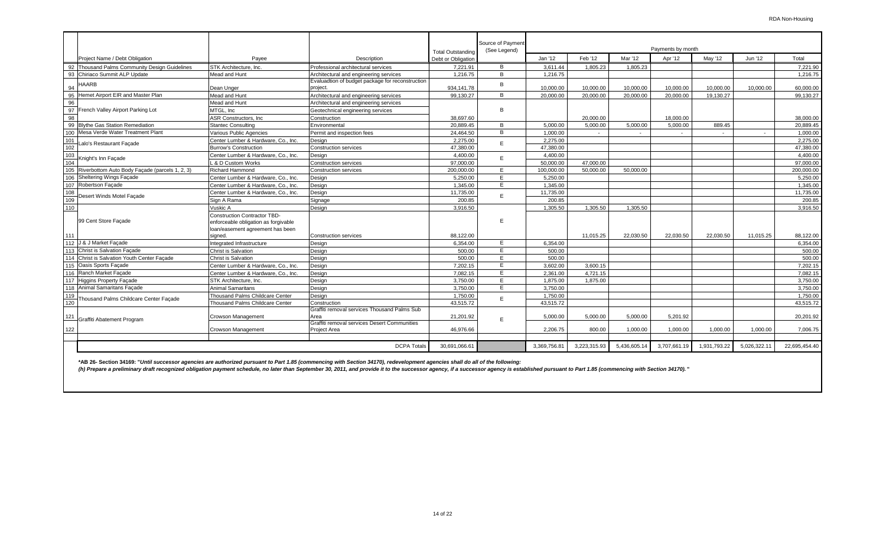|                                                    |                                                                                                                 |                                                                     |                                | Source of Payment |              |              |              |                              |              |             |               |
|----------------------------------------------------|-----------------------------------------------------------------------------------------------------------------|---------------------------------------------------------------------|--------------------------------|-------------------|--------------|--------------|--------------|------------------------------|--------------|-------------|---------------|
| Project Name / Debt Obligation                     | Pavee                                                                                                           | Description                                                         | <b>Total Outstanding</b>       | (See Legend)      | Jan '12      | Feb '12      | Mar '12      | Payments by month<br>Apr '12 | May '12      | Jun '12     | Total         |
| 92 Thousand Palms Community Design Guidelines      | STK Architecture, Inc.                                                                                          | Professional architectural services                                 | Debt or Obligation<br>7.221.91 | B                 | 3.611.44     | 1.805.23     | 1.805.23     |                              |              |             | 7.221.90      |
| 93 Chiriaco Summit ALP Update                      | Mead and Hunt                                                                                                   | Architectural and engineering services                              | 1.216.75                       | B                 | 1.216.75     |              |              |                              |              |             | 1.216.75      |
|                                                    |                                                                                                                 | Evaluadtion of budget package for reconstruction                    |                                |                   |              |              |              |                              |              |             |               |
| HAARB<br>94                                        | Dean Unger                                                                                                      | project.                                                            | 934,141.78                     | B                 | 10.000.00    | 10.000.00    | 10,000.00    | 10.000.00                    | 10.000.00    | 10.000.00   | 60,000.00     |
| Hemet Airport EIR and Master Plan<br>95            | Mead and Hunt                                                                                                   | Architectural and engineering services                              | 99,130.27                      | B.                | 20,000.00    | 20,000.00    | 20,000.00    | 20,000.00                    | 19,130.27    |             | 99.130.27     |
| 96                                                 | Mead and Hunt                                                                                                   | Architectural and engineering services                              |                                |                   |              |              |              |                              |              |             |               |
| 97 French Valley Airport Parking Lot               | MTGL, Inc                                                                                                       | Geotechnical engineering services                                   |                                | B                 |              |              |              |                              |              |             |               |
| 98                                                 | <b>ASR Constructors, Inc.</b>                                                                                   | Construction                                                        | 38.697.60                      |                   |              | 20.000.00    |              | 18.000.00                    |              |             | 38.000.00     |
| 99 Blythe Gas Station Remediation                  | Stantec Consulting                                                                                              | Environmental                                                       | 20.889.45                      | B                 | 5.000.00     | 5.000.00     | 5.000.00     | 5.000.00                     | 889.45       |             | 20.889.45     |
| 100 Mesa Verde Water Treatment Plant               | Various Public Agencies                                                                                         | Permit and inspection fees                                          | 24.464.50                      | B                 | 1.000.00     |              |              |                              |              |             | 1.000.00      |
| 101<br>Lalo's Restaurant Facade                    | Center Lumber & Hardware, Co., Inc.                                                                             | Desian                                                              | 2.275.00                       | E                 | 2.275.00     |              |              |                              |              |             | 2.275.00      |
| 102                                                | <b>Burrow's Construction</b>                                                                                    | <b>Construction services</b>                                        | 47.380.00                      |                   | 47.380.00    |              |              |                              |              |             | 47.380.00     |
| 103                                                | Center Lumber & Hardware, Co., Inc.                                                                             | Desian                                                              | 4,400.00                       | E                 | 4.400.00     |              |              |                              |              |             | 4,400.00      |
| Knight's Inn Facade<br>104                         | <b>4 &amp; D Custom Works</b>                                                                                   | <b>Construction services</b>                                        | 97.000.00                      |                   | 50,000.00    | 47,000.00    |              |                              |              |             | 97,000.00     |
| 105 Riverbottom Auto Body Facade (parcels 1, 2, 3) | Richard Hammond                                                                                                 | <b>Construction services</b>                                        | 200,000.00                     | E                 | 100,000.00   | 50,000.00    | 50.000.00    |                              |              |             | 200,000.00    |
| 106 Sheltering Wings Facade                        | Center Lumber & Hardware, Co., Inc.                                                                             | Desian                                                              | 5.250.00                       | E                 | 5.250.00     |              |              |                              |              |             | 5.250.00      |
| 107 Robertson Façade                               | Center Lumber & Hardware, Co., Inc.                                                                             | Desian                                                              | 1.345.00                       | E                 | 1.345.00     |              |              |                              |              |             | 1,345.00      |
| 108                                                | Center Lumber & Hardware, Co., Inc.                                                                             | Design                                                              | 11,735.00                      | E                 | 11.735.00    |              |              |                              |              |             | 11,735.00     |
| Desert Winds Motel Facade<br>109                   | Sign A Rama                                                                                                     | Signage                                                             | 200.85                         |                   | 200.85       |              |              |                              |              |             | 200.85        |
| 110                                                | Vuskic A                                                                                                        | Design                                                              | 3,916.50                       |                   | 1,305.50     | 1,305.50     | 1,305.50     |                              |              |             | 3.916.50      |
| 99 Cent Store Façade                               | <b>Construction Contractor TBD-</b><br>enforceable obligation as forgivable<br>loan/easement agreement has been |                                                                     |                                | E                 |              |              |              |                              |              |             |               |
| 111                                                | sianed.                                                                                                         | <b>Construction services</b>                                        | 88,122.00                      |                   |              | 11.015.25    | 22.030.50    | 22.030.50                    | 22.030.50    | 11,015.25   | 88,122.00     |
| 112 J & J Market Façade                            | Integrated Infrastructure                                                                                       | Desian                                                              | 6.354.00                       | E                 | 6.354.00     |              |              |                              |              |             | 6,354.00      |
| 113 Christ is Salvation Facade                     | Christ is Salvation                                                                                             | Desian                                                              | 500.00                         | E                 | 500.00       |              |              |                              |              |             | 500.00        |
| 114 Christ is Salvation Youth Center Facade        | Christ is Salvation                                                                                             | Desian                                                              | 500.00                         | E                 | 500.00       |              |              |                              |              |             | 500.00        |
| 115 Oasis Sports Facade                            | Center Lumber & Hardware, Co., Inc.                                                                             | Desian                                                              | 7.202.15                       | E                 | 3.602.00     | 3.600.15     |              |                              |              |             | 7.202.15      |
| 116 Ranch Market Facade                            | Center Lumber & Hardware, Co., Inc.                                                                             | Desian                                                              | 7.082.15                       | E                 | 2.361.00     | 4.721.15     |              |                              |              |             | 7,082.15      |
| 117 Higgins Property Façade                        | STK Architecture, Inc.                                                                                          | Design                                                              | 3.750.00                       | E                 | 1.875.00     | 1,875.00     |              |                              |              |             | 3.750.00      |
| 118 Animal Samaritans Facade                       | Animal Samaritans                                                                                               | Desian                                                              | 3.750.00                       | E                 | 3.750.00     |              |              |                              |              |             | 3.750.00      |
| 119<br>Thousand Palms Childcare Center Facade      | <b>Thousand Palms Childcare Center</b>                                                                          | Design                                                              | 1,750.00                       | F                 | 1.750.00     |              |              |                              |              |             | 1,750.00      |
| 120                                                | <b>Thousand Palms Childcare Center</b>                                                                          | Construction                                                        | 43,515.72                      |                   | 43,515.72    |              |              |                              |              |             | 43,515.72     |
| 121<br>Graffiti Abatement Program                  | Crowson Management                                                                                              | Graffiti removal services Thousand Palms Sub<br>Area                | 21,201.92                      | E                 | 5.000.00     | 5.000.00     | 5.000.00     | 5.201.92                     |              |             | 20.201.92     |
| 122                                                | Crowson Management                                                                                              | Graffiti removal services Desert Communities<br><b>Project Area</b> | 46,976.66                      |                   | 2,206.75     | 800.00       | 1,000.00     | 1,000.00                     | 1,000.00     | 1,000.00    | 7,006.75      |
|                                                    |                                                                                                                 |                                                                     |                                |                   |              |              |              |                              |              |             |               |
|                                                    |                                                                                                                 | <b>DCPA Totals</b>                                                  | 30.691.066.61                  |                   | 3,369,756.81 | 3,223,315.93 | 5,436,605.14 | 3,707,661.19                 | 1,931,793.22 | 5,026,322.1 | 22,695,454.40 |

\*AB 26- Section 34169: "Until successor agencies are authorized pursuant to Part 1.85 (commencing with Section 34170), redevelopment agencies shall do all of the following:<br>(h) Prepare a preliminary draft recognized obliga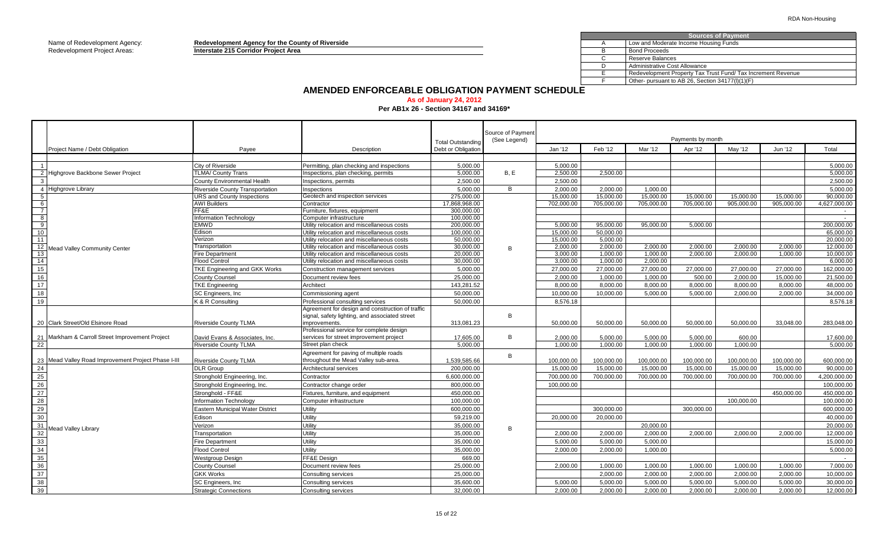Name of Redevelopment Agency: **Redevelopment Agency for the County of Riverside** A Redevelopment Project Areas: **Interstate 215 Corridor Project Area** Beauty and the state of the state of the state of the state of the state of the state of the state of the state of the state of the state of the state of

|     | <b>Sources of Payment</b>                                   |
|-----|-------------------------------------------------------------|
|     | Low and Moderate Income Housing Funds                       |
|     | <b>Bond Proceeds</b>                                        |
|     | Reserve Balances                                            |
|     | Administrative Cost Allowance                               |
|     | Redevelopment Property Tax Trust Fund/Tax Increment Revenue |
|     | Other- pursuant to AB 26, Section 34177(I)(1)(F)            |
| . . |                                                             |

# **AMENDED ENFORCEABLE OBLIGATION PAYMENT SCHEDULE**

#### **As of January 24, 2012 Per AB1x 26 - Section 34167 and 34169\***

|                                               |                                                     |                                         |                                                  |                                                | Source of Payment |            |            |            |                   |            |            |              |
|-----------------------------------------------|-----------------------------------------------------|-----------------------------------------|--------------------------------------------------|------------------------------------------------|-------------------|------------|------------|------------|-------------------|------------|------------|--------------|
|                                               |                                                     |                                         |                                                  |                                                | (See Legend)      |            |            |            | Payments by month |            |            |              |
|                                               | Project Name / Debt Obligation                      | Payee                                   | Description                                      | <b>Total Outstanding</b><br>Debt or Obligation |                   | Jan '12    | Feb '12    | Mar '12    | Apr '12           | May '12    | Jun '12    | Total        |
|                                               |                                                     |                                         |                                                  |                                                |                   |            |            |            |                   |            |            |              |
|                                               |                                                     | City of Riverside                       | Permitting, plan checking and inspections        | 5,000.00                                       |                   | 5.000.00   |            |            |                   |            |            | 5,000.00     |
|                                               | 2 Highgrove Backbone Sewer Project                  | <b>TLMA/ County Trans</b>               | Inspections, plan checking, permits              | 5,000.00                                       | B, E              | 2,500.00   | 2,500.00   |            |                   |            |            | 5,000.00     |
|                                               |                                                     | County Environmental Health             | Inspections, permits                             | 2,500.00                                       |                   | 2,500.00   |            |            |                   |            |            | 2,500.00     |
|                                               | 4 Highgrove Library                                 | <b>Riverside County Transportation</b>  | Inspections                                      | 5,000.00                                       | B                 | 2.000.00   | 2,000.00   | 1,000.00   |                   |            |            | 5.000.00     |
| 5                                             |                                                     | <b>URS and County Inspections</b>       | Geotech and inspection services                  | 275,000.00                                     |                   | 15,000.00  | 15,000.00  | 15,000.00  | 15,000.00         | 15,000.00  | 15,000.00  | 90,000.00    |
| 6                                             |                                                     | <b>AWI Builders</b>                     | Contractor                                       | 17,868,968.00                                  |                   | 702,000.00 | 705,000.00 | 705,000.00 | 705,000.00        | 905,000.00 | 905,000.00 | 4,627,000.00 |
| $\overline{7}$                                |                                                     | FF&E                                    | Furniture, fixtures, equipment                   | 300.000.00                                     |                   |            |            |            |                   |            |            | $\sim$ $-$   |
| $\overline{\mathbf{8}}$                       |                                                     | <b>Information Technology</b>           | Computer infrastructure                          | 100.000.00                                     |                   |            |            |            |                   |            |            | $\sim$       |
| 9                                             |                                                     | <b>EMWD</b>                             | Utility relocation and miscellaneous costs       | 200.000.00                                     |                   | 5.000.00   | 95.000.00  | 95.000.00  | 5.000.00          |            |            | 200.000.00   |
| 10                                            |                                                     | Edison                                  | Utility relocation and miscellaneous costs       | 100,000.00                                     |                   | 15,000.00  | 50.000.00  |            |                   |            |            | 65,000.00    |
| 11                                            |                                                     | Verizon                                 | Utility relocation and miscellaneous costs       | 50.000.00                                      |                   | 15.000.00  | 5.000.00   |            |                   |            |            | 20.000.00    |
| 12                                            | Mead Valley Community Center                        | Transportation                          | Utility relocation and miscellaneous costs       | 30,000.00                                      | B                 | 2.000.00   | 2,000.00   | 2,000.00   | 2,000.00          | 2,000.00   | 2.000.00   | 12,000.00    |
| 13                                            |                                                     | <b>Fire Department</b>                  | Utility relocation and miscellaneous costs       | 20,000.00                                      |                   | 3,000.00   | 1,000.00   | 1,000.00   | 2,000.00          | 2,000.00   | 1,000.00   | 10,000.00    |
| 14                                            |                                                     | <b>Flood Control</b>                    | Utility relocation and miscellaneous costs       | 30,000.00                                      |                   | 3,000.00   | 1,000.00   | 2,000.00   |                   |            |            | 6,000.00     |
| 15                                            |                                                     | TKE Engineering and GKK Works           | Construction management services                 | 5,000.00                                       |                   | 27,000.00  | 27,000.00  | 27,000.00  | 27,000.00         | 27,000.00  | 27,000.00  | 162,000.00   |
| 16                                            |                                                     | <b>County Counsel</b>                   | Document review fees                             | 25,000.00                                      |                   | 2.000.00   | 1.000.00   | 1.000.00   | 500.00            | 2.000.00   | 15.000.00  | 21.500.00    |
| 17                                            |                                                     | <b>TKE Engineering</b>                  | Architect                                        | 143.281.52                                     |                   | 8.000.00   | 8.000.00   | 8.000.00   | 8.000.00          | 8.000.00   | 8.000.00   | 48.000.00    |
| 18                                            |                                                     | SC Engineers, Inc.                      | Commissioning agent                              | 50,000.00                                      |                   | 10.000.00  | 10,000.00  | 5,000.00   | 5.000.00          | 2,000.00   | 2,000.00   | 34.000.00    |
| 19                                            |                                                     | K & R Consulting                        | Professional consulting services                 | 50,000.00                                      |                   | 8,576.18   |            |            |                   |            |            | 8,576.18     |
|                                               |                                                     |                                         | Agreement for design and construction of traffic |                                                |                   |            |            |            |                   |            |            |              |
|                                               |                                                     |                                         | signal, safety lighting, and associated street   |                                                | B                 |            |            |            |                   |            |            |              |
|                                               | 20 Clark Street/Old Elsinore Road                   | <b>Riverside County TLMA</b>            | improvements.                                    | 313,081.23                                     |                   | 50.000.00  | 50.000.00  | 50.000.00  | 50.000.00         | 50.000.00  | 33.048.00  | 283.048.00   |
|                                               |                                                     |                                         | Professional service for complete design         |                                                |                   |            |            |            |                   |            |            |              |
|                                               | 21 Markham & Carroll Street Improvement Project     | David Evans & Associates, Inc.          | services for street improvement project          | 17,605.00                                      | B                 | 2.000.00   | 5,000.00   | 5,000.00   | 5,000.00          | 600.00     |            | 17,600.00    |
| $\overline{22}$                               |                                                     | <b>Riverside County TLMA</b>            | Street plan check                                | 5.000.00                                       |                   | 1.000.00   | 1.000.00   | 1,000.00   | 1,000.00          | 1.000.00   |            | 5.000.00     |
|                                               |                                                     |                                         | Agreement for paving of multiple roads           |                                                | B                 |            |            |            |                   |            |            |              |
|                                               | 23 Mead Valley Road Improvement Project Phase I-III | <b>Riverside County TLMA</b>            | throughout the Mead Valley sub-area.             | 1,539,585.66                                   |                   | 100,000.00 | 100,000.00 | 100,000.00 | 100,000.00        | 100,000.00 | 100,000.00 | 600,000.00   |
| $\frac{24}{25}$                               |                                                     | <b>DLR Group</b>                        | Architectural services                           | 200,000.00                                     |                   | 15,000.00  | 15,000.00  | 15,000.00  | 15,000.00         | 15,000.00  | 15,000.00  | 90.000.00    |
|                                               |                                                     | Stronghold Engineering, Inc.            | Contractor                                       | 6,600,000.00                                   |                   | 700,000.00 | 700,000.00 | 700,000.00 | 700,000.00        | 700,000.00 | 700.000.00 | 4,200,000.00 |
| $rac{18}{26}$                                 |                                                     | Stronghold Engineering, Inc.            | Contractor change order                          | 800,000.00                                     |                   | 100.000.00 |            |            |                   |            |            | 100.000.00   |
| $rac{18}{27}$                                 |                                                     | Stronghold - FF&E                       | Fixtures, furniture, and equipment               | 450,000.00                                     |                   |            |            |            |                   |            | 450,000.00 | 450,000.00   |
| 28                                            |                                                     | <b>Information Technology</b>           | Computer infrastructure                          | 100,000.00                                     |                   |            |            |            |                   | 100,000.00 |            | 100.000.00   |
| 29                                            |                                                     | <b>Eastern Municipal Water District</b> | Utility                                          | 600.000.00                                     |                   |            | 300.000.00 |            | 300.000.00        |            |            | 600.000.00   |
| 30                                            |                                                     | Edison                                  | Utility                                          | 59,219.00                                      |                   | 20.000.00  | 20,000.00  |            |                   |            |            | 40,000.00    |
| 31                                            | Mead Valley Library                                 | Verizon                                 | Utility                                          | 35,000.00                                      | B                 |            |            | 20,000.00  |                   |            |            | 20,000.00    |
| $\frac{32}{32}$                               |                                                     | Transportation                          | Utility                                          | 35,000.00                                      |                   | 2,000.00   | 2,000.00   | 2,000.00   | 2,000.00          | 2,000.00   | 2,000.00   | 12,000.00    |
| $\overline{33}$                               |                                                     | <b>Fire Department</b>                  | Utility                                          | 35.000.00                                      |                   | 5.000.00   | 5.000.00   | 5.000.00   |                   |            |            | 15.000.00    |
|                                               |                                                     | <b>Flood Control</b>                    | Utility                                          | 35,000.00                                      |                   | 2,000.00   | 2.000.00   | 1,000.00   |                   |            |            | 5,000.00     |
| $\begin{array}{r} 34 \\ 35 \\ 36 \end{array}$ |                                                     | Westgroup Design                        | FF&E Desian                                      | 669.00                                         |                   |            |            |            |                   |            |            | $\sim$       |
|                                               |                                                     | <b>County Counsel</b>                   | Document review fees                             | 25,000.00                                      |                   | 2,000.00   | 1,000.00   | 1,000.00   | 1,000.00          | 1,000.00   | 1,000.00   | 7,000.00     |
|                                               |                                                     | <b>GKK Works</b>                        | <b>Consulting services</b>                       | 25,000.00                                      |                   |            | 2,000.00   | 2,000.00   | 2,000.00          | 2,000.00   | 2,000.00   | 10,000.00    |
| $rac{37}{38}$                                 |                                                     | SC Engineers, Inc                       | Consulting services                              | 35,600.00                                      |                   | 5.000.00   | 5.000.00   | 5,000.00   | 5.000.00          | 5.000.00   | 5.000.00   | 30.000.00    |
| $\frac{1}{39}$                                |                                                     |                                         |                                                  |                                                |                   |            |            |            |                   |            |            |              |
|                                               |                                                     | <b>Strategic Connections</b>            | Consulting services                              | 32.000.00                                      |                   | 2.000.00   | 2.000.00   | 2,000.00   | 2.000.00          | 2.000.00   | 2.000.00   | 12.000.00    |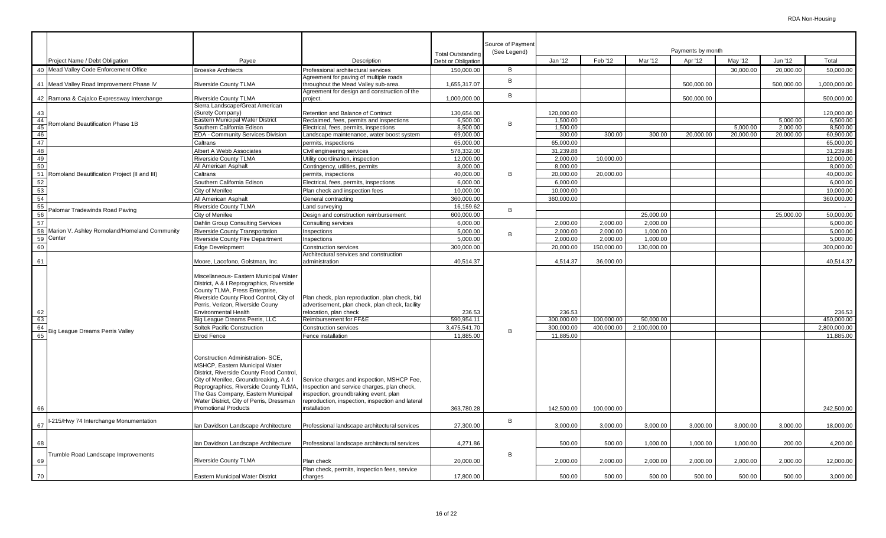|                                                                                       |                                                                                        |                                                                                                                                                                                                                                                                                                                                                                                                                                       |                                                                                                                                                                                                                                                                                                                        | <b>Total Outstanding</b>                          | Source of Payment<br>(See Legend) |                                                 |                                              |                                  | Payments by month                |                                  |                                |                                                   |
|---------------------------------------------------------------------------------------|----------------------------------------------------------------------------------------|---------------------------------------------------------------------------------------------------------------------------------------------------------------------------------------------------------------------------------------------------------------------------------------------------------------------------------------------------------------------------------------------------------------------------------------|------------------------------------------------------------------------------------------------------------------------------------------------------------------------------------------------------------------------------------------------------------------------------------------------------------------------|---------------------------------------------------|-----------------------------------|-------------------------------------------------|----------------------------------------------|----------------------------------|----------------------------------|----------------------------------|--------------------------------|---------------------------------------------------|
|                                                                                       | Project Name / Debt Obligation                                                         | Payee                                                                                                                                                                                                                                                                                                                                                                                                                                 | Description                                                                                                                                                                                                                                                                                                            | Debt or Obligation                                |                                   | Jan '12                                         | Feb '12                                      | Mar '12                          | Apr '12                          | May '12                          | Jun '12                        | Total                                             |
|                                                                                       | 40 Mead Valley Code Enforcement Office                                                 | <b>Broeske Architects</b>                                                                                                                                                                                                                                                                                                                                                                                                             | Professional architectural services                                                                                                                                                                                                                                                                                    | 150,000.00                                        | B                                 |                                                 |                                              |                                  |                                  | 30,000.00                        | 20,000.00                      | 50,000.00                                         |
|                                                                                       |                                                                                        |                                                                                                                                                                                                                                                                                                                                                                                                                                       | Agreement for paving of multiple roads                                                                                                                                                                                                                                                                                 |                                                   | B                                 |                                                 |                                              |                                  |                                  |                                  |                                |                                                   |
|                                                                                       | 41 Mead Valley Road Improvement Phase IV                                               | <b>Riverside County TLMA</b>                                                                                                                                                                                                                                                                                                                                                                                                          | throughout the Mead Valley sub-area.<br>Agreement for design and construction of the                                                                                                                                                                                                                                   | 1,655,317.07                                      |                                   |                                                 |                                              |                                  | 500.000.00                       |                                  | 500,000.00                     | 1,000,000.00                                      |
|                                                                                       | 42 Ramona & Cajalco Expressway Interchange                                             | <b>Riverside County TLMA</b>                                                                                                                                                                                                                                                                                                                                                                                                          | project.                                                                                                                                                                                                                                                                                                               | 1,000,000.00                                      | B                                 |                                                 |                                              |                                  | 500,000.00                       |                                  |                                | 500,000.00                                        |
|                                                                                       |                                                                                        | Sierra Landscape/Great American                                                                                                                                                                                                                                                                                                                                                                                                       |                                                                                                                                                                                                                                                                                                                        |                                                   |                                   |                                                 |                                              |                                  |                                  |                                  |                                |                                                   |
| 43                                                                                    |                                                                                        | (Surety Company)                                                                                                                                                                                                                                                                                                                                                                                                                      | Retention and Balance of Contract                                                                                                                                                                                                                                                                                      | 130,654.00                                        |                                   | 120.000.00                                      |                                              |                                  |                                  |                                  |                                | 120,000.00                                        |
|                                                                                       | Romoland Beautification Phase 1B                                                       | Eastern Municipal Water District                                                                                                                                                                                                                                                                                                                                                                                                      | Reclaimed, fees, permits and inspections                                                                                                                                                                                                                                                                               | 6,500.00                                          | B                                 | 1,500.00                                        |                                              |                                  |                                  |                                  | 5,000.00                       | 6,500.00                                          |
|                                                                                       |                                                                                        | Southern California Edison                                                                                                                                                                                                                                                                                                                                                                                                            | Electrical, fees, permits, inspections                                                                                                                                                                                                                                                                                 | 8,500.00                                          |                                   | 1,500.00                                        |                                              |                                  |                                  | 5,000.00                         | 2,000.00                       | 8,500.00                                          |
|                                                                                       |                                                                                        | EDA - Community Services Division                                                                                                                                                                                                                                                                                                                                                                                                     | Landscape maintenance, water boost system                                                                                                                                                                                                                                                                              | 69,000.00                                         |                                   | 300.00                                          | 300.00                                       | 300.00                           | 20,000.00                        | 20,000.00                        | 20,000.00                      | 60,900.00                                         |
| $\frac{12}{44}$ $\frac{44}{45}$ $\frac{45}{48}$                                       |                                                                                        | Caltrans                                                                                                                                                                                                                                                                                                                                                                                                                              | permits, inspections                                                                                                                                                                                                                                                                                                   | 65,000.00                                         |                                   | 65,000.00                                       |                                              |                                  |                                  |                                  |                                | 65.000.00                                         |
|                                                                                       |                                                                                        | Albert A Webb Associates                                                                                                                                                                                                                                                                                                                                                                                                              | Civil engineering services                                                                                                                                                                                                                                                                                             | 578,332.00                                        |                                   | 31,239.88                                       |                                              |                                  |                                  |                                  |                                | 31,239.88                                         |
| 49                                                                                    |                                                                                        | <b>Riverside County TLMA</b>                                                                                                                                                                                                                                                                                                                                                                                                          | Jtility coordination, inspection                                                                                                                                                                                                                                                                                       | 12,000.00                                         |                                   | 2,000.00                                        | 10,000.00                                    |                                  |                                  |                                  |                                | 12,000.00                                         |
| $\frac{50}{51}$                                                                       |                                                                                        | All American Asphalt                                                                                                                                                                                                                                                                                                                                                                                                                  | Contingency, utilities, permits                                                                                                                                                                                                                                                                                        | 8,000.00                                          |                                   | 8,000.00                                        |                                              |                                  |                                  |                                  |                                | 8,000.00                                          |
|                                                                                       | Romoland Beautification Project (II and III)                                           | Caltrans                                                                                                                                                                                                                                                                                                                                                                                                                              | permits, inspections                                                                                                                                                                                                                                                                                                   | 40,000.00                                         | B                                 | 20,000.00                                       | 20,000.00                                    |                                  |                                  |                                  |                                | 40,000.00                                         |
|                                                                                       |                                                                                        | Southern California Edison                                                                                                                                                                                                                                                                                                                                                                                                            | Electrical, fees, permits, inspections                                                                                                                                                                                                                                                                                 | 6.000.00                                          |                                   | 6.000.00                                        |                                              |                                  |                                  |                                  |                                | 6.000.00                                          |
|                                                                                       |                                                                                        | City of Menifee                                                                                                                                                                                                                                                                                                                                                                                                                       | Plan check and inspection fees                                                                                                                                                                                                                                                                                         | 10,000.00                                         |                                   | 10,000.00                                       |                                              |                                  |                                  |                                  |                                | 10,000.00                                         |
|                                                                                       |                                                                                        | All American Asphalt                                                                                                                                                                                                                                                                                                                                                                                                                  | General contracting                                                                                                                                                                                                                                                                                                    | 360.000.00                                        |                                   | 360,000.00                                      |                                              |                                  |                                  |                                  |                                | 360.000.00                                        |
| $\frac{2}{3}$ $\frac{2}{3}$ $\frac{1}{3}$ $\frac{1}{3}$ $\frac{1}{3}$                 |                                                                                        | <b>Riverside County TLMA</b>                                                                                                                                                                                                                                                                                                                                                                                                          | and surveying.                                                                                                                                                                                                                                                                                                         | 16,159.62                                         |                                   |                                                 |                                              |                                  |                                  |                                  |                                |                                                   |
|                                                                                       | Palomar Tradewinds Road Paving                                                         | City of Menifee                                                                                                                                                                                                                                                                                                                                                                                                                       | Design and construction reimbursement                                                                                                                                                                                                                                                                                  | 600,000.00                                        | B                                 |                                                 |                                              | 25,000.00                        |                                  |                                  | 25,000.00                      | 50,000.00                                         |
| 57                                                                                    |                                                                                        | Dahlin Group Consulting Services                                                                                                                                                                                                                                                                                                                                                                                                      | Consulting services                                                                                                                                                                                                                                                                                                    | 6,000.00                                          |                                   | 2,000.00                                        | 2,000.00                                     | 2,000.00                         |                                  |                                  |                                | 6,000.00                                          |
|                                                                                       |                                                                                        | Riverside County Transportation                                                                                                                                                                                                                                                                                                                                                                                                       | Inspections                                                                                                                                                                                                                                                                                                            | 5,000.00                                          |                                   | 2,000.00                                        | 2,000.00                                     | 1,000.00                         |                                  |                                  |                                | 5,000.00                                          |
|                                                                                       |                                                                                        | <b>Riverside County Fire Department</b>                                                                                                                                                                                                                                                                                                                                                                                               | Inspections                                                                                                                                                                                                                                                                                                            | 5,000.00                                          | B                                 | 2,000.00                                        | 2,000.00                                     | 1,000.00                         |                                  |                                  |                                | 5,000.00                                          |
|                                                                                       | $\frac{58}{59}$ Marion V. Ashley Romoland/Homeland Community<br>$\frac{59}{60}$ Center | <b>Edge Development</b>                                                                                                                                                                                                                                                                                                                                                                                                               | Construction services                                                                                                                                                                                                                                                                                                  | 300,000.00                                        |                                   | 20,000.00                                       | 150,000.00                                   | 130,000.00                       |                                  |                                  |                                | 300.000.00                                        |
|                                                                                       |                                                                                        |                                                                                                                                                                                                                                                                                                                                                                                                                                       | Architectural services and construction                                                                                                                                                                                                                                                                                |                                                   |                                   |                                                 |                                              |                                  |                                  |                                  |                                |                                                   |
| 61                                                                                    |                                                                                        | Moore, Lacofono, Golstman, Inc.                                                                                                                                                                                                                                                                                                                                                                                                       | administration                                                                                                                                                                                                                                                                                                         | 40,514.37                                         |                                   | 4,514.37                                        | 36,000.00                                    |                                  |                                  |                                  |                                | 40,514.37                                         |
| $\begin{array}{r}\n 62 \\  \hline\n 63 \\  \hline\n 64 \\  \hline\n 65\n \end{array}$ | Big League Dreams Perris Valley                                                        | Miscellaneous- Eastern Municipal Water<br>District, A & I Reprographics, Riverside<br>County TLMA, Press Enterprise,<br>Riverside County Flood Control, City of<br>Perris, Verizon, Riverside Couny<br><b>Environmental Health</b><br>Big League Dreams Perris, LLC<br>Soltek Pacific Construction<br>Elrod Fence<br>Construction Administration- SCE,<br>MSHCP, Eastern Municipal Water<br>District, Riverside County Flood Control, | Plan check, plan reproduction, plan check, bid<br>advertisement, plan check, plan check, facility<br>relocation, plan check<br>Reimbursement for FF&E<br>Construction services<br>Fence installation                                                                                                                   | 236.53<br>590.954.11<br>3,475,541.70<br>11,885.00 | B                                 | 236.53<br>300.000.00<br>300,000.00<br>11,885.00 | 100.000.00<br>400,000.00                     | 50.000.00<br>2,100,000.00        |                                  |                                  |                                | 236.53<br>450.000.00<br>2,800,000.00<br>11,885.00 |
| 66<br>67<br>68<br>69                                                                  | -215/Hwy 74 Interchange Monumentation<br><b>Trumble Road Landscape Improvements</b>    | City of Menifee, Groundbreaking, A & I<br>Reprographics, Riverside County TLMA,<br>The Gas Company, Eastern Municipal<br>Water District, City of Perris, Dressman<br><b>Promotional Products</b><br>Ian Davidson Landscape Architecture<br>Ian Davidson Landscape Architecture<br><b>Riverside County TLMA</b>                                                                                                                        | Service charges and inspection, MSHCP Fee,<br>Inspection and service charges, plan check,<br>inspection, groundbraking event, plan<br>reproduction, inspection, inspection and lateral<br>installation<br>Professional landscape architectural services<br>Professional landscape architectural services<br>Plan check | 363,780.28<br>27,300.00<br>4,271.86<br>20,000.00  | B<br>B                            | 142,500.00<br>3,000.00<br>500.00<br>2,000.00    | 100,000.00<br>3,000.00<br>500.00<br>2,000.00 | 3,000.00<br>1,000.00<br>2,000.00 | 3,000.00<br>1,000.00<br>2,000.00 | 3,000.00<br>1,000.00<br>2,000.00 | 3,000.00<br>200.00<br>2,000.00 | 242,500.00<br>18,000.00<br>4,200.00<br>12,000.00  |
|                                                                                       |                                                                                        |                                                                                                                                                                                                                                                                                                                                                                                                                                       | Plan check, permits, inspection fees, service                                                                                                                                                                                                                                                                          |                                                   |                                   |                                                 |                                              |                                  |                                  |                                  |                                |                                                   |
| 70                                                                                    |                                                                                        | Eastern Municipal Water District                                                                                                                                                                                                                                                                                                                                                                                                      | charges                                                                                                                                                                                                                                                                                                                | 17,800.00                                         |                                   | 500.00                                          | 500.00                                       | 500.00                           | 500.00                           | 500.00                           | 500.00                         | 3,000.00                                          |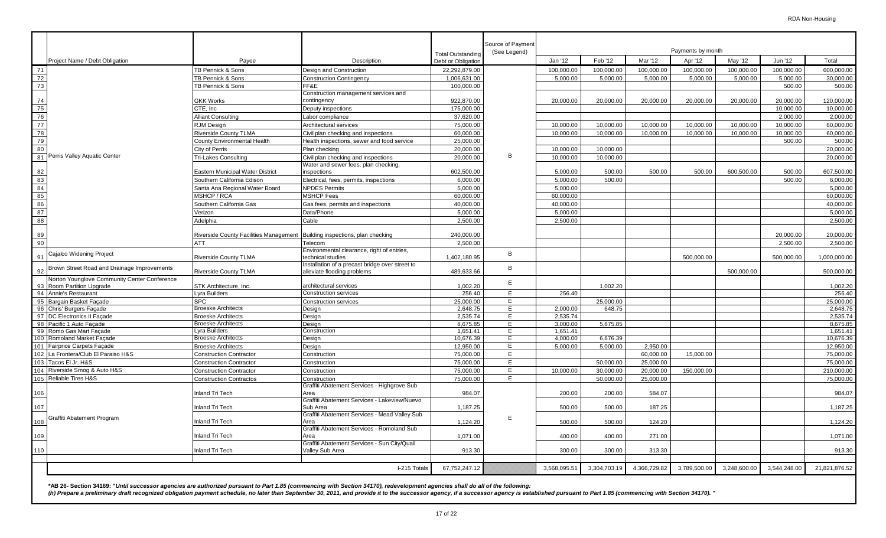|                                                                           |                                                                              |                                                                                | <b>Total Outstanding</b> | Source of Payment<br>(See Legend) |              |              |              | Payments by month |              |              |               |
|---------------------------------------------------------------------------|------------------------------------------------------------------------------|--------------------------------------------------------------------------------|--------------------------|-----------------------------------|--------------|--------------|--------------|-------------------|--------------|--------------|---------------|
| Project Name / Debt Obligation                                            | Payee                                                                        | Description                                                                    | Debt or Obligation       |                                   | Jan '12      | Feb '12      | Mar '12      | Apr '12           | May '12      | Jun '12      | Total         |
| 71                                                                        | TB Pennick & Sons                                                            | Design and Construction                                                        | 22,292,879.00            |                                   | 100,000.00   | 100,000.00   | 100,000.00   | 100,000.00        | 100,000.00   | 100,000.00   | 600,000.00    |
| 72                                                                        | TB Pennick & Sons                                                            | <b>Construction Contingency</b>                                                | 1,006,631.00             |                                   | 5,000.00     | 5,000.00     | 5,000.00     | 5,000.00          | 5,000.00     | 5,000.00     | 30,000.00     |
| 73                                                                        | TB Pennick & Sons                                                            | FF&E                                                                           | 100,000.00               |                                   |              |              |              |                   |              | 500.00       | 500.00        |
|                                                                           |                                                                              | Construction management services and                                           |                          |                                   |              |              |              |                   |              |              |               |
| 74                                                                        | <b>GKK Works</b>                                                             | contingency                                                                    | 922,870.00               |                                   | 20,000.00    | 20,000.00    | 20,000.00    | 20,000.00         | 20,000.00    | 20,000.00    | 120,000.00    |
|                                                                           | CTE. Inc                                                                     | Deputy inspections                                                             | 175,000.00               |                                   |              |              |              |                   |              | 10.000.00    | 10,000.00     |
|                                                                           | Alliant Consulting                                                           | abor compliance                                                                | 37,620.00                |                                   |              |              |              |                   |              | 2,000.00     | 2,000.00      |
| $\begin{array}{r} \n 75 \\  \hline\n 76 \\  \hline\n 77\n \end{array}$    | <b>RJM Design</b>                                                            | Architectural services                                                         | 75,000.00                |                                   | 10,000.00    | 10,000.00    | 10,000.00    | 10,000.00         | 10,000.00    | 10,000.00    | 60,000.00     |
| $\begin{array}{r} \hline 78 \\ 79 \\ 80 \end{array}$                      | Riverside County TLMA                                                        | Civil plan checking and inspections                                            | 60,000.00                |                                   | 10,000.00    | 10,000.00    | 10,000.00    | 10,000.00         | 10,000.00    | 10,000.00    | 60,000.00     |
|                                                                           | County Environmental Health                                                  | Health inspections, sewer and food service                                     | 25,000.00                |                                   |              |              |              |                   |              | 500.00       | 500.00        |
|                                                                           | City of Perris                                                               | Plan checking                                                                  | 20,000.00                |                                   | 10,000.00    | 10,000.00    |              |                   |              |              | 20,000.00     |
| 81<br>Perris Valley Aquatic Center                                        | Tri-Lakes Consulting                                                         | Civil plan checking and inspections                                            | 20,000.00                | B                                 | 10,000.00    | 10,000.00    |              |                   |              |              | 20,000.00     |
|                                                                           |                                                                              | Water and sewer fees, plan checking,                                           |                          |                                   |              |              |              |                   |              |              |               |
| 82                                                                        | Eastern Municipal Water District                                             | inspections                                                                    | 602,500.00               |                                   | 5,000.00     | 500.00       | 500.00       | 500.00            | 600,500.00   | 500.00       | 607,500.00    |
| 83                                                                        | Southern California Edison                                                   | Electrical, fees, permits, inspections                                         | 6.000.00                 |                                   | 5.000.00     | 500.00       |              |                   |              | 500.00       | 6.000.00      |
|                                                                           | Santa Ana Regional Water Board                                               | <b>NPDES Permits</b>                                                           | 5.000.00                 |                                   | 5.000.00     |              |              |                   |              |              | 5.000.00      |
| $\begin{array}{r} 84 \\ \hline 85 \\ \hline 86 \end{array}$               | <b>MSHCP / RCA</b>                                                           | <b>MSHCP Fees</b>                                                              | 60,000.00                |                                   | 60,000.00    |              |              |                   |              |              | 60,000.00     |
|                                                                           | Southern California Gas                                                      | Gas fees, permits and inspections                                              | 40.000.00                |                                   | 40.000.00    |              |              |                   |              |              | 40.000.00     |
| 87                                                                        | Verizon                                                                      | Data/Phone                                                                     | 5,000.00                 |                                   | 5,000.00     |              |              |                   |              |              | 5,000.00      |
| 88                                                                        | Adelphia                                                                     | Cable                                                                          | 2,500.00                 |                                   | 2,500.00     |              |              |                   |              |              | 2,500.00      |
|                                                                           |                                                                              |                                                                                |                          |                                   |              |              |              |                   |              |              |               |
| 89                                                                        | Riverside County Facilities Management   Building inspections, plan checking |                                                                                | 240,000.00               |                                   |              |              |              |                   |              | 20,000.00    | 20,000.00     |
| 90                                                                        | ATT                                                                          | Telecom                                                                        | 2,500.00                 |                                   |              |              |              |                   |              | 2,500.00     | 2,500.00      |
| Cajalco Widening Project                                                  |                                                                              | Environmental clearance, right of entries,                                     |                          | B                                 |              |              |              |                   |              |              |               |
| 91                                                                        | Riverside County TLMA                                                        | technical studies                                                              | 1,402,180.95             |                                   |              |              |              | 500,000.00        |              | 500,000.00   | 1,000,000.00  |
| Brown Street Road and Drainage Improvements<br>92                         | Riverside County TLMA                                                        | Installation of a precast bridge over street to<br>alleviate flooding problems | 489,633.66               | B                                 |              |              |              |                   | 500,000.00   |              | 500,000.00    |
| Norton Younglove Community Center Conference<br>93 Room Partition Upgrade | STK Architecture, Inc.                                                       | architectural services                                                         | 1,002.20                 | E                                 |              | 1,002.20     |              |                   |              |              | 1,002.20      |
| 94 Annie's Restaurant                                                     | Lyra Builders                                                                | Construction services                                                          | 256.40                   | E                                 | 256.40       |              |              |                   |              |              | 256.40        |
| 95 Bargain Basket Facade                                                  | <b>SPC</b>                                                                   | <b>Construction services</b>                                                   | 25.000.00                | E                                 |              | 25,000.00    |              |                   |              |              | 25,000.00     |
| 96 Chris' Burgers Façade                                                  | <b>Broeske Architects</b>                                                    | Design                                                                         | 2,648.75                 | E                                 | 2,000.00     | 648.75       |              |                   |              |              | 2,648.75      |
| 97 DC Electronics II Facade                                               | <b>Broeske Architects</b>                                                    | Design                                                                         | 2,535.74                 | E                                 | 2,535.74     |              |              |                   |              |              | 2,535.74      |
| 98 Pacific 1 Auto Façade                                                  | <b>Broeske Architects</b>                                                    | Design                                                                         | 8,675.85                 | E                                 | 3,000.00     | 5,675.85     |              |                   |              |              | 8,675.85      |
| 99 Romo Gas Mart Facade                                                   | Lyra Builders                                                                | Construction                                                                   | 1,651.41                 | E                                 | 1,651.41     |              |              |                   |              |              | 1,651.41      |
| 100 Romoland Market Facade                                                | <b>Broeske Architects</b>                                                    | Design                                                                         | 10,676.39                | E                                 | 4,000.00     | 6,676.39     |              |                   |              |              | 10,676.39     |
| 101 Fairprice Carpets Facade                                              | <b>Broeske Architects</b>                                                    | Design                                                                         | 12,950.00                | E                                 | 5,000.00     | 5,000.00     | 2,950.00     |                   |              |              | 12,950.00     |
| 102 La Frontera/Club El Paraiso H&S                                       | <b>Construction Contractor</b>                                               | Construction                                                                   | 75,000.00                | E                                 |              |              | 60,000.00    | 15,000.00         |              |              | 75,000.00     |
| 103 Tacos El Jr. H&S                                                      | <b>Construction Contractor</b>                                               | Construction                                                                   | 75,000.00                | E                                 |              | 50,000.00    | 25,000.00    |                   |              |              | 75,000.00     |
| 104 Riverside Smog & Auto H&S                                             | <b>Construction Contractor</b>                                               | Construction                                                                   | 75,000.00                | E                                 | 10,000.00    | 30,000.00    | 20,000.00    | 150,000.00        |              |              | 210,000.00    |
| 105 Reliable Tires H&S                                                    | <b>Construction Contractos</b>                                               | Construction                                                                   | 75,000.00                | E                                 |              | 50,000.00    | 25,000.00    |                   |              |              | 75,000.00     |
|                                                                           |                                                                              | Graffiti Abatement Services - Highgrove Sub                                    |                          |                                   |              |              |              |                   |              |              |               |
| 106                                                                       | <b>Inland Tri Tech</b>                                                       | Area                                                                           | 984.07                   |                                   | 200.00       | 200.00       | 584.07       |                   |              |              | 984.07        |
|                                                                           |                                                                              | Graffiti Abatement Services - Lakeview/Nuevo                                   |                          |                                   |              |              |              |                   |              |              |               |
| 107                                                                       | nland Tri Tech                                                               | Sub Area<br>Graffiti Abatement Services - Mead Valley Sub                      | 1,187.25                 |                                   | 500.00       | 500.00       | 187.25       |                   |              |              | 1,187.25      |
| Graffiti Abatement Program<br>108                                         | nland Tri Tech                                                               | Area                                                                           | 1,124.20                 | E                                 | 500.00       | 500.00       | 124.20       |                   |              |              | 1,124.20      |
|                                                                           |                                                                              | Graffiti Abatement Services - Romoland Sub                                     |                          |                                   |              |              |              |                   |              |              |               |
| 109                                                                       | nland Tri Tech                                                               | Area                                                                           | 1,071.00                 |                                   | 400.00       | 400.00       | 271.00       |                   |              |              | 1,071.00      |
|                                                                           |                                                                              | Graffiti Abatement Services - Sun City/Quail                                   |                          |                                   |              |              |              |                   |              |              |               |
| 110                                                                       | Inland Tri Tech                                                              | Valley Sub Area                                                                | 913.30                   |                                   | 300.00       | 300.00       | 313.30       |                   |              |              | 913.30        |
|                                                                           |                                                                              |                                                                                |                          |                                   |              |              |              |                   |              |              |               |
|                                                                           |                                                                              | I-215 Totals                                                                   | 67,752,247.12            |                                   | 3,568,095.51 | 3,304,703.19 | 4,366,729.82 | 3,789,500.00      | 3,248,600.00 | 3,544,248.00 | 21,821,876.52 |
|                                                                           |                                                                              |                                                                                |                          |                                   |              |              |              |                   |              |              |               |
|                                                                           |                                                                              |                                                                                |                          |                                   |              |              |              |                   |              |              |               |

**\*AB 26- Section 34169: "***Until successor agencies are authorized pursuant to Part 1.85 (commencing with Section 34170), redevelopment agencies shall do all of the following:*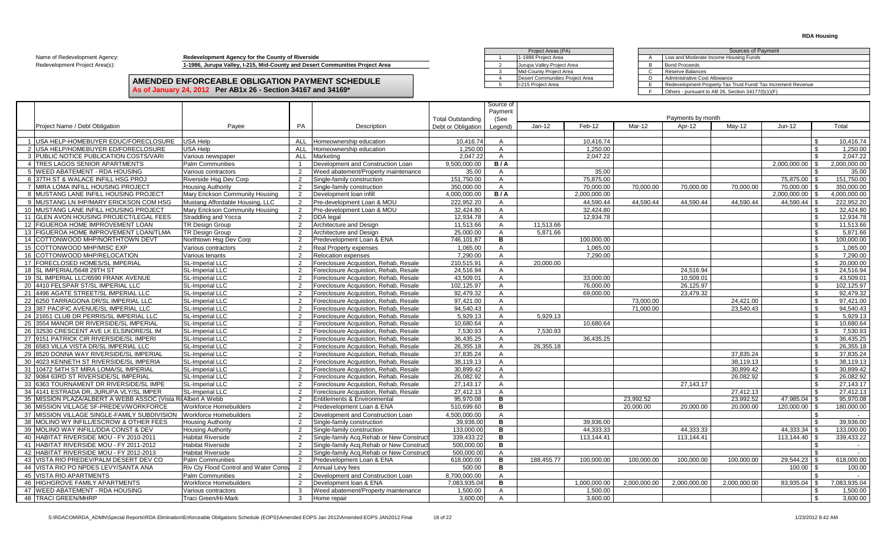#### **AMENDED ENFORCEABLE OBLIGATION PAYMENT SCHEDULE As of January 24, 2012 Per AB1x 26 - Section 34167 and 34169\***

|                                |                                                                              |  | Project Areas (PA)              |  |                                |
|--------------------------------|------------------------------------------------------------------------------|--|---------------------------------|--|--------------------------------|
| Name of Redevelopment Agency:  | Redevelopment Agency for the County of Riverside                             |  | 1-1986 Project Area             |  | Low and Moderate Income Ho     |
| Redevelopment Project Area(s): | 1-1986, Jurupa Valley, I-215, Mid-County and Desert Communities Project Area |  | Jurupa Valley Project Area      |  | <b>Bond Proceeds</b>           |
|                                |                                                                              |  | Mid-County Proiect Area         |  | Reserve Balances               |
|                                | AMENDED ENFORCEABLE OBLIGATION PAYMENT SCHEDULE                              |  | Desert Communities Project Area |  | Administrative Cost Allowance  |
|                                |                                                                              |  | I-215 Project Area              |  | Redevelopment Property Tax     |
|                                | As of January 24, 2012 Per AB1x 26 - Section 34167 and 34169 $^*$            |  |                                 |  | Others - pursuant to AB 26, So |

| Project Areas (PA)              |   | Sources of Payment                                           |
|---------------------------------|---|--------------------------------------------------------------|
| 1-1986 Proiect Area             | A | Low and Moderate Income Housing Funds                        |
| Jurupa Valley Project Area      | B | <b>Bond Proceeds</b>                                         |
| Mid-County Project Area         | С | Reserve Balances                                             |
| Desert Communities Project Area |   | Administrative Cost Allowance                                |
| I-215 Proiect Area              |   | Redevelopment Property Tax Trust Fund/ Tax Increment Revenue |
|                                 |   | Others - pursuant to AB 26, Section 34177(I)(1)(F)           |

|                                                                |                                              |                |                                           |                          | Source of<br>Payment |            |              |              |                   |              |               |                             |
|----------------------------------------------------------------|----------------------------------------------|----------------|-------------------------------------------|--------------------------|----------------------|------------|--------------|--------------|-------------------|--------------|---------------|-----------------------------|
|                                                                |                                              |                |                                           | <b>Total Outstanding</b> | (See                 |            |              |              | Payments by month |              |               |                             |
| Project Name / Debt Obligation                                 | Payee                                        | PA             | Description                               | Debt or Obligation       | Legend)              | $Jan-12$   | Feb-12       | Mar-12       | Apr-12            | Mav-12       | $Jun-12$      | Total                       |
| 1 USA HELP-HOMEBUYER EDUC/FORECLOSURE                          | <b>USA Help</b>                              |                | ALL Homeownership education               | 10.416.74                | $\mathsf{A}$         |            | 10.416.74    |              |                   |              |               | 10.416.74<br>- \$           |
| 2 USA HELP/HOMEBUYER ED/FORECLOSURE                            | USA Help                                     | <b>ALL</b>     | Homeownership education                   | 1.250.00                 | $\mathsf{A}$         |            | 1.250.00     |              |                   |              |               | - \$<br>1,250.00            |
| 3 PUBLIC NOTICE PUBLICATION COSTS/VARI                         | Various newspaper                            | <b>ALL</b>     | Marketing                                 | 2.047.22                 | $\overline{A}$       |            | 2.047.22     |              |                   |              |               | 2.047.22                    |
| 4 TRES LAGOS SENIOR APARTMENTS                                 | <b>Palm Communities</b>                      | -1             | Development and Construction Loan         | 9,500,000.00             | B/A                  |            |              |              |                   |              | 2,000,000.00  | <b>S</b><br>2,000,000.00    |
| 5 WEED ABATEMENT - RDA HOUSING                                 | Various contractors                          | 2              | Weed abatement/Property maintenance       | 35.00                    | $\overline{A}$       |            | 35.00        |              |                   |              |               | 35.00                       |
| 6 37TH ST & WALACE INFILL HSG PROJ                             |                                              | 2              |                                           | 151.750.00               | $\overline{A}$       |            | 75,875.00    |              |                   |              | 75,875.00     | 151.750.00                  |
| 7 MIRA LOMA INFILL HOUSING PROJECT                             | Riverside Hsg Dev Corp                       |                | Single-family construction                |                          |                      |            | 70.000.00    | 70.000.00    | 70,000.00         | 70,000.00    |               | 350.000.00<br>$\mathcal{L}$ |
|                                                                | Housina Authority                            | 2              | Single-family construction                | 350.000.00               | $\overline{A}$       |            |              |              |                   |              | 70.000.00     |                             |
| 8 MUSTANG LANE INFILL HOUSING PROJECT                          | Mary Erickson Community Housing              | $\overline{2}$ | Development loan infill                   | 4,000,000.00             | B/A                  |            | 2,000,000.00 |              |                   |              | 2,000,000.00  | 4,000,000.00<br>- \$        |
| 9 MUSTANG LN IHP/MARY ERICKSON COM HSG                         | Mustang Affordable Housing, LLC              | $\overline{2}$ | Pre-development Loan & MOU                | 222.952.20               | A                    |            | 44.590.44    | 44.590.44    | 44.590.44         | 44.590.44    | 44,590.44     | 222,952.20<br>l \$          |
| 10 MUSTANG LANE INFILL HOUSING PROJECT                         | Mary Erickson Community Housing              | 2              | Pre-development Loan & MOU                | 32,424.80                | $\overline{A}$       |            | 32,424.80    |              |                   |              |               | 32.424.80<br>-\$            |
| 11 GLEN AVON HOUSING PROJECT/LEGAL FEES                        | Straddling and Yocca                         | 2              | DDA legal                                 | 12.934.78                | $\mathsf{A}$         |            | 12.934.78    |              |                   |              |               | 12.934.78<br>- \$           |
| 12 FIGUEROA HOME IMPROVEMENT LOAN                              | <b>TR Design Group</b>                       | 2              | Architecture and Design                   | 11,513.66                | $\mathsf{A}$         | 11,513.66  |              |              |                   |              |               | \$<br>11,513.66             |
| 13 FIGUEROA HOME IMPROVEMENT LOAN/TLMA                         | <b>TR Design Group</b>                       | 2              | Architecture and Design                   | 25.000.00                | $\mathsf{A}$         | 5.871.66   |              |              |                   |              |               | \$<br>5.871.66              |
| 14 COTTONWOOD MHP/NORTHTOWN DEVT                               | Northtown Hsg Dev Corp                       | 2              | Predevelopment Loan & ENA                 | 746,101.87               | в                    |            | 100,000.00   |              |                   |              |               | 100,000.00<br>\$            |
| 15 COTTONWOOD MHP/MISC EXP                                     | Various contractors                          | 2              | <b>Real Property expenses</b>             | 1.065.00                 | $\overline{A}$       |            | 1.065.00     |              |                   |              |               | \$<br>1.065.00              |
| 16 COTTONWOOD MHP/RELOCATION                                   | Various tenants                              | 2              | <b>Relocation expenses</b>                | 7.290.00                 | $\overline{A}$       |            | 7,290.00     |              |                   |              |               | \$<br>7.290.00              |
| 17 FORECLOSED HOMES/SL IMPERIAL                                | SL-Imperial LLC                              | $\overline{2}$ | Foreclosure Acquistion, Rehab, Resale     | 210.515.91               | $\mathsf{A}$         | 20.000.00  |              |              |                   |              |               | 20.000.00<br>\$             |
| 18 SL IMPERIAL/5648 29TH ST                                    | SL-Imperial LLC                              | 2              | Foreclosure Acquistion, Rehab, Resale     | 24.516.94                | $\mathsf{A}$         |            |              |              | 24,516.94         |              |               | \$<br>24.516.94             |
| 19 SL IMPERIAL LLC/6590 FRANK AVENUE                           | SL-Imperial LLC                              | $\mathcal{P}$  | Foreclosure Acquistion, Rehab, Resale     | 43.509.01                | $\mathsf{A}$         |            | 33.000.00    |              | 10.509.01         |              |               | \$<br>43.509.01             |
| 20 4410 FELSPAR ST/SL IMPERIAL LLC                             | SL-Imperial LLC                              | 2              | Foreclosure Acquistion, Rehab, Resale     | 102.125.97               | $\overline{A}$       |            | 76.000.00    |              | 26,125.97         |              |               | 102,125.97<br>\$            |
| 21 4496 AGATE STREET/SL IMPERIAL LLC                           | <b>SL-Imperial LLC</b>                       | 2              | Foreclosure Acquistion, Rehab, Resale     | 92.479.32                | $\overline{A}$       |            | 69,000.00    |              | 23,479.32         |              |               | $\mathbf{s}$<br>92.479.32   |
| 22 6250 TARRAGONA DR/SL IMPERIAL LLC                           | SL-Imperial LLC                              | $\overline{2}$ | Foreclosure Acquistion, Rehab, Resale     | 97,421.00                | $\overline{A}$       |            |              | 73,000.00    |                   | 24,421.00    |               | \$<br>97,421.00             |
| 23 387 PACIFIC AVENUE/SL IMPERIAL LLC                          | <b>SL-Imperial LLC</b>                       | 2              | Foreclosure Acquistion, Rehab, Resale     | 94.540.43                | $\mathsf{A}$         |            |              | 71.000.00    |                   | 23.540.43    |               | 94.540.43<br>\$             |
| 24 21651 CLUB DR PERRIS/SL IMPERIAL LLC                        | <b>SL-Imperial LLC</b>                       | $\overline{2}$ | Foreclosure Acquistion, Rehab, Resale     | 5,929.13                 | $\mathsf{A}$         | 5.929.13   |              |              |                   |              |               | \$<br>5,929.13              |
| 25 3554 MANOR DR RIVERSIDE/SL IMPERIAL                         | SL-Imperial LLC                              | 2              | Foreclosure Acquistion, Rehab, Resale     | 10.680.64                | A                    |            | 10.680.64    |              |                   |              |               | -\$<br>10.680.64            |
| 26 32530 CRESCENT AVE LK ELSINORE/SL IM                        | SL-Imperial LLC                              | 2              | Foreclosure Acquistion, Rehab, Resale     | 7,530.93                 | $\overline{A}$       | 7,530.93   |              |              |                   |              |               | \$<br>7,530.93              |
| 27 9151 PATRICK CIR RIVERSIDE/SL IMPERI                        | <b>SL-Imperial LLC</b>                       | 2              | Foreclosure Acquistion, Rehab, Resale     | 36.435.25                | $\overline{A}$       |            | 36,435.25    |              |                   |              |               | \$<br>36.435.25             |
| 28 6583 VILLA VISTA DR/SL IMPERIAL LLC                         | SL-Imperial LLC                              | 2              | Foreclosure Acquistion, Rehab, Resale     | 26,355.18                | $\overline{A}$       | 26,355.18  |              |              |                   |              |               | 26,355.18<br>\$             |
| 29 8520 DONNA WAY RIVERSIDE/SL IMPERIAL                        | <b>SL-Imperial LLC</b>                       | 2              | Foreclosure Acquistion. Rehab. Resale     | 37.835.24                | $\overline{A}$       |            |              |              |                   | 37.835.24    |               | \$<br>37,835.24             |
| 30 4023 KENNETH ST RIVERSIDE/SL IMPERIA                        | SL-Imperial LLC                              | $\overline{2}$ | Foreclosure Acquistion, Rehab, Resale     | 38,119.13                | $\overline{A}$       |            |              |              |                   | 38,119.13    |               | \$<br>38,119.13             |
| 31 10472 54TH ST MIRA LOMA/SL IMPERIAL                         | SL-Imperial LLC                              | $\overline{2}$ | Foreclosure Acquistion, Rehab, Resale     | 30,899.42                | A                    |            |              |              |                   | 30.899.42    |               | \$<br>30,899.42             |
| 32 9084 63RD ST RIVERSIDE/SL IMPERIAL                          | SL-Imperial LLC                              | 2              | Foreclosure Acquistion, Rehab, Resale     | 26,082.92                | $\overline{A}$       |            |              |              |                   | 26,082.92    |               | $\mathfrak{L}$<br>26,082.92 |
| 33 6363 TOURNAMENT DR RIVERSIDE/SL IMPE                        | <b>SL-Imperial LLC</b>                       | $\overline{2}$ | Foreclosure Acquistion, Rehab, Resale     | 27.143.17                | $\mathsf{A}$         |            |              |              | 27,143.17         |              |               | 27.143.17<br>- \$           |
| 34 4141 ESTRADA DR. JURUPA VLY/SL IMPER                        | <b>SL-Imperial LLC</b>                       | 2              | Foreclosure Acquistion, Rehab, Resale     | 27.412.13                | $\overline{A}$       |            |              |              |                   | 27.412.13    |               | \$<br>27.412.13             |
| 35 IMISSION PLAZA/ALBERT A WEBB ASSOC (Vista RilAlbert A Webb) |                                              | 2              | <b>Entitlements &amp; Environmental</b>   | 95.970.08                | в                    |            |              | 23.992.52    |                   | 23.992.52    | 47.985.04     | l \$<br>95.970.08           |
| 36 MISSION VILLAGE SF-PREDEV/WORKFORCE                         | Workforce Homebuilders                       | 2              | Predevelopment Loan & ENA                 | 510.699.60               | B                    |            |              | 20,000.00    | 20.000.00         | 20.000.00    | 120.000.00 \$ | 180,000.00                  |
| 37 MISSION VILLAGE SINGLE-FAMILY SUBDIVISION                   | <b>Workforce Homebuilders</b>                | 2              | Development and Construction Loan         | 4,500,000.00             | $\overline{A}$       |            |              |              |                   |              |               | -\$<br>$\sim$               |
| 38 MOLINO WY INFILL/ESCROW & OTHER FEES                        | <b>Housing Authority</b>                     | 2              | Single-family construction                | 39.936.00                | в                    |            | 39.936.00    |              |                   |              |               | 39.936.00<br>$\mathfrak{L}$ |
| 39 MOLINO WAY INFILL/DDA CONST & DEV                           | <b>Housing Authority</b>                     | 2              | Single-family construction                | 133.000.00               | в                    |            | 44,333.33    |              | 44,333.33         |              | 44,333.34     | 133,000.00<br>- \$          |
| 40 HABITAT RIVERSIDE MOU - FY 2010-2011                        | <b>Habitat Riverside</b>                     | $\overline{2}$ | Single-family Acg, Rehab or New Construct | 339.433.22               | в                    |            | 113.144.41   |              | 113.144.41        |              | 113.144.40    | 339.433.22<br>. \$          |
| 41 HABITAT RIVERSIDE MOU - FY 2011-2012                        | Habitat Riverside                            | 2              | Single-family Acg, Rehab or New Construct | 500,000.00               | в                    |            |              |              |                   |              |               | - \$<br>$\sim$              |
| 42 HABITAT RIVERSIDE MOU - FY 2012-2013                        | <b>Habitat Riverside</b>                     | $\overline{2}$ | Single-family Acg. Rehab or New Construct | 500.000.00               | $\overline{A}$       |            |              |              |                   |              |               | ፍ<br>$\sim 10$              |
| 43 VISTA RIO PREDEV/PALM DESERT DEV CO                         | <b>Palm Communities</b>                      | 2              | Predevelopment Loan & ENA                 | 618,000.00               | в                    | 188.455.77 | 100,000.00   | 100.000.00   | 100.000.00        | 100.000.00   | 29,544.23     | 618.000.00                  |
| 44 VISTA RIO PO NPDES LEVY/SANTA ANA                           | <b>Riv Ctv Flood Control and Water Consy</b> | $\overline{2}$ | Annual Levv fees                          | 500.00                   | В                    |            |              |              |                   |              | 100.00        | 100.00                      |
| 45 VISTA RIO APARTMENTS                                        | <b>Palm Communities</b>                      | 2              | Development and Construction Loan         | 8.700.000.00             | $\mathsf{A}$         |            |              |              |                   |              |               | ፍ<br>$\sim$                 |
| 46 HIGHGROVE FAMILY APARTMENTS                                 | Workforce Homebuilders                       | 2              | Development Ioan & ENA                    | 7.083.935.04             | В                    |            | 1.000.000.00 | 2.000.000.00 | 2.000.000.00      | 2.000.000.00 | 83.935.04     | 7.083.935.04<br>l \$        |
| 47 WEED ABATEMENT - RDA HOUSING                                |                                              | -3             |                                           | 1.500.00                 | A                    |            | 1.500.00     |              |                   |              |               | 1.500.00                    |
|                                                                | Various contractors                          | $\mathbf{3}$   | Weed abatement/Property maintenance       | 3.600.00                 |                      |            | 3.600.00     |              |                   |              |               | 3.600.00<br>-S              |
| 48 TRACI GREEN/MHRP                                            | Traci Green/Hi-Mark                          |                | Home repair                               |                          | $\mathsf{A}$         |            |              |              |                   |              |               |                             |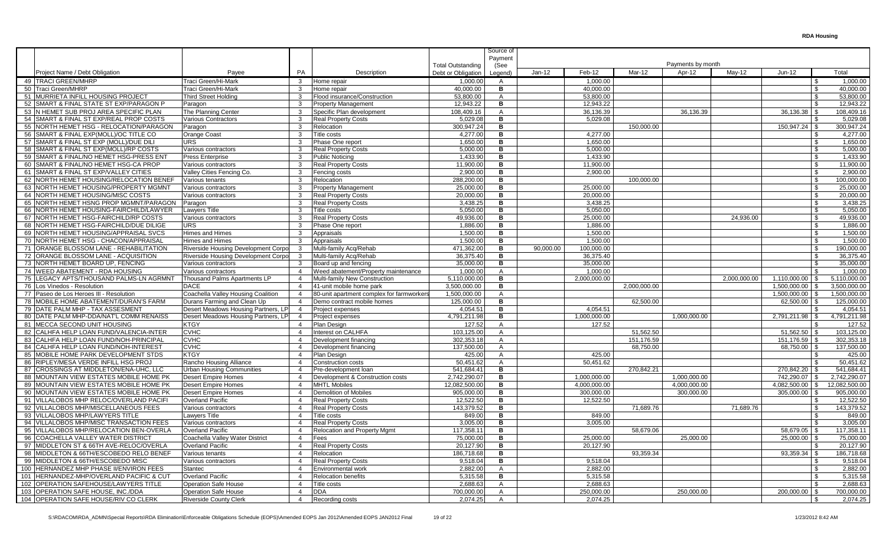|                                          |                                     |                |                                           |                                                | Source of       |           |              |              |                       |              |              |     |               |
|------------------------------------------|-------------------------------------|----------------|-------------------------------------------|------------------------------------------------|-----------------|-----------|--------------|--------------|-----------------------|--------------|--------------|-----|---------------|
|                                          |                                     |                |                                           |                                                | Payment         |           |              |              | Payments by month     |              |              |     |               |
| Project Name / Debt Obligation           | Payee                               | PA             | Description                               | <b>Total Outstanding</b><br>Debt or Obligation | (See<br>_egend) | $Jan-12$  | Feb-12       | Mar-12       | Apr-12                | $May-12$     | Jun-12       |     | Total         |
| 49 TRACI GREEN/MHRP                      | Traci Green/Hi-Mark                 | $\mathcal{B}$  | Home repair                               | 1.000.00                                       | $\overline{A}$  |           | 1.000.00     |              |                       |              |              |     | 1.000.00      |
| 50 Traci Green/MHRP                      | Traci Green/Hi-Mark                 | 3              | Home repair                               | 40.000.00                                      | В               |           | 40.000.00    |              |                       |              |              |     | 40.000.00     |
| 51 MURRIETA INFILL HOUSING PROJECT       | Third Street Holdina                | 3              | Flood insurance/Construction              | 53,800.00                                      | $\mathsf{A}$    |           | 53.800.00    |              |                       |              |              |     | 53,800.00     |
| 52 SMART & FINAL STATE ST EXP/PARAGON P  | Paragon                             | 3              | <b>Property Management</b>                | 12,943.22                                      | в               |           | 12.943.22    |              |                       |              |              |     | 12,943.22     |
| 53 N HEMET SUB PROJ AREA SPECIFIC PLAN   | The Planning Center                 | 3              |                                           | 108.409.16                                     | $\mathsf{A}$    |           | 36,136.39    |              |                       |              |              |     | 108.409.16    |
| 54 ISMART & FINAL ST EXP/REAL PROP COSTS | <b>Various Contractors</b>          |                | Specific Plan development                 | 5.029.08                                       | в               |           | 5.029.08     |              | 36,136.39             |              | 36,136.38    |     | 5.029.08      |
|                                          |                                     | 3<br>3         | <b>Real Property Costs</b><br>Relocation  | 300.947.24                                     | в               |           |              | 150,000.00   |                       |              |              |     | 300.947.24    |
| 55 NORTH HEMET HSG - RELOCATION/PARAGON  | Paragon                             |                |                                           |                                                |                 |           |              |              |                       |              | 150,947.24   |     |               |
| 56 SMART & FINAL EXP(MOLL)/OC TITLE CO   | Orange Coast                        | 3              | Title costs                               | 4,277.00                                       | в               |           | 4,277.00     |              |                       |              |              |     | 4,277.00      |
| 57 SMART & FINAL ST EXP (MOLL)/DUE DILI  | <b>URS</b>                          | 3              | Phase One report                          | 1,650.00                                       | в               |           | 1,650.00     |              |                       |              |              |     | 1,650.00      |
| 58 SMART & FINAL ST EXP(MOLL)/RP COSTS   | Various contractors                 | 3              | Real Property Costs                       | 5,000.00                                       | в               |           | 5,000.00     |              |                       |              |              |     | 5,000.00      |
| 59 SMART & FINAL/NO HEMET HSG-PRESS ENT  | <b>Press Enterprise</b>             | 3              | <b>Public Noticing</b>                    | 1,433.90                                       | в               |           | 1.433.90     |              |                       |              |              |     | 1,433.90      |
| 60 SMART & FINAL/NO HEMET HSG-CA PROP    | Various contractors                 | 3              | <b>Real Property Costs</b>                | 11.900.00                                      | в               |           | 11,900.00    |              |                       |              |              |     | 11,900.00     |
| 61 SMART & FINAL ST EXP/VALLEY CITIES    | Valley Cities Fencing Co.           | 3              | Fencing costs                             | 2.900.00                                       | в               |           | 2,900.00     |              |                       |              |              |     | 2.900.00      |
| 62 NORTH HEMET HOUSING/RELOCATION BENEF  | Various tenants                     | 3              | Relocation                                | 288.200.00                                     | в               |           |              | 100.000.00   |                       |              |              |     | 100.000.00    |
| 63 NORTH HEMET HOUSING/PROPERTY MGMNT    | Various contractors                 | 3              | <b>Property Management</b>                | 25.000.00                                      | в               |           | 25.000.00    |              |                       |              |              |     | 25.000.00     |
| 64 NORTH HEMET HOUSING/MISC COSTS        | √arious contractors                 | 3              | <b>Real Property Costs</b>                | 20.000.00                                      | в               |           | 20.000.00    |              |                       |              |              |     | 20.000.00     |
| 65 NORTH HEMET HSNG PROP MGMNT/PARAGON   | Paragon                             | 3              | <b>Real Property Costs</b>                | 3.438.25                                       | в               |           | 3.438.25     |              |                       |              |              |     | 3.438.25      |
| 66 NORTH HEMET HOUSING-FAIRCHILD/LAWYER  | <b>Lawvers Title</b>                | 3              | Title costs                               | 5.050.00                                       | в               |           | 5.050.00     |              |                       |              |              | £.  | 5.050.00      |
| 67 NORTH HEMET HSG-FAIRCHILD/RP COSTS    | Various contractors                 | 3              | <b>Real Property Costs</b>                | 49.936.00                                      | в               |           | 25.000.00    |              |                       | 24.936.00    |              |     | 49.936.00     |
| 68 NORTH HEMET HSG-FAIRCHILD/DUE DILIGE  | URS.                                | 3              | Phase One report                          | 1,886.00                                       | в               |           | 1,886.00     |              |                       |              |              | \$. | 1,886.00      |
| 69 NORTH HEMET HOUSING/APPRAISAL SVCS    | Himes and Himes                     | 3              | Appraisals                                | 1,500.00                                       | в               |           | 1,500.00     |              |                       |              |              |     | 1,500.00      |
| 70 NORTH HEMET HSG - CHACON/APPRAISAL    | Himes and Himes                     | 3              | Appraisals                                | 1,500.00                                       | в               |           | 1,500.00     |              |                       |              |              |     | 1,500.00      |
| 71 ORANGE BLOSSOM LANE - REHABILITATION  | Riverside Housing Development Corp  | -3             | Multi-family Acq/Rehab                    | 471,362.00                                     | в               | 90,000.00 | 100,000.00   |              |                       |              |              |     | 190,000.00    |
| 72 ORANGE BLOSSOM LANE - ACQUISITION     | Riverside Housing Development Corpo | 3              | Multi-family Acq/Rehab                    | 36,375.40                                      | в               |           | 36,375.40    |              |                       |              |              |     | 36,375.40     |
| 73 NORTH HEMET BOARD UP, FENCING         | Various contractors                 | 3              | Board up and fencing                      | 35.000.00                                      | в               |           | 35,000.00    |              |                       |              |              |     | 35,000.00     |
| 74 WEED ABATEMENT - RDA HOUSING          | Various contractors                 | $\overline{4}$ | Weed abatement/Property maintenance       | 1.000.00                                       | $\mathsf{A}$    |           | 1.000.00     |              |                       |              |              |     | 1.000.00      |
| 75 LEGACY APTS/THOUSAND PALMS-LN AGRMNT  | Thousand Palms Apartments LP        | $\overline{4}$ | Multi-family New Construction             | $\overline{5,}110,000.00$                      | в               |           | 2,000,000.00 |              |                       | 2,000,000.00 | 1,110,000.00 |     | 5.110.000.00  |
| 76 Los Vinedos - Resolution              | <b>DACE</b>                         | $\overline{4}$ | 41-unit mobile home park                  | 3,500,000.00                                   | В               |           |              | 2,000,000.00 |                       |              | 1,500,000.00 |     | 3,500,000.00  |
| 77 Paseo de Los Heroes III - Resolution  | Coachella Valley Housing Coalition  | $\overline{4}$ | 80-unit apartment complex for farmworkers | 1.500.000.00                                   | $\overline{A}$  |           |              |              |                       |              | 1.500.000.00 |     | 1.500.000.00  |
| 78 MOBILE HOME ABATEMENT/DURAN'S FARM    | Durans Farming and Clean Up         | $\overline{4}$ | Demo contract mobile homes                | 125,000.00                                     | в               |           |              | 62,500.00    |                       |              | 62,500.00    |     | 125,000.00    |
| 79 DATE PALM MHP - TAX ASSESMENT         | Desert Meadows Housing Partners. L  | $\overline{4}$ | Project expenses                          | 4.054.51                                       | в               |           | 4.054.51     |              |                       |              |              |     | 4.054.51      |
| 80 DATE PALM MHP-DDA/NAT'L COMM RENAISS  | Desert Meadows Housing Partners, LP | $\overline{4}$ | Project expenses                          | 4,791,211.98                                   | в               |           | 1,000,000.00 |              | 1,000,000.00          |              | 2,791,211.98 |     | 4,791,211.98  |
| 81 MECCA SECOND UNIT HOUSING             | <b>KTGY</b>                         | $\overline{4}$ | Plan Design                               | 127.52                                         | $\overline{A}$  |           | 127.52       |              |                       |              |              |     | 127.52        |
| 82 CALHFA HELP LOAN FUND/VALENCIA-INTER  | <b>CVHC</b>                         | $\overline{4}$ | Interest on CALHFA                        | 103.125.00                                     | $\mathsf{A}$    |           |              | 51.562.50    |                       |              | 51.562.50    |     | 103.125.00    |
| 83 CALHFA HELP LOAN FUND/NOH-PRINCIPAL   | <b>CVHC</b>                         | $\overline{4}$ | Development financing                     | 302,353.18                                     | $\overline{A}$  |           |              | 151.176.59   |                       |              | 151.176.59   |     | 302,353.18    |
| 84 CALHFA HELP LOAN FUND/NOH-INTEREST    | <b>CVHC</b>                         | $\overline{4}$ | Development financing                     | 137.500.00                                     | $\mathsf{A}$    |           |              | 68.750.00    |                       |              | 68.750.00    |     | 137.500.00    |
| 85 MOBILE HOME PARK DEVELOPMENT STDS     | <b>KTGY</b>                         | $\overline{4}$ | Plan Design                               | 425.00                                         | $\overline{A}$  |           | 425.00       |              |                       |              |              |     | 425.00        |
| 86 RIPLEY/MESA VERDE INFILL HSG PROJ     | Rancho Housing Alliance             | $\overline{4}$ | Construction costs                        | 50.451.62                                      | $\mathsf{A}$    |           | 50.451.62    |              |                       |              |              |     | 50.451.62     |
| 87 CROSSINGS AT MIDDLETON/ENA-UHC, LLC   | Urban Housing Communities           | $\overline{4}$ | Pre-development loan                      | 541,684.41                                     | в               |           |              | 270,842.21   |                       |              | 270,842.20   |     | 541.684.41    |
| 88 MOUNTAIN VIEW ESTATES MOBILE HOME PK  | <b>Desert Empire Homes</b>          | $\overline{4}$ | Development & Construction costs          | 2.742.290.07                                   | в               |           | 1.000.000.00 |              | 1,000,000.00          |              | 742.290.07   |     | 2.742.290.07  |
| 89 MOUNTAIN VIEW ESTATES MOBILE HOME PK  | <b>Desert Empire Homes</b>          | $\overline{4}$ | <b>MHTL Mobiles</b>                       | 12,082,500.00                                  | в               |           | 4,000,000.00 |              | $\sqrt{4,000,000.00}$ |              | 4,082,500.00 | \$. | 12,082,500.00 |
| 90 MOUNTAIN VIEW ESTATES MOBILE HOME PK  | <b>Desert Empire Homes</b>          | $\overline{4}$ | <b>Demolition of Mobiles</b>              | 905.000.00                                     | в               |           | 300.000.00   |              | 300.000.00            |              | 305.000.00   |     | 905,000.00    |
| 91 VILLALOBOS MHP RELOC/OVERLAND PACIFI  | <b>Overland Pacific</b>             | $\overline{4}$ | <b>Real Property Costs</b>                | 12.522.50                                      | в               |           | 12.522.50    |              |                       |              |              |     | 12,522.50     |
| 92 VILLALOBOS MHP/MISCELLANEOUS FEES     | Various contractors                 | $\overline{4}$ | <b>Real Property Costs</b>                | 143.379.52                                     | в               |           |              | 71.689.76    |                       | 71.689.76    |              |     | 143,379.52    |
| 93 VILLALOBOS MHP/LAWYERS TITLE          | Lawyers Title                       | $\overline{4}$ | Title costs                               | 849.00                                         | в               |           | 849.00       |              |                       |              |              |     | 849.00        |
| 94 VILLALOBOS MHP/MISC TRANSACTION FEES  | Various contractors                 | $\overline{4}$ | <b>Real Property Costs</b>                | 3,005.00                                       | в               |           | 3,005.00     |              |                       |              |              |     | 3,005.00      |
| 95 VILLALOBOS MHP/RELOCATION BEN-OVERLA  | <b>Overland Pacific</b>             | $\overline{4}$ | Relocation and Property Mgmt              | 117,358.1                                      | в               |           |              | 58,679.06    |                       |              | 58,679.05    |     | 117,358.11    |
| 96 COACHELLA VALLEY WATER DISTRICT       | Coachella Valley Water District     | $\overline{4}$ | Fees                                      | 75,000.00                                      | в               |           | 25,000.00    |              | 25,000.00             |              | 25,000.00    |     | 75,000.00     |
| 97 MIDDLETON ST & 66TH AVE-RELOC/OVERLA  | <b>Overland Pacific</b>             | $\overline{4}$ | <b>Real Property Costs</b>                | 20,127.90                                      | в               |           | 20,127.90    |              |                       |              |              |     | 20,127.90     |
| 98 MIDDLETON & 66TH/ESCOBEDO RELO BENEF  | Various tenants                     | $\overline{4}$ | Relocation                                | 186,718.68                                     | в               |           |              | 93,359.34    |                       |              | 93,359.34    |     | 186,718.68    |
| 99 MIDDLETON & 66TH/ESCOBEDO MISC        | Various contractors                 | $\overline{4}$ | <b>Real Property Costs</b>                | 9,518.04                                       | в               |           | 9,518.04     |              |                       |              |              |     | 9,518.04      |
| 100 HERNANDEZ MHP PHASE II/ENVIRON FEES  | Stantec                             | $\overline{4}$ | <b>Environmental work</b>                 | 2.882.00                                       | A               |           | 2.882.00     |              |                       |              |              |     | 2,882.00      |
| 101 HERNANDEZ-MHP/OVERLAND PACIFIC & CUT | Overland Pacific                    | $\overline{4}$ | <b>Relocation benefits</b>                | 5,315.58                                       | в               |           | 5,315.58     |              |                       |              |              |     | 5,315.58      |
| 102 OPERATION SAFEHOUSE/LAWYERS TITLE    | Operation Safe House                | $\overline{4}$ | Title costs                               | 2.688.63                                       | A               |           | 2.688.63     |              |                       |              |              |     | 2.688.63      |
| 103 OPERATION SAFE HOUSE. INC./DDA       | <b>Operation Safe House</b>         | $\overline{4}$ | <b>DDA</b>                                | 700.000.00                                     | $\overline{A}$  |           | 250.000.00   |              | 250.000.00            |              | 200.000.00   |     | 700.000.00    |
| 104 OPERATION SAFE HOUSE/RIV CO CLERK    | <b>Riverside County Clerk</b>       | $\overline{4}$ | Recording costs                           | 2,074.25                                       | $\mathsf{A}$    |           | 2.074.25     |              |                       |              |              |     | 2,074.25      |
|                                          |                                     |                |                                           |                                                |                 |           |              |              |                       |              |              |     |               |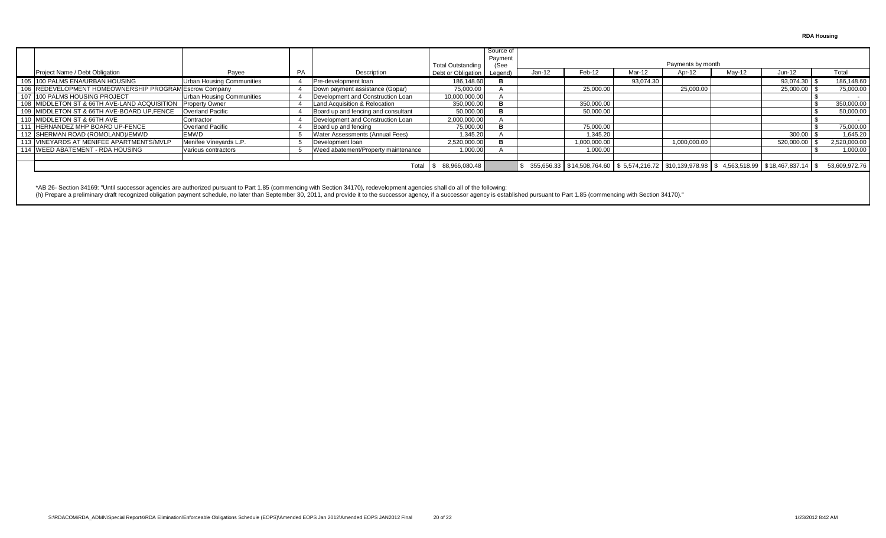**RDA Housing**

|                                                             |                                  |     |                                     |                            | Source of       |        |              |           |                   |                                                                                                      |            |               |
|-------------------------------------------------------------|----------------------------------|-----|-------------------------------------|----------------------------|-----------------|--------|--------------|-----------|-------------------|------------------------------------------------------------------------------------------------------|------------|---------------|
|                                                             |                                  |     |                                     | <b>Total Outstanding</b>   | Payment<br>(See |        |              |           | Payments by month |                                                                                                      |            |               |
| Project Name / Debt Obligation                              | Payee                            | PA. | Description                         | Debt or Obligation Legend) |                 | Jan-12 | Feb-12       | Mar-12    | Apr-12            | May-12                                                                                               | $Jun-12$   | Total         |
| 105 100 PALMS ENA/URBAN HOUSING                             | <b>Urban Housing Communities</b> |     | Pre-development loan                | 186.148.60                 |                 |        |              | 93,074.30 |                   |                                                                                                      | 93,074.30  | 186,148.60    |
| 106 REDEVELOPMENT HOMEOWNERSHIP PROGRAM Escrow Company      |                                  |     | Down payment assistance (Gopar)     | 75,000.00                  |                 |        | 25.000.00    |           | 25.000.00         |                                                                                                      | 25.000.00  | 75,000.00     |
| 107 100 PALMS HOUSING PROJECT                               | Urban Housing Communities        |     | Development and Construction Loan   | 10,000,000.00              |                 |        |              |           |                   |                                                                                                      |            |               |
| 108 MIDDLETON ST & 66TH AVE-LAND ACQUISITION Property Owner |                                  |     | Land Acquisition & Relocation       | 350,000.00                 |                 |        | 350,000.00   |           |                   |                                                                                                      |            | 350,000.00    |
| 109 MIDDLETON ST & 66TH AVE-BOARD UP, FENCE                 | <b>Overland Pacific</b>          |     | Board up and fencing and consultant | 50,000.00                  |                 |        | 50,000.00    |           |                   |                                                                                                      |            | 50,000.00     |
| 110 MIDDLETON ST & 66TH AVE                                 | Contractor                       |     | Development and Construction Loan   | 2,000,000.00               |                 |        |              |           |                   |                                                                                                      |            |               |
| 111 HERNANDEZ MHP BOARD UP-FENCE                            | <b>Overland Pacific</b>          |     | Board up and fencing                | 75,000.00                  |                 |        | 75,000.00    |           |                   |                                                                                                      |            | 75,000.00     |
| 112 SHERMAN ROAD (ROMOLAND)/EMWD                            | EMWD                             |     | Water Assessments (Annual Fees)     | 1,345.20                   |                 |        | 1,345.20     |           |                   |                                                                                                      | 300.00     | 1,645.20      |
| 113 VINEYARDS AT MENIFEE APARTMENTS/MVLP                    | Menifee Vineyards L.P.           |     | Development loan                    | 2,520,000.00               |                 |        | 1,000,000.00 |           | 1,000,000.00      |                                                                                                      | 520,000.00 | 2,520,000.00  |
| 114 WEED ABATEMENT - RDA HOUSING                            | Various contractors              |     | Weed abatement/Property maintenance | 1,000.00                   |                 |        | 1.000.00     |           |                   |                                                                                                      |            | 1.000.00      |
|                                                             |                                  |     |                                     |                            |                 |        |              |           |                   |                                                                                                      |            |               |
|                                                             |                                  |     | Total                               | 88,966,080.48              |                 |        |              |           |                   | 355,656.33   \$14,508,764.60   \$ 5,574,216.72   \$10,139,978.98   \$ 4,563,518.99   \$18,467,837.14 |            | 53,609,972.76 |

\*AB 26- Section 34169: "Until successor agencies are authorized pursuant to Part 1.85 (commencing with Section 34170), redevelopment agencies shall do all of the following: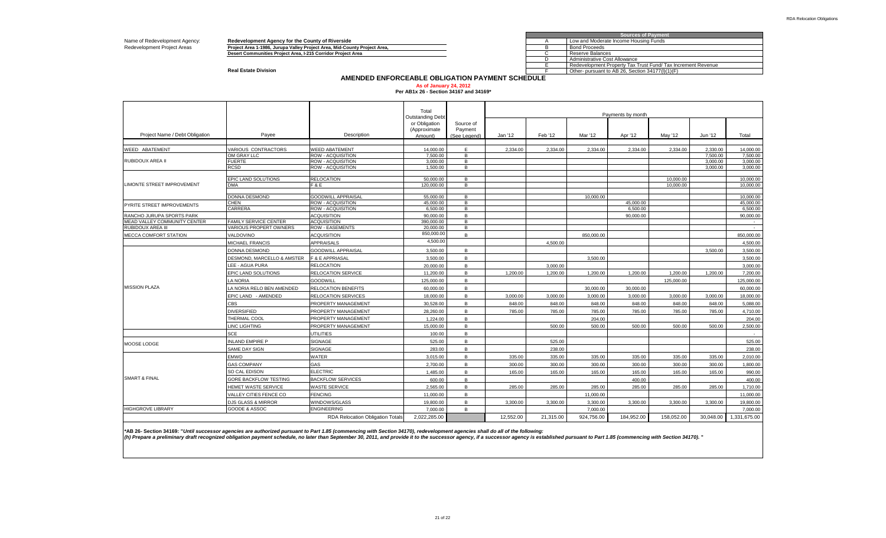Name of Redevelopment Agency: **Redevelopment Agency for the County of Riverside**<br>Redevelopment Project Areas **Project Area 1-1986, Jurupa Valley Project Area, Mid-County** 

Redevelopment Project Areas **Project Area 1-1986, Jurupa Valley Project Area, Mid-County Project Area, web area, the communities Project Area, I-215 Corridor Project Area, The Communities Project Area, I-215 Corridor Proje** 

|   | <b>Sources of Payment</b>                                   |  |  |  |  |  |  |  |  |  |  |  |
|---|-------------------------------------------------------------|--|--|--|--|--|--|--|--|--|--|--|
|   | Low and Moderate Income Housing Funds                       |  |  |  |  |  |  |  |  |  |  |  |
| в | <b>Bond Proceeds</b>                                        |  |  |  |  |  |  |  |  |  |  |  |
|   | Reserve Balances                                            |  |  |  |  |  |  |  |  |  |  |  |
|   | Administrative Cost Allowance                               |  |  |  |  |  |  |  |  |  |  |  |
|   | Redevelopment Property Tax Trust Fund/Tax Increment Revenue |  |  |  |  |  |  |  |  |  |  |  |
|   | Other- pursuant to AB 26. Section 34177(I)(1)(F)            |  |  |  |  |  |  |  |  |  |  |  |

**Real Estate Division** 

#### **AMENDED ENFORCEABLE OBLIGATION PAYMENT SCHEDULE**

# **As of January 24, 2012 Per AB1x 26 - Section 34167 and 34169\***

|                                |                               |                                                | Total                                             |                      |           |           |            | Payments by month |            |           |                        |
|--------------------------------|-------------------------------|------------------------------------------------|---------------------------------------------------|----------------------|-----------|-----------|------------|-------------------|------------|-----------|------------------------|
|                                |                               |                                                | Outstanding Debt<br>or Obligation<br>(Approximate | Source of<br>Payment |           |           |            |                   |            |           |                        |
| Project Name / Debt Obligation | Payee                         | Description                                    | Amount)                                           | (See Legend)         | Jan '12   | Feb '12   | Mar '12    | Apr '12           | May '12    | Jun '12   | Total                  |
| <b>WEED ABATEMENT</b>          | VARIOUS CONTRACTORS           | <b>WEED ABATEMENT</b>                          | 14.000.00                                         | E.                   | 2.334.00  | 2.334.00  | 2.334.00   | 2.334.00          | 2.334.00   | 2.330.00  | 14.000.00              |
|                                | OM GRAY LLC                   | ROW - ACQUISITION                              | 7,500.00                                          | B                    |           |           |            |                   |            | 7,500.00  | 7,500.00               |
| RUBIDOUX AREA II               | <b>FUERTE</b>                 | <b>ROW - ACQUISITION</b>                       | 3.000.00                                          | B                    |           |           |            |                   |            | 3,000.00  | 3,000.00               |
|                                | <b>RCSD</b>                   | ROW - ACQUISITION                              | 1.500.00                                          | B                    |           |           |            |                   |            | 3,000.00  | 3.000.00               |
|                                | EPIC LAND SOLUTIONS           | <b>RELOCATION</b>                              | 50,000,00                                         | B                    |           |           |            |                   | 10.000.00  |           | 10,000,00              |
| LIMONTE STREET IMPROVEMENT     | <b>DMA</b>                    | F&E                                            | 120,000,00                                        | B                    |           |           |            |                   | 10.000.00  |           | 10.000.00              |
|                                |                               |                                                |                                                   |                      |           |           |            |                   |            |           |                        |
|                                | <b>DONNA DESMOND</b><br>CHEN  | <b>GOODWILL APPRAISAL</b><br>ROW - ACQUISITION | 55,000.00<br>45.000.00                            | B<br>B               |           |           | 10,000.00  | 45,000,00         |            |           | 10,000.00<br>45,000.00 |
| PYRITE STREET IMPROVEMENTS     | CARRERA                       | ROW - ACQUISITION                              | 6,500.00                                          | B                    |           |           |            | 6,500.00          |            |           | 6,500.00               |
| RANCHO JURUPA SPORTS PARK      |                               | <b>ACQUISITION</b>                             | 90.000.00                                         | B                    |           |           |            | 90.000.00         |            |           | 90.000.00              |
| MEAD VALLEY COMMUNITY CENTER   | <b>FAMILY SERVICE CENTER</b>  | <b>ACQUISITION</b>                             | 390.000.00                                        | B                    |           |           |            |                   |            |           | $\sim$                 |
| RUBIDOUX AREA III              | <b>VARIOUS PROPERT OWNERS</b> | <b>ROW - EASEMENTS</b>                         | 20,000.00                                         | B                    |           |           |            |                   |            |           | $\sim$                 |
| MECCA COMFORT STATION          | VALDOVINO                     | <b>ACQUISITION</b>                             | 850,000.00                                        | $\mathbf{B}$         |           |           | 850,000.00 |                   |            |           | 850.000.00             |
|                                | MICHAEL FRANCIS               | <b>APPRAISALS</b>                              | 4,500.00                                          |                      |           | 4,500.00  |            |                   |            |           | 4,500.00               |
|                                | DONNA DESMOND                 | <b>GOODWILL APPRAISAL</b>                      | 3.500.00                                          | $\mathbf{B}$         |           |           |            |                   |            | 3.500.00  | 3.500.00               |
|                                | DESMOND, MARCELLO & AMSTER    | <b>F &amp; E APPRIASAL</b>                     | 3,500.00                                          | B                    |           |           | 3,500.00   |                   |            |           | 3,500.00               |
|                                | LEE - AGUA PURA               | <b>RELOCATION</b>                              | 20,000.00                                         | B                    |           | 3,000.00  |            |                   |            |           | 3,000.00               |
|                                | EPIC LAND SOLUTIONS           | RELOCATION SERVICE                             | 11.200.00                                         | B                    | 1.200.00  | 1.200.00  | 1.200.00   | 1.200.00          | 1.200.00   | 1.200.00  | 7.200.00               |
|                                | A NORIA                       | <b>GOODWILL</b>                                | 125.000.00                                        | B                    |           |           |            |                   | 125,000.00 |           | 125,000.00             |
| <b>MISSION PLAZA</b>           | A NORIA RELO BEN AMENDED      | RELOCATION BENEFITS                            | 60.000.00                                         | B                    |           |           | 30,000,00  | 30,000,00         |            |           | 60.000.00              |
|                                | EPIC LAND - AMENDED           | RELOCATION SERVICES                            | 18,000,00                                         | B                    | 3.000.00  | 3,000.00  | 3.000.00   | 3.000.00          | 3.000.00   | 3.000.00  | 18,000,00              |
|                                | <b>CBS</b>                    | PROPERTY MANAGEMENT                            | 30.528.00                                         | B                    | 848.00    | 848.00    | 848.00     | 848.00            | 848.00     | 848.00    | 5.088.00               |
|                                | <b>DIVERSIFIED</b>            | PROPERTY MANAGEMENT                            | 28,260.00                                         | B                    | 785.00    | 785.00    | 785.00     | 785.00            | 785.00     | 785.00    | 4,710.00               |
|                                | THERMAL COOL                  | PROPERTY MANAGEMENT                            | 1.224.00                                          | B                    |           |           | 204.00     |                   |            |           | 204.00                 |
|                                | LINC LIGHTING                 | PROPERTY MANAGEMENT                            | 15,000.00                                         | B                    |           | 500.00    | 500.00     | 500.00            | 500.00     | 500.00    | 2,500.00               |
|                                | <b>SCE</b>                    | <b>UTILITIES</b>                               | 100.00                                            | B                    |           |           |            |                   |            |           | $\sim$                 |
|                                | <b>INLAND EMPIRE P</b>        | SIGNAGE                                        | 525.00                                            | B                    |           | 525.00    |            |                   |            |           | 525.00                 |
| MOOSE LODGE                    | SAME DAY SIGN                 | SIGNAGE                                        | 283.00                                            | B                    |           | 238.00    |            |                   |            |           | 238.00                 |
|                                | EMWD                          | WATER                                          | 3.015.00                                          | B                    | 335.00    | 335.00    | 335.00     | 335.00            | 335.00     | 335.00    | 2.010.00               |
|                                | <b>GAS COMPANY</b>            | GAS                                            | 2.700.00                                          | B                    | 300.00    | 300.00    | 300.00     | 300.00            | 300.00     | 300.00    | 1.800.00               |
|                                | SO CAL EDISON                 | <b>ELECTRIC</b>                                | 1.485.00                                          | B                    | 165.00    | 165.00    | 165.00     | 165.00            | 165.00     | 165.00    | 990.00                 |
| <b>SMART &amp; FINAL</b>       | GORE BACKFLOW TESTING         | <b>BACKFLOW SERVICES</b>                       | 600.00                                            | B                    |           |           |            | 400.00            |            |           | 400.00                 |
|                                | HEMET WASTE SERVICE           | <b>WASTE SERVICE</b>                           | 2.565.00                                          | B                    | 285.00    | 285.00    | 285.00     | 285.00            | 285.00     | 285.00    | 1.710.00               |
|                                | VALLEY CITIES FENCE CO        | <b>FENCING</b>                                 | 11.000.00                                         | B                    |           |           | 11.000.00  |                   |            |           | 11.000.00              |
|                                | <b>DJS GLASS &amp; MIRROR</b> |                                                |                                                   | B                    |           |           |            |                   |            |           |                        |
| <b>HIGHGROVE LIBRARY</b>       | GOODE & ASSOC                 | WINDOWS/GLASS<br><b>ENGINEERING</b>            | 19,800.00                                         |                      | 3.300.00  | 3.300.00  | 3.300.00   | 3.300.00          | 3.300.00   | 3.300.00  | 19,800.00              |
|                                |                               | <b>RDA Relocation Obligation Totals</b>        | 7,000.00                                          | B                    |           |           | 7,000.00   |                   |            |           | 7,000.00               |
|                                |                               |                                                | 2.022.285.00                                      |                      | 12.552.00 | 21.315.00 | 924.756.00 | 184.952.00        | 158.052.00 | 30.048.00 | 1.331.675.00           |

**\*AB 26- Section 34169: "***Until successor agencies are authorized pursuant to Part 1.85 (commencing with Section 34170), redevelopment agencies shall do all of the following:*